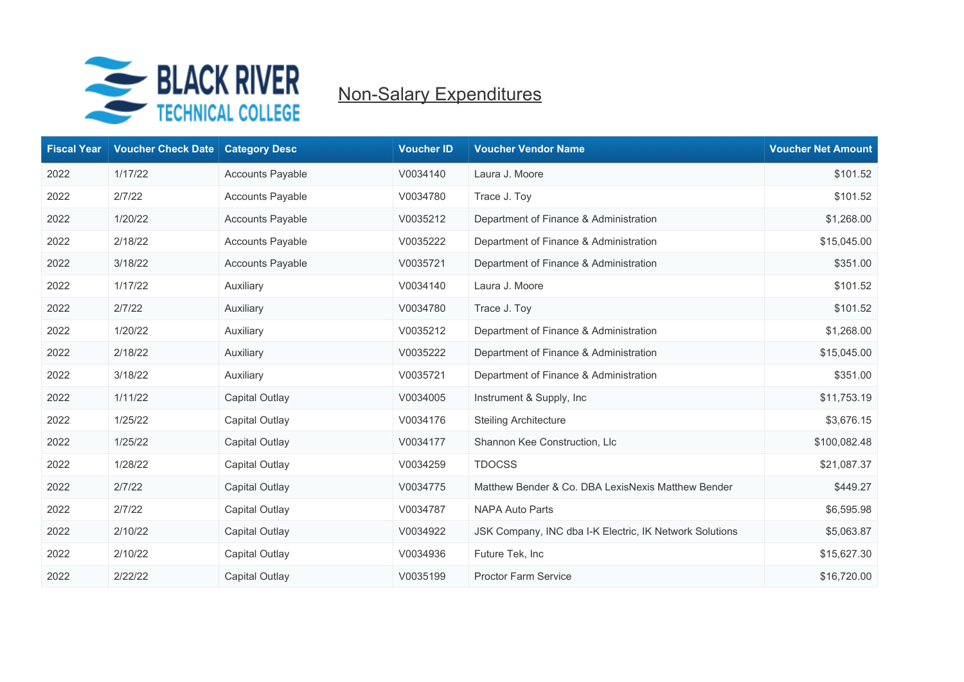

| <b>Fiscal Year</b> | <b>Voucher Check Date</b> | <b>Category Desc</b>    | <b>Voucher ID</b> | <b>Voucher Vendor Name</b>                              | <b>Voucher Net Amount</b> |
|--------------------|---------------------------|-------------------------|-------------------|---------------------------------------------------------|---------------------------|
| 2022               | 1/17/22                   | <b>Accounts Payable</b> | V0034140          | Laura J. Moore                                          | \$101.52                  |
| 2022               | 2/7/22                    | <b>Accounts Payable</b> | V0034780          | Trace J. Toy                                            | \$101.52                  |
| 2022               | 1/20/22                   | <b>Accounts Payable</b> | V0035212          | Department of Finance & Administration                  | \$1,268.00                |
| 2022               | 2/18/22                   | <b>Accounts Payable</b> | V0035222          | Department of Finance & Administration                  | \$15,045.00               |
| 2022               | 3/18/22                   | <b>Accounts Payable</b> | V0035721          | Department of Finance & Administration                  | \$351.00                  |
| 2022               | 1/17/22                   | Auxiliary               | V0034140          | Laura J. Moore                                          | \$101.52                  |
| 2022               | 2/7/22                    | Auxiliary               | V0034780          | Trace J. Toy                                            | \$101.52                  |
| 2022               | 1/20/22                   | Auxiliary               | V0035212          | Department of Finance & Administration                  | \$1,268.00                |
| 2022               | 2/18/22                   | Auxiliary               | V0035222          | Department of Finance & Administration                  | \$15,045.00               |
| 2022               | 3/18/22                   | Auxiliary               | V0035721          | Department of Finance & Administration                  | \$351.00                  |
| 2022               | 1/11/22                   | Capital Outlay          | V0034005          | Instrument & Supply, Inc                                | \$11,753.19               |
| 2022               | 1/25/22                   | Capital Outlay          | V0034176          | <b>Steiling Architecture</b>                            | \$3,676.15                |
| 2022               | 1/25/22                   | Capital Outlay          | V0034177          | Shannon Kee Construction, Llc                           | \$100,082.48              |
| 2022               | 1/28/22                   | Capital Outlay          | V0034259          | <b>TDOCSS</b>                                           | \$21,087.37               |
| 2022               | 2/7/22                    | Capital Outlay          | V0034775          | Matthew Bender & Co. DBA LexisNexis Matthew Bender      | \$449.27                  |
| 2022               | 2/7/22                    | Capital Outlay          | V0034787          | <b>NAPA Auto Parts</b>                                  | \$6,595.98                |
| 2022               | 2/10/22                   | Capital Outlay          | V0034922          | JSK Company, INC dba I-K Electric, IK Network Solutions | \$5,063.87                |
| 2022               | 2/10/22                   | Capital Outlay          | V0034936          | Future Tek, Inc                                         | \$15,627.30               |
| 2022               | 2/22/22                   | Capital Outlay          | V0035199          | Proctor Farm Service                                    | \$16,720.00               |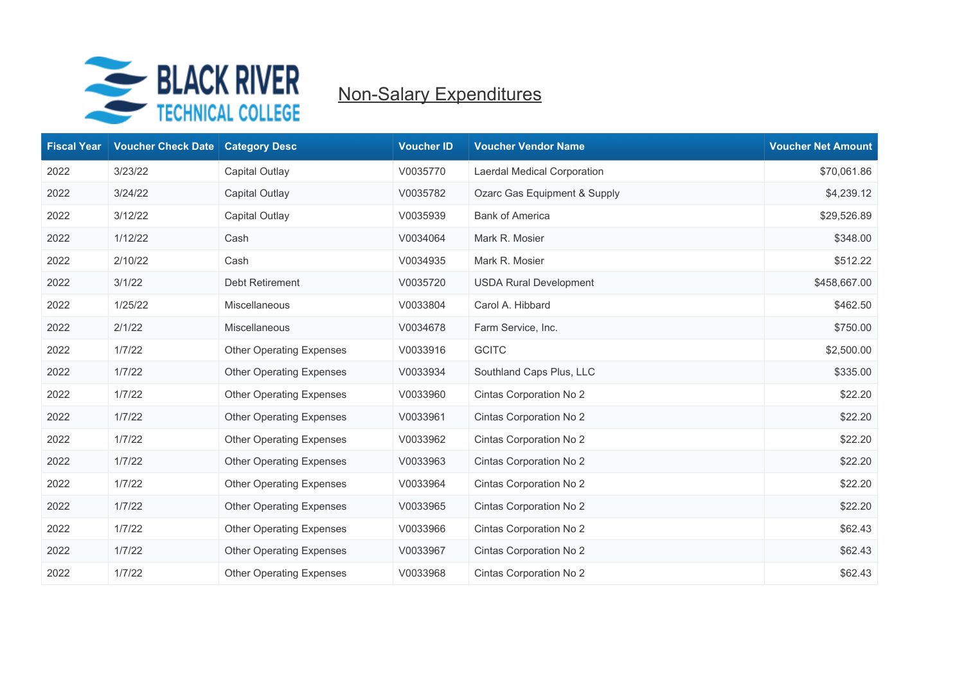

| <b>Fiscal Year</b> | <b>Voucher Check Date</b> | <b>Category Desc</b>            | <b>Voucher ID</b> | <b>Voucher Vendor Name</b>    | <b>Voucher Net Amount</b> |
|--------------------|---------------------------|---------------------------------|-------------------|-------------------------------|---------------------------|
| 2022               | 3/23/22                   | Capital Outlay                  | V0035770          | Laerdal Medical Corporation   | \$70,061.86               |
| 2022               | 3/24/22                   | Capital Outlay                  | V0035782          | Ozarc Gas Equipment & Supply  | \$4,239.12                |
| 2022               | 3/12/22                   | Capital Outlay                  | V0035939          | <b>Bank of America</b>        | \$29,526.89               |
| 2022               | 1/12/22                   | Cash                            | V0034064          | Mark R. Mosier                | \$348.00                  |
| 2022               | 2/10/22                   | Cash                            | V0034935          | Mark R. Mosier                | \$512.22                  |
| 2022               | 3/1/22                    | Debt Retirement                 | V0035720          | <b>USDA Rural Development</b> | \$458,667.00              |
| 2022               | 1/25/22                   | <b>Miscellaneous</b>            | V0033804          | Carol A. Hibbard              | \$462.50                  |
| 2022               | 2/1/22                    | Miscellaneous                   | V0034678          | Farm Service, Inc.            | \$750.00                  |
| 2022               | 1/7/22                    | <b>Other Operating Expenses</b> | V0033916          | <b>GCITC</b>                  | \$2,500.00                |
| 2022               | 1/7/22                    | <b>Other Operating Expenses</b> | V0033934          | Southland Caps Plus, LLC      | \$335.00                  |
| 2022               | 1/7/22                    | <b>Other Operating Expenses</b> | V0033960          | Cintas Corporation No 2       | \$22.20                   |
| 2022               | 1/7/22                    | <b>Other Operating Expenses</b> | V0033961          | Cintas Corporation No 2       | \$22.20                   |
| 2022               | 1/7/22                    | <b>Other Operating Expenses</b> | V0033962          | Cintas Corporation No 2       | \$22.20                   |
| 2022               | 1/7/22                    | <b>Other Operating Expenses</b> | V0033963          | Cintas Corporation No 2       | \$22.20                   |
| 2022               | 1/7/22                    | <b>Other Operating Expenses</b> | V0033964          | Cintas Corporation No 2       | \$22.20                   |
| 2022               | 1/7/22                    | <b>Other Operating Expenses</b> | V0033965          | Cintas Corporation No 2       | \$22.20                   |
| 2022               | 1/7/22                    | <b>Other Operating Expenses</b> | V0033966          | Cintas Corporation No 2       | \$62.43                   |
| 2022               | 1/7/22                    | <b>Other Operating Expenses</b> | V0033967          | Cintas Corporation No 2       | \$62.43                   |
| 2022               | 1/7/22                    | <b>Other Operating Expenses</b> | V0033968          | Cintas Corporation No 2       | \$62.43                   |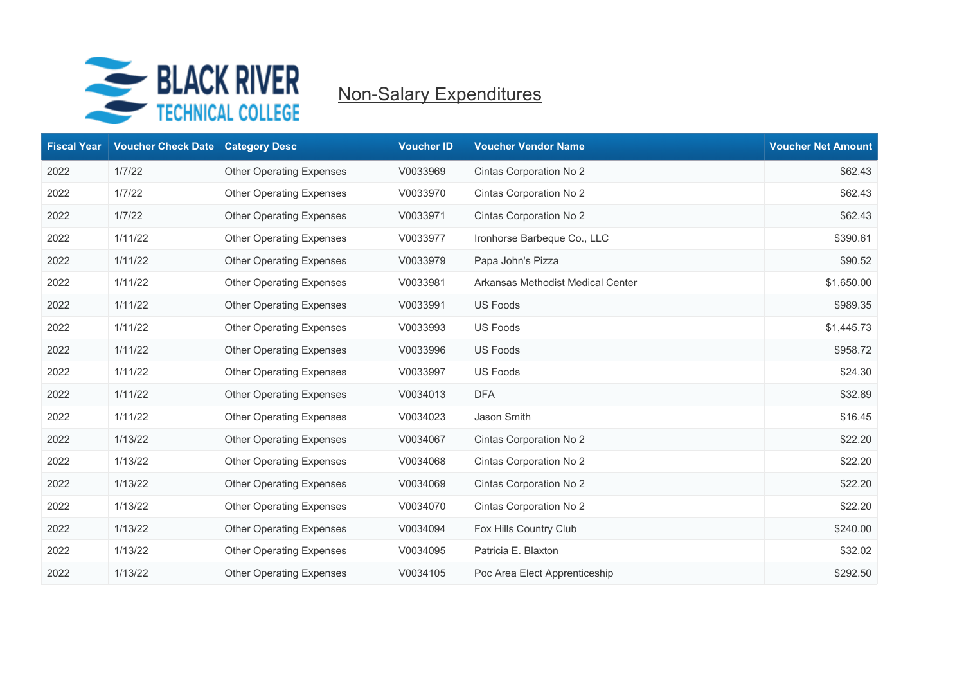

| <b>Fiscal Year</b> | <b>Voucher Check Date</b> | <b>Category Desc</b>            | <b>Voucher ID</b> | <b>Voucher Vendor Name</b>        | <b>Voucher Net Amount</b> |
|--------------------|---------------------------|---------------------------------|-------------------|-----------------------------------|---------------------------|
| 2022               | 1/7/22                    | <b>Other Operating Expenses</b> | V0033969          | Cintas Corporation No 2           | \$62.43                   |
| 2022               | 1/7/22                    | <b>Other Operating Expenses</b> | V0033970          | Cintas Corporation No 2           | \$62.43                   |
| 2022               | 1/7/22                    | <b>Other Operating Expenses</b> | V0033971          | Cintas Corporation No 2           | \$62.43                   |
| 2022               | 1/11/22                   | <b>Other Operating Expenses</b> | V0033977          | Ironhorse Barbeque Co., LLC       | \$390.61                  |
| 2022               | 1/11/22                   | <b>Other Operating Expenses</b> | V0033979          | Papa John's Pizza                 | \$90.52                   |
| 2022               | 1/11/22                   | <b>Other Operating Expenses</b> | V0033981          | Arkansas Methodist Medical Center | \$1,650.00                |
| 2022               | 1/11/22                   | <b>Other Operating Expenses</b> | V0033991          | US Foods                          | \$989.35                  |
| 2022               | 1/11/22                   | <b>Other Operating Expenses</b> | V0033993          | <b>US Foods</b>                   | \$1,445.73                |
| 2022               | 1/11/22                   | <b>Other Operating Expenses</b> | V0033996          | <b>US Foods</b>                   | \$958.72                  |
| 2022               | 1/11/22                   | <b>Other Operating Expenses</b> | V0033997          | <b>US Foods</b>                   | \$24.30                   |
| 2022               | 1/11/22                   | <b>Other Operating Expenses</b> | V0034013          | <b>DFA</b>                        | \$32.89                   |
| 2022               | 1/11/22                   | <b>Other Operating Expenses</b> | V0034023          | Jason Smith                       | \$16.45                   |
| 2022               | 1/13/22                   | <b>Other Operating Expenses</b> | V0034067          | Cintas Corporation No 2           | \$22.20                   |
| 2022               | 1/13/22                   | <b>Other Operating Expenses</b> | V0034068          | Cintas Corporation No 2           | \$22.20                   |
| 2022               | 1/13/22                   | <b>Other Operating Expenses</b> | V0034069          | Cintas Corporation No 2           | \$22.20                   |
| 2022               | 1/13/22                   | <b>Other Operating Expenses</b> | V0034070          | Cintas Corporation No 2           | \$22.20                   |
| 2022               | 1/13/22                   | <b>Other Operating Expenses</b> | V0034094          | Fox Hills Country Club            | \$240.00                  |
| 2022               | 1/13/22                   | <b>Other Operating Expenses</b> | V0034095          | Patricia E. Blaxton               | \$32.02                   |
| 2022               | 1/13/22                   | <b>Other Operating Expenses</b> | V0034105          | Poc Area Elect Apprenticeship     | \$292.50                  |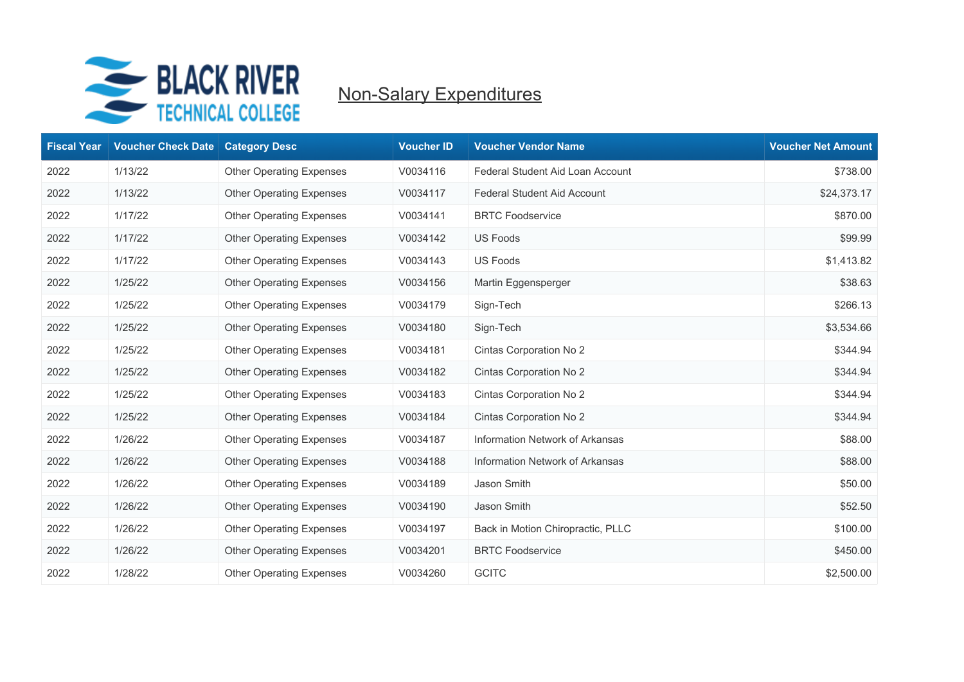

| <b>Fiscal Year</b> | <b>Voucher Check Date</b> | <b>Category Desc</b>            | <b>Voucher ID</b> | <b>Voucher Vendor Name</b>         | <b>Voucher Net Amount</b> |
|--------------------|---------------------------|---------------------------------|-------------------|------------------------------------|---------------------------|
| 2022               | 1/13/22                   | <b>Other Operating Expenses</b> | V0034116          | Federal Student Aid Loan Account   | \$738.00                  |
| 2022               | 1/13/22                   | <b>Other Operating Expenses</b> | V0034117          | <b>Federal Student Aid Account</b> | \$24,373.17               |
| 2022               | 1/17/22                   | <b>Other Operating Expenses</b> | V0034141          | <b>BRTC Foodservice</b>            | \$870.00                  |
| 2022               | 1/17/22                   | <b>Other Operating Expenses</b> | V0034142          | <b>US Foods</b>                    | \$99.99                   |
| 2022               | 1/17/22                   | <b>Other Operating Expenses</b> | V0034143          | <b>US Foods</b>                    | \$1,413.82                |
| 2022               | 1/25/22                   | <b>Other Operating Expenses</b> | V0034156          | Martin Eggensperger                | \$38.63                   |
| 2022               | 1/25/22                   | <b>Other Operating Expenses</b> | V0034179          | Sign-Tech                          | \$266.13                  |
| 2022               | 1/25/22                   | <b>Other Operating Expenses</b> | V0034180          | Sign-Tech                          | \$3,534.66                |
| 2022               | 1/25/22                   | <b>Other Operating Expenses</b> | V0034181          | Cintas Corporation No 2            | \$344.94                  |
| 2022               | 1/25/22                   | <b>Other Operating Expenses</b> | V0034182          | Cintas Corporation No 2            | \$344.94                  |
| 2022               | 1/25/22                   | <b>Other Operating Expenses</b> | V0034183          | Cintas Corporation No 2            | \$344.94                  |
| 2022               | 1/25/22                   | <b>Other Operating Expenses</b> | V0034184          | Cintas Corporation No 2            | \$344.94                  |
| 2022               | 1/26/22                   | <b>Other Operating Expenses</b> | V0034187          | Information Network of Arkansas    | \$88.00                   |
| 2022               | 1/26/22                   | <b>Other Operating Expenses</b> | V0034188          | Information Network of Arkansas    | \$88.00                   |
| 2022               | 1/26/22                   | <b>Other Operating Expenses</b> | V0034189          | Jason Smith                        | \$50.00                   |
| 2022               | 1/26/22                   | <b>Other Operating Expenses</b> | V0034190          | Jason Smith                        | \$52.50                   |
| 2022               | 1/26/22                   | <b>Other Operating Expenses</b> | V0034197          | Back in Motion Chiropractic, PLLC  | \$100.00                  |
| 2022               | 1/26/22                   | <b>Other Operating Expenses</b> | V0034201          | <b>BRTC Foodservice</b>            | \$450.00                  |
| 2022               | 1/28/22                   | <b>Other Operating Expenses</b> | V0034260          | <b>GCITC</b>                       | \$2,500.00                |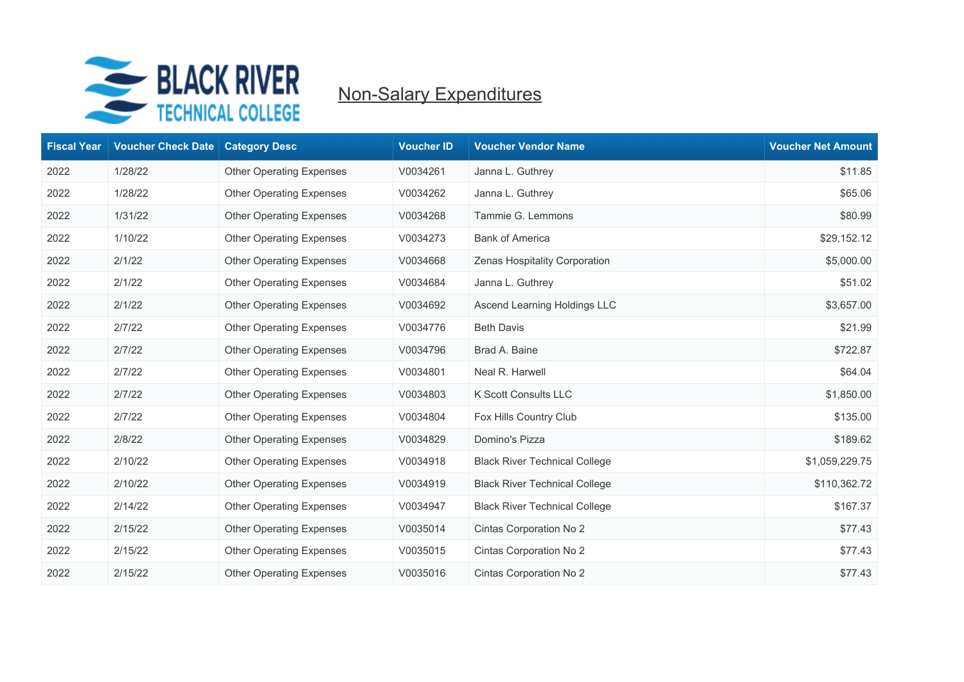

| <b>Fiscal Year</b> | <b>Voucher Check Date</b> | <b>Category Desc</b>            | <b>Voucher ID</b> | <b>Voucher Vendor Name</b>           | <b>Voucher Net Amount</b> |
|--------------------|---------------------------|---------------------------------|-------------------|--------------------------------------|---------------------------|
| 2022               | 1/28/22                   | <b>Other Operating Expenses</b> | V0034261          | Janna L. Guthrey                     | \$11.85                   |
| 2022               | 1/28/22                   | <b>Other Operating Expenses</b> | V0034262          | Janna L. Guthrey                     | \$65.06                   |
| 2022               | 1/31/22                   | <b>Other Operating Expenses</b> | V0034268          | Tammie G. Lemmons                    | \$80.99                   |
| 2022               | 1/10/22                   | <b>Other Operating Expenses</b> | V0034273          | <b>Bank of America</b>               | \$29,152.12               |
| 2022               | 2/1/22                    | <b>Other Operating Expenses</b> | V0034668          | Zenas Hospitality Corporation        | \$5,000.00                |
| 2022               | 2/1/22                    | <b>Other Operating Expenses</b> | V0034684          | Janna L. Guthrey                     | \$51.02                   |
| 2022               | 2/1/22                    | <b>Other Operating Expenses</b> | V0034692          | Ascend Learning Holdings LLC         | \$3,657.00                |
| 2022               | 2/7/22                    | <b>Other Operating Expenses</b> | V0034776          | <b>Beth Davis</b>                    | \$21.99                   |
| 2022               | 2/7/22                    | <b>Other Operating Expenses</b> | V0034796          | Brad A. Baine                        | \$722.87                  |
| 2022               | 2/7/22                    | <b>Other Operating Expenses</b> | V0034801          | Neal R. Harwell                      | \$64.04                   |
| 2022               | 2/7/22                    | <b>Other Operating Expenses</b> | V0034803          | K Scott Consults LLC                 | \$1,850.00                |
| 2022               | 2/7/22                    | <b>Other Operating Expenses</b> | V0034804          | Fox Hills Country Club               | \$135.00                  |
| 2022               | 2/8/22                    | <b>Other Operating Expenses</b> | V0034829          | Domino's Pizza                       | \$189.62                  |
| 2022               | 2/10/22                   | <b>Other Operating Expenses</b> | V0034918          | <b>Black River Technical College</b> | \$1,059,229.75            |
| 2022               | 2/10/22                   | <b>Other Operating Expenses</b> | V0034919          | <b>Black River Technical College</b> | \$110,362.72              |
| 2022               | 2/14/22                   | <b>Other Operating Expenses</b> | V0034947          | <b>Black River Technical College</b> | \$167.37                  |
| 2022               | 2/15/22                   | <b>Other Operating Expenses</b> | V0035014          | Cintas Corporation No 2              | \$77.43                   |
| 2022               | 2/15/22                   | <b>Other Operating Expenses</b> | V0035015          | Cintas Corporation No 2              | \$77.43                   |
| 2022               | 2/15/22                   | <b>Other Operating Expenses</b> | V0035016          | Cintas Corporation No 2              | \$77.43                   |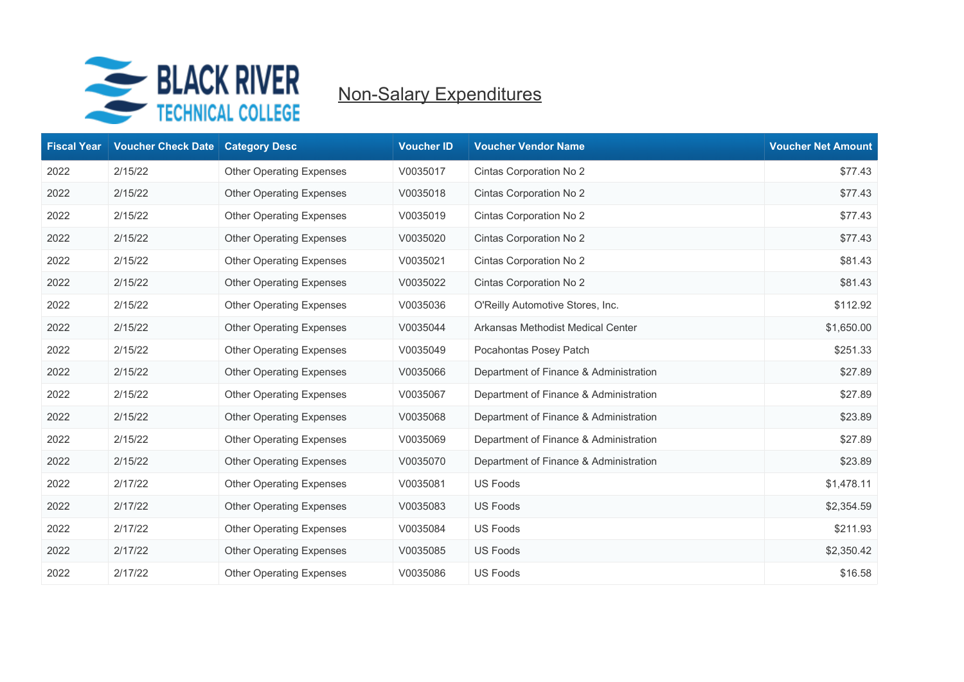

| <b>Fiscal Year</b> | <b>Voucher Check Date</b> | <b>Category Desc</b>            | <b>Voucher ID</b> | <b>Voucher Vendor Name</b>             | <b>Voucher Net Amount</b> |
|--------------------|---------------------------|---------------------------------|-------------------|----------------------------------------|---------------------------|
| 2022               | 2/15/22                   | <b>Other Operating Expenses</b> | V0035017          | Cintas Corporation No 2                | \$77.43                   |
| 2022               | 2/15/22                   | <b>Other Operating Expenses</b> | V0035018          | Cintas Corporation No 2                | \$77.43                   |
| 2022               | 2/15/22                   | <b>Other Operating Expenses</b> | V0035019          | Cintas Corporation No 2                | \$77.43                   |
| 2022               | 2/15/22                   | <b>Other Operating Expenses</b> | V0035020          | Cintas Corporation No 2                | \$77.43                   |
| 2022               | 2/15/22                   | <b>Other Operating Expenses</b> | V0035021          | Cintas Corporation No 2                | \$81.43                   |
| 2022               | 2/15/22                   | <b>Other Operating Expenses</b> | V0035022          | Cintas Corporation No 2                | \$81.43                   |
| 2022               | 2/15/22                   | <b>Other Operating Expenses</b> | V0035036          | O'Reilly Automotive Stores, Inc.       | \$112.92                  |
| 2022               | 2/15/22                   | <b>Other Operating Expenses</b> | V0035044          | Arkansas Methodist Medical Center      | \$1,650.00                |
| 2022               | 2/15/22                   | <b>Other Operating Expenses</b> | V0035049          | Pocahontas Posey Patch                 | \$251.33                  |
| 2022               | 2/15/22                   | <b>Other Operating Expenses</b> | V0035066          | Department of Finance & Administration | \$27.89                   |
| 2022               | 2/15/22                   | <b>Other Operating Expenses</b> | V0035067          | Department of Finance & Administration | \$27.89                   |
| 2022               | 2/15/22                   | <b>Other Operating Expenses</b> | V0035068          | Department of Finance & Administration | \$23.89                   |
| 2022               | 2/15/22                   | <b>Other Operating Expenses</b> | V0035069          | Department of Finance & Administration | \$27.89                   |
| 2022               | 2/15/22                   | <b>Other Operating Expenses</b> | V0035070          | Department of Finance & Administration | \$23.89                   |
| 2022               | 2/17/22                   | <b>Other Operating Expenses</b> | V0035081          | <b>US Foods</b>                        | \$1,478.11                |
| 2022               | 2/17/22                   | <b>Other Operating Expenses</b> | V0035083          | <b>US Foods</b>                        | \$2,354.59                |
| 2022               | 2/17/22                   | <b>Other Operating Expenses</b> | V0035084          | <b>US Foods</b>                        | \$211.93                  |
| 2022               | 2/17/22                   | <b>Other Operating Expenses</b> | V0035085          | <b>US Foods</b>                        | \$2,350.42                |
| 2022               | 2/17/22                   | <b>Other Operating Expenses</b> | V0035086          | <b>US Foods</b>                        | \$16.58                   |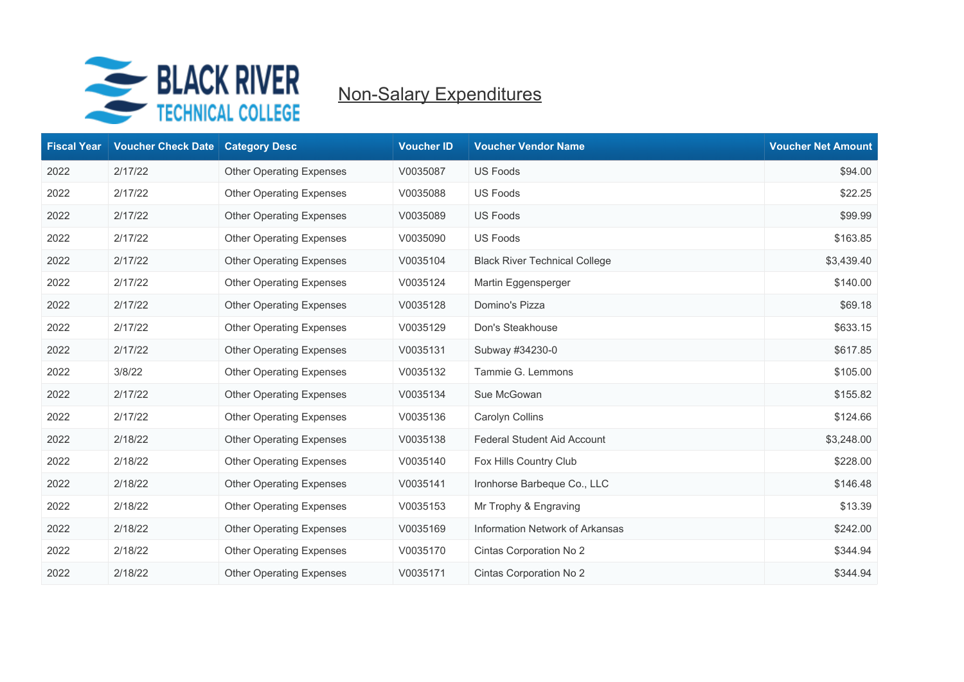

| <b>Fiscal Year</b> | <b>Voucher Check Date</b> | <b>Category Desc</b>            | <b>Voucher ID</b> | <b>Voucher Vendor Name</b>           | <b>Voucher Net Amount</b> |
|--------------------|---------------------------|---------------------------------|-------------------|--------------------------------------|---------------------------|
| 2022               | 2/17/22                   | <b>Other Operating Expenses</b> | V0035087          | <b>US Foods</b>                      | \$94.00                   |
| 2022               | 2/17/22                   | <b>Other Operating Expenses</b> | V0035088          | <b>US Foods</b>                      | \$22.25                   |
| 2022               | 2/17/22                   | <b>Other Operating Expenses</b> | V0035089          | <b>US Foods</b>                      | \$99.99                   |
| 2022               | 2/17/22                   | <b>Other Operating Expenses</b> | V0035090          | <b>US Foods</b>                      | \$163.85                  |
| 2022               | 2/17/22                   | <b>Other Operating Expenses</b> | V0035104          | <b>Black River Technical College</b> | \$3,439.40                |
| 2022               | 2/17/22                   | <b>Other Operating Expenses</b> | V0035124          | Martin Eggensperger                  | \$140.00                  |
| 2022               | 2/17/22                   | <b>Other Operating Expenses</b> | V0035128          | Domino's Pizza                       | \$69.18                   |
| 2022               | 2/17/22                   | <b>Other Operating Expenses</b> | V0035129          | Don's Steakhouse                     | \$633.15                  |
| 2022               | 2/17/22                   | <b>Other Operating Expenses</b> | V0035131          | Subway #34230-0                      | \$617.85                  |
| 2022               | 3/8/22                    | <b>Other Operating Expenses</b> | V0035132          | Tammie G. Lemmons                    | \$105.00                  |
| 2022               | 2/17/22                   | <b>Other Operating Expenses</b> | V0035134          | Sue McGowan                          | \$155.82                  |
| 2022               | 2/17/22                   | <b>Other Operating Expenses</b> | V0035136          | Carolyn Collins                      | \$124.66                  |
| 2022               | 2/18/22                   | <b>Other Operating Expenses</b> | V0035138          | <b>Federal Student Aid Account</b>   | \$3,248.00                |
| 2022               | 2/18/22                   | <b>Other Operating Expenses</b> | V0035140          | Fox Hills Country Club               | \$228.00                  |
| 2022               | 2/18/22                   | <b>Other Operating Expenses</b> | V0035141          | Ironhorse Barbeque Co., LLC          | \$146.48                  |
| 2022               | 2/18/22                   | <b>Other Operating Expenses</b> | V0035153          | Mr Trophy & Engraving                | \$13.39                   |
| 2022               | 2/18/22                   | <b>Other Operating Expenses</b> | V0035169          | Information Network of Arkansas      | \$242.00                  |
| 2022               | 2/18/22                   | <b>Other Operating Expenses</b> | V0035170          | Cintas Corporation No 2              | \$344.94                  |
| 2022               | 2/18/22                   | <b>Other Operating Expenses</b> | V0035171          | Cintas Corporation No 2              | \$344.94                  |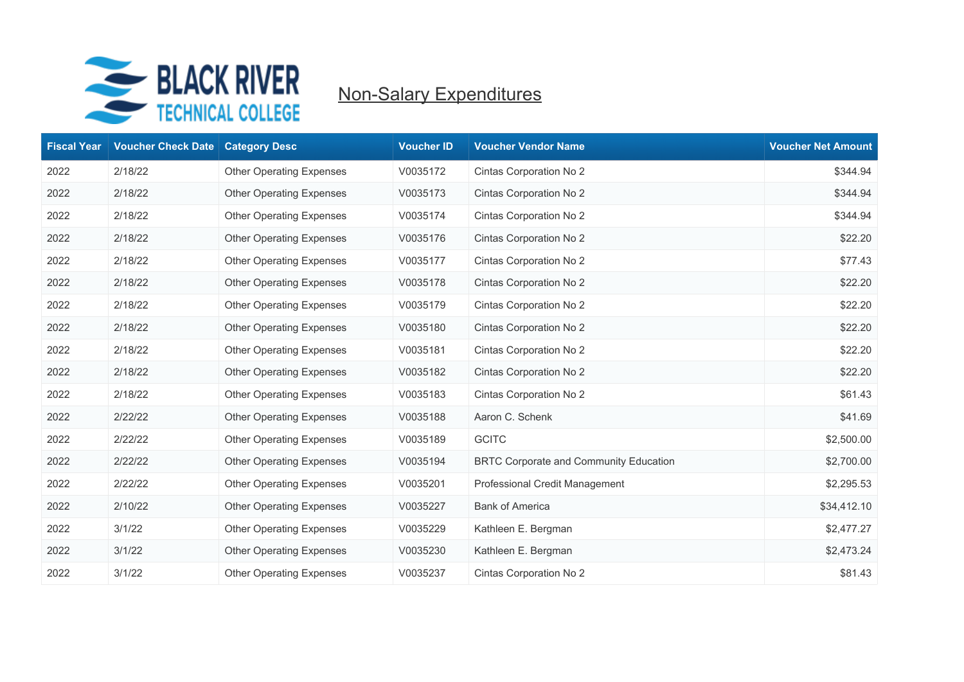

| <b>Fiscal Year</b> | <b>Voucher Check Date</b> | <b>Category Desc</b>            | <b>Voucher ID</b> | <b>Voucher Vendor Name</b>                    | <b>Voucher Net Amount</b> |
|--------------------|---------------------------|---------------------------------|-------------------|-----------------------------------------------|---------------------------|
| 2022               | 2/18/22                   | <b>Other Operating Expenses</b> | V0035172          | Cintas Corporation No 2                       | \$344.94                  |
| 2022               | 2/18/22                   | <b>Other Operating Expenses</b> | V0035173          | Cintas Corporation No 2                       | \$344.94                  |
| 2022               | 2/18/22                   | <b>Other Operating Expenses</b> | V0035174          | Cintas Corporation No 2                       | \$344.94                  |
| 2022               | 2/18/22                   | <b>Other Operating Expenses</b> | V0035176          | Cintas Corporation No 2                       | \$22.20                   |
| 2022               | 2/18/22                   | <b>Other Operating Expenses</b> | V0035177          | Cintas Corporation No 2                       | \$77.43                   |
| 2022               | 2/18/22                   | <b>Other Operating Expenses</b> | V0035178          | Cintas Corporation No 2                       | \$22.20                   |
| 2022               | 2/18/22                   | <b>Other Operating Expenses</b> | V0035179          | Cintas Corporation No 2                       | \$22.20                   |
| 2022               | 2/18/22                   | <b>Other Operating Expenses</b> | V0035180          | Cintas Corporation No 2                       | \$22.20                   |
| 2022               | 2/18/22                   | <b>Other Operating Expenses</b> | V0035181          | Cintas Corporation No 2                       | \$22.20                   |
| 2022               | 2/18/22                   | <b>Other Operating Expenses</b> | V0035182          | Cintas Corporation No 2                       | \$22.20                   |
| 2022               | 2/18/22                   | <b>Other Operating Expenses</b> | V0035183          | Cintas Corporation No 2                       | \$61.43                   |
| 2022               | 2/22/22                   | <b>Other Operating Expenses</b> | V0035188          | Aaron C. Schenk                               | \$41.69                   |
| 2022               | 2/22/22                   | <b>Other Operating Expenses</b> | V0035189          | <b>GCITC</b>                                  | \$2,500.00                |
| 2022               | 2/22/22                   | <b>Other Operating Expenses</b> | V0035194          | <b>BRTC Corporate and Community Education</b> | \$2,700.00                |
| 2022               | 2/22/22                   | <b>Other Operating Expenses</b> | V0035201          | Professional Credit Management                | \$2,295.53                |
| 2022               | 2/10/22                   | <b>Other Operating Expenses</b> | V0035227          | <b>Bank of America</b>                        | \$34,412.10               |
| 2022               | 3/1/22                    | <b>Other Operating Expenses</b> | V0035229          | Kathleen E. Bergman                           | \$2,477.27                |
| 2022               | 3/1/22                    | <b>Other Operating Expenses</b> | V0035230          | Kathleen E. Bergman                           | \$2,473.24                |
| 2022               | 3/1/22                    | <b>Other Operating Expenses</b> | V0035237          | Cintas Corporation No 2                       | \$81.43                   |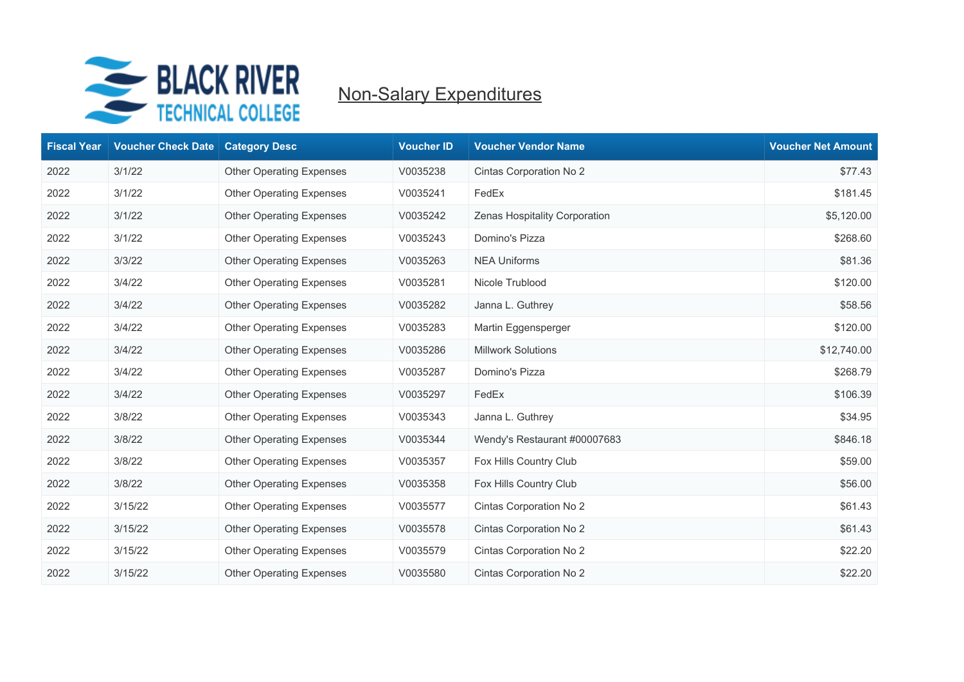

| <b>Fiscal Year</b> | <b>Voucher Check Date</b> | <b>Category Desc</b>            | <b>Voucher ID</b> | <b>Voucher Vendor Name</b>    | <b>Voucher Net Amount</b> |
|--------------------|---------------------------|---------------------------------|-------------------|-------------------------------|---------------------------|
| 2022               | 3/1/22                    | <b>Other Operating Expenses</b> | V0035238          | Cintas Corporation No 2       | \$77.43                   |
| 2022               | 3/1/22                    | <b>Other Operating Expenses</b> | V0035241          | FedEx                         | \$181.45                  |
| 2022               | 3/1/22                    | <b>Other Operating Expenses</b> | V0035242          | Zenas Hospitality Corporation | \$5,120.00                |
| 2022               | 3/1/22                    | <b>Other Operating Expenses</b> | V0035243          | Domino's Pizza                | \$268.60                  |
| 2022               | 3/3/22                    | <b>Other Operating Expenses</b> | V0035263          | <b>NEA Uniforms</b>           | \$81.36                   |
| 2022               | 3/4/22                    | <b>Other Operating Expenses</b> | V0035281          | Nicole Trublood               | \$120.00                  |
| 2022               | 3/4/22                    | <b>Other Operating Expenses</b> | V0035282          | Janna L. Guthrey              | \$58.56                   |
| 2022               | 3/4/22                    | <b>Other Operating Expenses</b> | V0035283          | Martin Eggensperger           | \$120.00                  |
| 2022               | 3/4/22                    | <b>Other Operating Expenses</b> | V0035286          | <b>Millwork Solutions</b>     | \$12,740.00               |
| 2022               | 3/4/22                    | <b>Other Operating Expenses</b> | V0035287          | Domino's Pizza                | \$268.79                  |
| 2022               | 3/4/22                    | <b>Other Operating Expenses</b> | V0035297          | FedEx                         | \$106.39                  |
| 2022               | 3/8/22                    | <b>Other Operating Expenses</b> | V0035343          | Janna L. Guthrey              | \$34.95                   |
| 2022               | 3/8/22                    | <b>Other Operating Expenses</b> | V0035344          | Wendy's Restaurant #00007683  | \$846.18                  |
| 2022               | 3/8/22                    | <b>Other Operating Expenses</b> | V0035357          | Fox Hills Country Club        | \$59.00                   |
| 2022               | 3/8/22                    | <b>Other Operating Expenses</b> | V0035358          | Fox Hills Country Club        | \$56.00                   |
| 2022               | 3/15/22                   | <b>Other Operating Expenses</b> | V0035577          | Cintas Corporation No 2       | \$61.43                   |
| 2022               | 3/15/22                   | <b>Other Operating Expenses</b> | V0035578          | Cintas Corporation No 2       | \$61.43                   |
| 2022               | 3/15/22                   | <b>Other Operating Expenses</b> | V0035579          | Cintas Corporation No 2       | \$22.20                   |
| 2022               | 3/15/22                   | <b>Other Operating Expenses</b> | V0035580          | Cintas Corporation No 2       | \$22.20                   |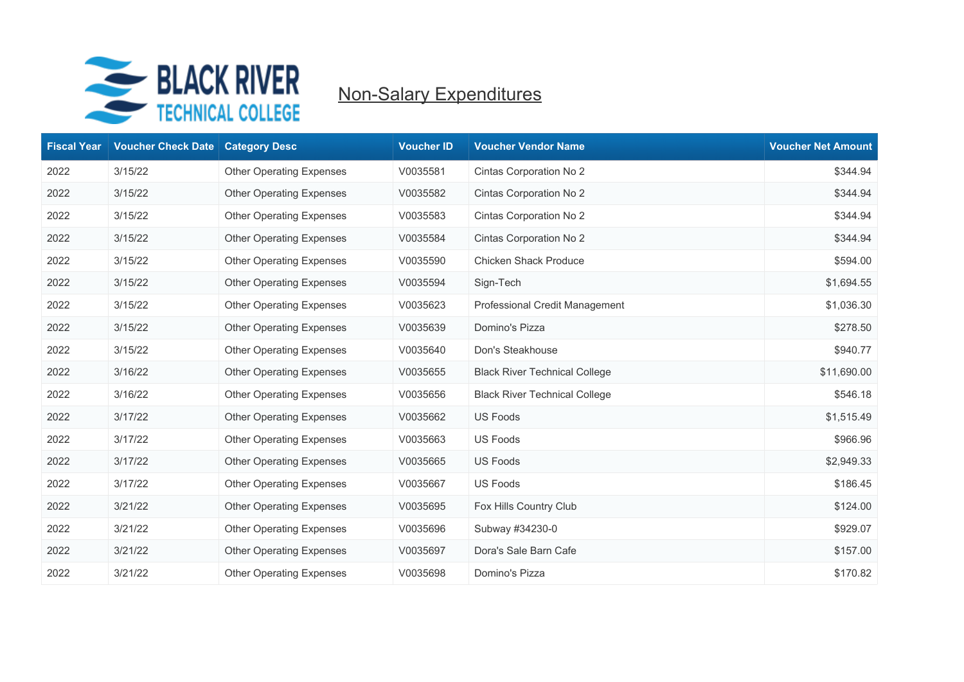

| <b>Fiscal Year</b> | <b>Voucher Check Date</b> | <b>Category Desc</b>            | <b>Voucher ID</b> | <b>Voucher Vendor Name</b>           | <b>Voucher Net Amount</b> |
|--------------------|---------------------------|---------------------------------|-------------------|--------------------------------------|---------------------------|
| 2022               | 3/15/22                   | <b>Other Operating Expenses</b> | V0035581          | Cintas Corporation No 2              | \$344.94                  |
| 2022               | 3/15/22                   | <b>Other Operating Expenses</b> | V0035582          | Cintas Corporation No 2              | \$344.94                  |
| 2022               | 3/15/22                   | <b>Other Operating Expenses</b> | V0035583          | Cintas Corporation No 2              | \$344.94                  |
| 2022               | 3/15/22                   | <b>Other Operating Expenses</b> | V0035584          | Cintas Corporation No 2              | \$344.94                  |
| 2022               | 3/15/22                   | <b>Other Operating Expenses</b> | V0035590          | <b>Chicken Shack Produce</b>         | \$594.00                  |
| 2022               | 3/15/22                   | <b>Other Operating Expenses</b> | V0035594          | Sign-Tech                            | \$1,694.55                |
| 2022               | 3/15/22                   | <b>Other Operating Expenses</b> | V0035623          | Professional Credit Management       | \$1,036.30                |
| 2022               | 3/15/22                   | <b>Other Operating Expenses</b> | V0035639          | Domino's Pizza                       | \$278.50                  |
| 2022               | 3/15/22                   | <b>Other Operating Expenses</b> | V0035640          | Don's Steakhouse                     | \$940.77                  |
| 2022               | 3/16/22                   | <b>Other Operating Expenses</b> | V0035655          | <b>Black River Technical College</b> | \$11,690.00               |
| 2022               | 3/16/22                   | <b>Other Operating Expenses</b> | V0035656          | <b>Black River Technical College</b> | \$546.18                  |
| 2022               | 3/17/22                   | <b>Other Operating Expenses</b> | V0035662          | <b>US Foods</b>                      | \$1,515.49                |
| 2022               | 3/17/22                   | <b>Other Operating Expenses</b> | V0035663          | <b>US Foods</b>                      | \$966.96                  |
| 2022               | 3/17/22                   | <b>Other Operating Expenses</b> | V0035665          | <b>US Foods</b>                      | \$2,949.33                |
| 2022               | 3/17/22                   | <b>Other Operating Expenses</b> | V0035667          | <b>US Foods</b>                      | \$186.45                  |
| 2022               | 3/21/22                   | <b>Other Operating Expenses</b> | V0035695          | Fox Hills Country Club               | \$124.00                  |
| 2022               | 3/21/22                   | <b>Other Operating Expenses</b> | V0035696          | Subway #34230-0                      | \$929.07                  |
| 2022               | 3/21/22                   | <b>Other Operating Expenses</b> | V0035697          | Dora's Sale Barn Cafe                | \$157.00                  |
| 2022               | 3/21/22                   | <b>Other Operating Expenses</b> | V0035698          | Domino's Pizza                       | \$170.82                  |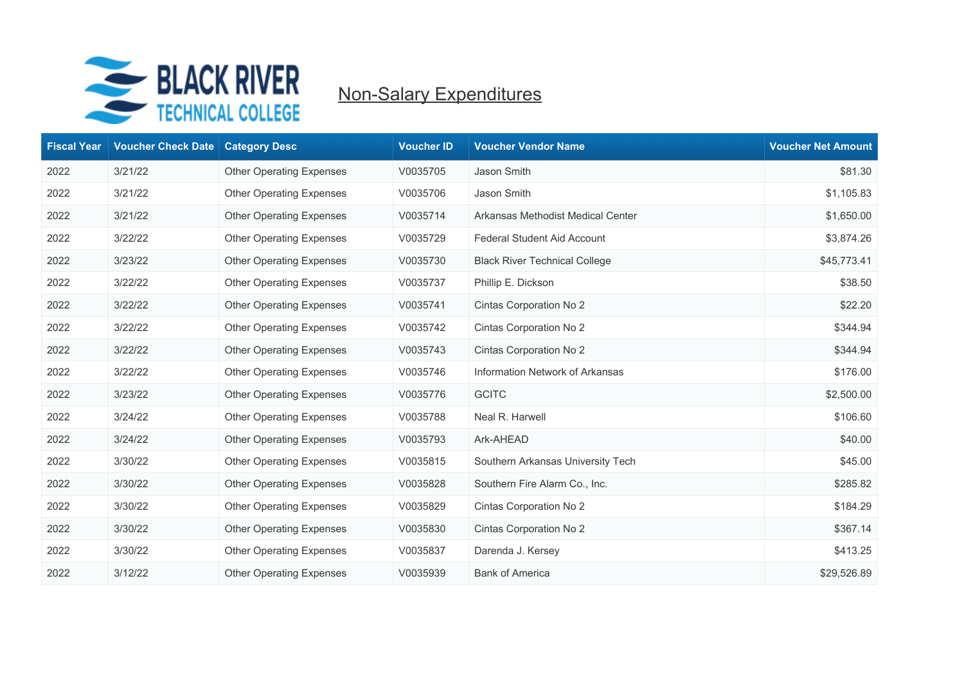

| <b>Fiscal Year</b> | <b>Voucher Check Date</b> | <b>Category Desc</b>            | <b>Voucher ID</b> | <b>Voucher Vendor Name</b>           | <b>Voucher Net Amount</b> |
|--------------------|---------------------------|---------------------------------|-------------------|--------------------------------------|---------------------------|
| 2022               | 3/21/22                   | <b>Other Operating Expenses</b> | V0035705          | Jason Smith                          | \$81.30                   |
| 2022               | 3/21/22                   | <b>Other Operating Expenses</b> | V0035706          | Jason Smith                          | \$1,105.83                |
| 2022               | 3/21/22                   | <b>Other Operating Expenses</b> | V0035714          | Arkansas Methodist Medical Center    | \$1,650.00                |
| 2022               | 3/22/22                   | <b>Other Operating Expenses</b> | V0035729          | <b>Federal Student Aid Account</b>   | \$3,874.26                |
| 2022               | 3/23/22                   | <b>Other Operating Expenses</b> | V0035730          | <b>Black River Technical College</b> | \$45,773.41               |
| 2022               | 3/22/22                   | <b>Other Operating Expenses</b> | V0035737          | Phillip E. Dickson                   | \$38.50                   |
| 2022               | 3/22/22                   | <b>Other Operating Expenses</b> | V0035741          | Cintas Corporation No 2              | \$22.20                   |
| 2022               | 3/22/22                   | <b>Other Operating Expenses</b> | V0035742          | Cintas Corporation No 2              | \$344.94                  |
| 2022               | 3/22/22                   | <b>Other Operating Expenses</b> | V0035743          | Cintas Corporation No 2              | \$344.94                  |
| 2022               | 3/22/22                   | <b>Other Operating Expenses</b> | V0035746          | Information Network of Arkansas      | \$176.00                  |
| 2022               | 3/23/22                   | <b>Other Operating Expenses</b> | V0035776          | <b>GCITC</b>                         | \$2,500.00                |
| 2022               | 3/24/22                   | <b>Other Operating Expenses</b> | V0035788          | Neal R. Harwell                      | \$106.60                  |
| 2022               | 3/24/22                   | <b>Other Operating Expenses</b> | V0035793          | Ark-AHEAD                            | \$40.00                   |
| 2022               | 3/30/22                   | <b>Other Operating Expenses</b> | V0035815          | Southern Arkansas University Tech    | \$45.00                   |
| 2022               | 3/30/22                   | <b>Other Operating Expenses</b> | V0035828          | Southern Fire Alarm Co., Inc.        | \$285.82                  |
| 2022               | 3/30/22                   | <b>Other Operating Expenses</b> | V0035829          | Cintas Corporation No 2              | \$184.29                  |
| 2022               | 3/30/22                   | <b>Other Operating Expenses</b> | V0035830          | Cintas Corporation No 2              | \$367.14                  |
| 2022               | 3/30/22                   | <b>Other Operating Expenses</b> | V0035837          | Darenda J. Kersey                    | \$413.25                  |
| 2022               | 3/12/22                   | <b>Other Operating Expenses</b> | V0035939          | <b>Bank of America</b>               | \$29,526.89               |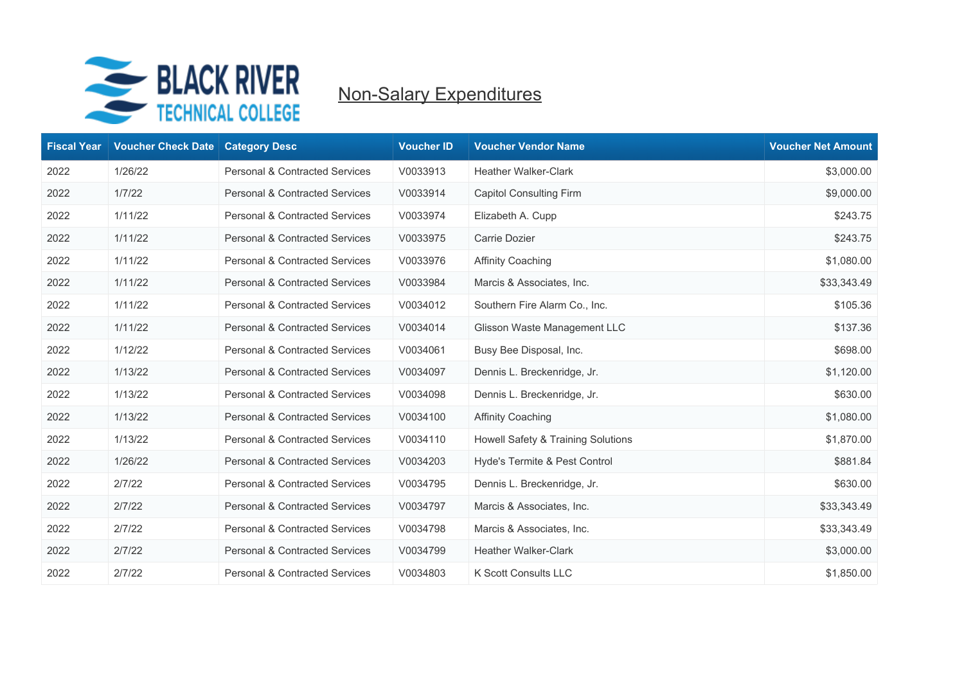

| <b>Fiscal Year</b> | <b>Voucher Check Date</b> | <b>Category Desc</b>                      | <b>Voucher ID</b> | <b>Voucher Vendor Name</b>         | <b>Voucher Net Amount</b> |
|--------------------|---------------------------|-------------------------------------------|-------------------|------------------------------------|---------------------------|
| 2022               | 1/26/22                   | <b>Personal &amp; Contracted Services</b> | V0033913          | <b>Heather Walker-Clark</b>        | \$3,000.00                |
| 2022               | 1/7/22                    | <b>Personal &amp; Contracted Services</b> | V0033914          | <b>Capitol Consulting Firm</b>     | \$9,000.00                |
| 2022               | 1/11/22                   | <b>Personal &amp; Contracted Services</b> | V0033974          | Elizabeth A. Cupp                  | \$243.75                  |
| 2022               | 1/11/22                   | <b>Personal &amp; Contracted Services</b> | V0033975          | Carrie Dozier                      | \$243.75                  |
| 2022               | 1/11/22                   | <b>Personal &amp; Contracted Services</b> | V0033976          | <b>Affinity Coaching</b>           | \$1,080.00                |
| 2022               | 1/11/22                   | Personal & Contracted Services            | V0033984          | Marcis & Associates, Inc.          | \$33,343.49               |
| 2022               | 1/11/22                   | Personal & Contracted Services            | V0034012          | Southern Fire Alarm Co., Inc.      | \$105.36                  |
| 2022               | 1/11/22                   | <b>Personal &amp; Contracted Services</b> | V0034014          | Glisson Waste Management LLC       | \$137.36                  |
| 2022               | 1/12/22                   | <b>Personal &amp; Contracted Services</b> | V0034061          | Busy Bee Disposal, Inc.            | \$698.00                  |
| 2022               | 1/13/22                   | Personal & Contracted Services            | V0034097          | Dennis L. Breckenridge, Jr.        | \$1,120.00                |
| 2022               | 1/13/22                   | <b>Personal &amp; Contracted Services</b> | V0034098          | Dennis L. Breckenridge, Jr.        | \$630.00                  |
| 2022               | 1/13/22                   | Personal & Contracted Services            | V0034100          | <b>Affinity Coaching</b>           | \$1,080.00                |
| 2022               | 1/13/22                   | Personal & Contracted Services            | V0034110          | Howell Safety & Training Solutions | \$1,870.00                |
| 2022               | 1/26/22                   | Personal & Contracted Services            | V0034203          | Hyde's Termite & Pest Control      | \$881.84                  |
| 2022               | 2/7/22                    | <b>Personal &amp; Contracted Services</b> | V0034795          | Dennis L. Breckenridge, Jr.        | \$630.00                  |
| 2022               | 2/7/22                    | <b>Personal &amp; Contracted Services</b> | V0034797          | Marcis & Associates, Inc.          | \$33,343.49               |
| 2022               | 2/7/22                    | <b>Personal &amp; Contracted Services</b> | V0034798          | Marcis & Associates, Inc.          | \$33,343.49               |
| 2022               | 2/7/22                    | <b>Personal &amp; Contracted Services</b> | V0034799          | <b>Heather Walker-Clark</b>        | \$3,000.00                |
| 2022               | 2/7/22                    | <b>Personal &amp; Contracted Services</b> | V0034803          | K Scott Consults LLC               | \$1,850.00                |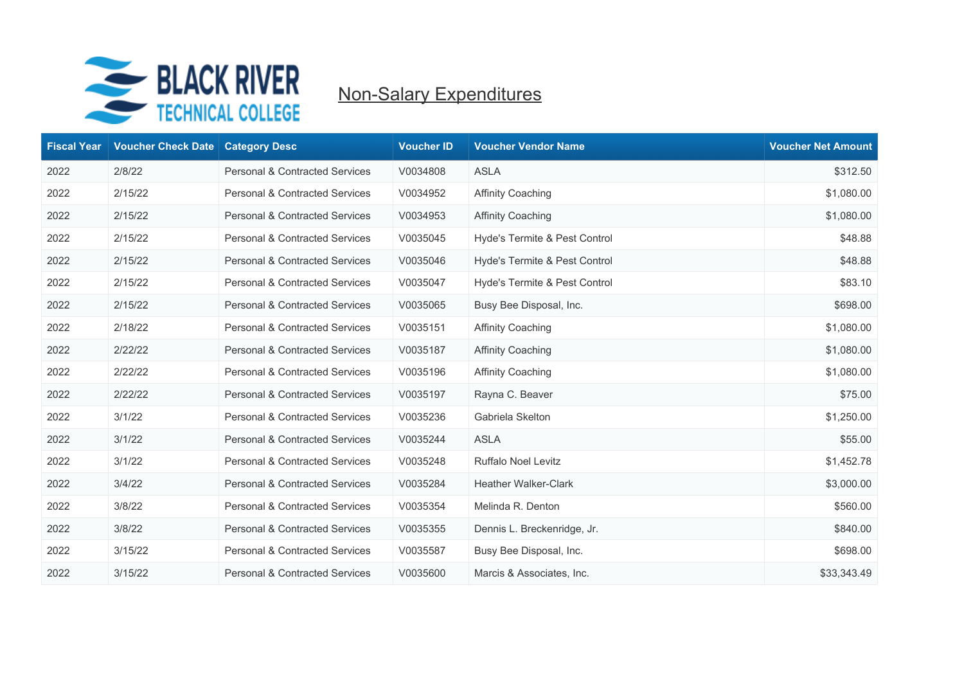

| <b>Fiscal Year</b> | <b>Voucher Check Date</b> | <b>Category Desc</b>                      | <b>Voucher ID</b> | <b>Voucher Vendor Name</b>    | <b>Voucher Net Amount</b> |
|--------------------|---------------------------|-------------------------------------------|-------------------|-------------------------------|---------------------------|
| 2022               | 2/8/22                    | <b>Personal &amp; Contracted Services</b> | V0034808          | <b>ASLA</b>                   | \$312.50                  |
| 2022               | 2/15/22                   | Personal & Contracted Services            | V0034952          | <b>Affinity Coaching</b>      | \$1,080.00                |
| 2022               | 2/15/22                   | <b>Personal &amp; Contracted Services</b> | V0034953          | <b>Affinity Coaching</b>      | \$1,080.00                |
| 2022               | 2/15/22                   | <b>Personal &amp; Contracted Services</b> | V0035045          | Hyde's Termite & Pest Control | \$48.88                   |
| 2022               | 2/15/22                   | Personal & Contracted Services            | V0035046          | Hyde's Termite & Pest Control | \$48.88                   |
| 2022               | 2/15/22                   | <b>Personal &amp; Contracted Services</b> | V0035047          | Hyde's Termite & Pest Control | \$83.10                   |
| 2022               | 2/15/22                   | Personal & Contracted Services            | V0035065          | Busy Bee Disposal, Inc.       | \$698.00                  |
| 2022               | 2/18/22                   | <b>Personal &amp; Contracted Services</b> | V0035151          | <b>Affinity Coaching</b>      | \$1,080.00                |
| 2022               | 2/22/22                   | Personal & Contracted Services            | V0035187          | <b>Affinity Coaching</b>      | \$1,080.00                |
| 2022               | 2/22/22                   | <b>Personal &amp; Contracted Services</b> | V0035196          | <b>Affinity Coaching</b>      | \$1,080.00                |
| 2022               | 2/22/22                   | <b>Personal &amp; Contracted Services</b> | V0035197          | Rayna C. Beaver               | \$75.00                   |
| 2022               | 3/1/22                    | Personal & Contracted Services            | V0035236          | Gabriela Skelton              | \$1,250.00                |
| 2022               | 3/1/22                    | <b>Personal &amp; Contracted Services</b> | V0035244          | ASLA                          | \$55.00                   |
| 2022               | 3/1/22                    | Personal & Contracted Services            | V0035248          | <b>Ruffalo Noel Levitz</b>    | \$1,452.78                |
| 2022               | 3/4/22                    | <b>Personal &amp; Contracted Services</b> | V0035284          | <b>Heather Walker-Clark</b>   | \$3,000.00                |
| 2022               | 3/8/22                    | Personal & Contracted Services            | V0035354          | Melinda R. Denton             | \$560.00                  |
| 2022               | 3/8/22                    | <b>Personal &amp; Contracted Services</b> | V0035355          | Dennis L. Breckenridge, Jr.   | \$840.00                  |
| 2022               | 3/15/22                   | <b>Personal &amp; Contracted Services</b> | V0035587          | Busy Bee Disposal, Inc.       | \$698.00                  |
| 2022               | 3/15/22                   | <b>Personal &amp; Contracted Services</b> | V0035600          | Marcis & Associates, Inc.     | \$33,343.49               |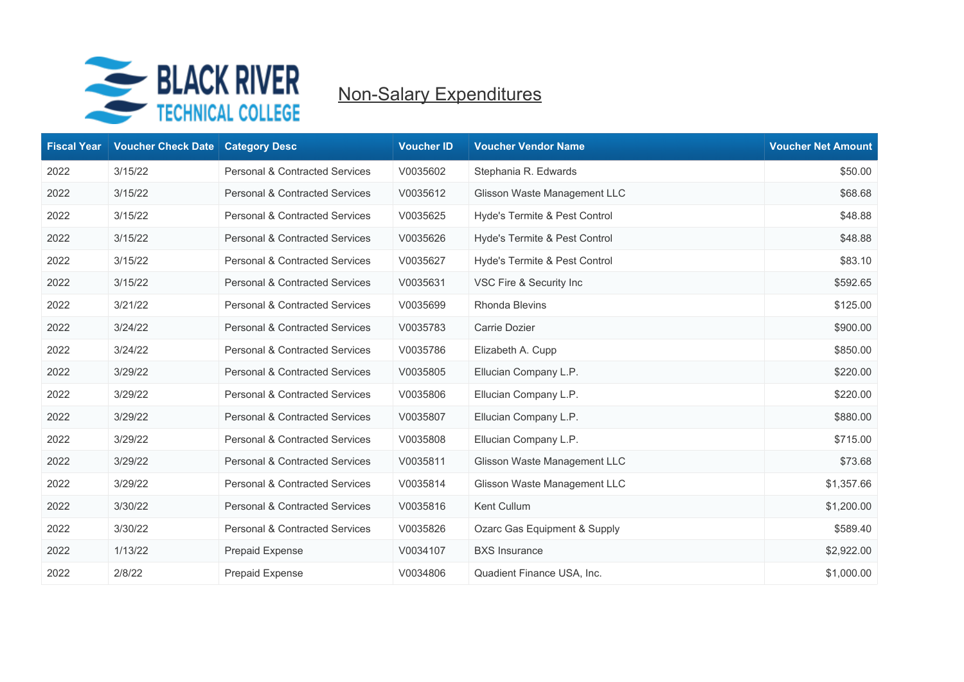

| <b>Fiscal Year</b> | <b>Voucher Check Date</b> | <b>Category Desc</b>                      | <b>Voucher ID</b> | <b>Voucher Vendor Name</b>    | <b>Voucher Net Amount</b> |
|--------------------|---------------------------|-------------------------------------------|-------------------|-------------------------------|---------------------------|
| 2022               | 3/15/22                   | <b>Personal &amp; Contracted Services</b> | V0035602          | Stephania R. Edwards          | \$50.00                   |
| 2022               | 3/15/22                   | <b>Personal &amp; Contracted Services</b> | V0035612          | Glisson Waste Management LLC  | \$68.68                   |
| 2022               | 3/15/22                   | <b>Personal &amp; Contracted Services</b> | V0035625          | Hyde's Termite & Pest Control | \$48.88                   |
| 2022               | 3/15/22                   | Personal & Contracted Services            | V0035626          | Hyde's Termite & Pest Control | \$48.88                   |
| 2022               | 3/15/22                   | Personal & Contracted Services            | V0035627          | Hyde's Termite & Pest Control | \$83.10                   |
| 2022               | 3/15/22                   | <b>Personal &amp; Contracted Services</b> | V0035631          | VSC Fire & Security Inc       | \$592.65                  |
| 2022               | 3/21/22                   | Personal & Contracted Services            | V0035699          | Rhonda Blevins                | \$125.00                  |
| 2022               | 3/24/22                   | Personal & Contracted Services            | V0035783          | Carrie Dozier                 | \$900.00                  |
| 2022               | 3/24/22                   | <b>Personal &amp; Contracted Services</b> | V0035786          | Elizabeth A. Cupp             | \$850.00                  |
| 2022               | 3/29/22                   | Personal & Contracted Services            | V0035805          | Ellucian Company L.P.         | \$220.00                  |
| 2022               | 3/29/22                   | Personal & Contracted Services            | V0035806          | Ellucian Company L.P.         | \$220.00                  |
| 2022               | 3/29/22                   | Personal & Contracted Services            | V0035807          | Ellucian Company L.P.         | \$880.00                  |
| 2022               | 3/29/22                   | <b>Personal &amp; Contracted Services</b> | V0035808          | Ellucian Company L.P.         | \$715.00                  |
| 2022               | 3/29/22                   | <b>Personal &amp; Contracted Services</b> | V0035811          | Glisson Waste Management LLC  | \$73.68                   |
| 2022               | 3/29/22                   | Personal & Contracted Services            | V0035814          | Glisson Waste Management LLC  | \$1,357.66                |
| 2022               | 3/30/22                   | Personal & Contracted Services            | V0035816          | Kent Cullum                   | \$1,200.00                |
| 2022               | 3/30/22                   | <b>Personal &amp; Contracted Services</b> | V0035826          | Ozarc Gas Equipment & Supply  | \$589.40                  |
| 2022               | 1/13/22                   | Prepaid Expense                           | V0034107          | <b>BXS</b> Insurance          | \$2,922.00                |
| 2022               | 2/8/22                    | Prepaid Expense                           | V0034806          | Quadient Finance USA, Inc.    | \$1,000.00                |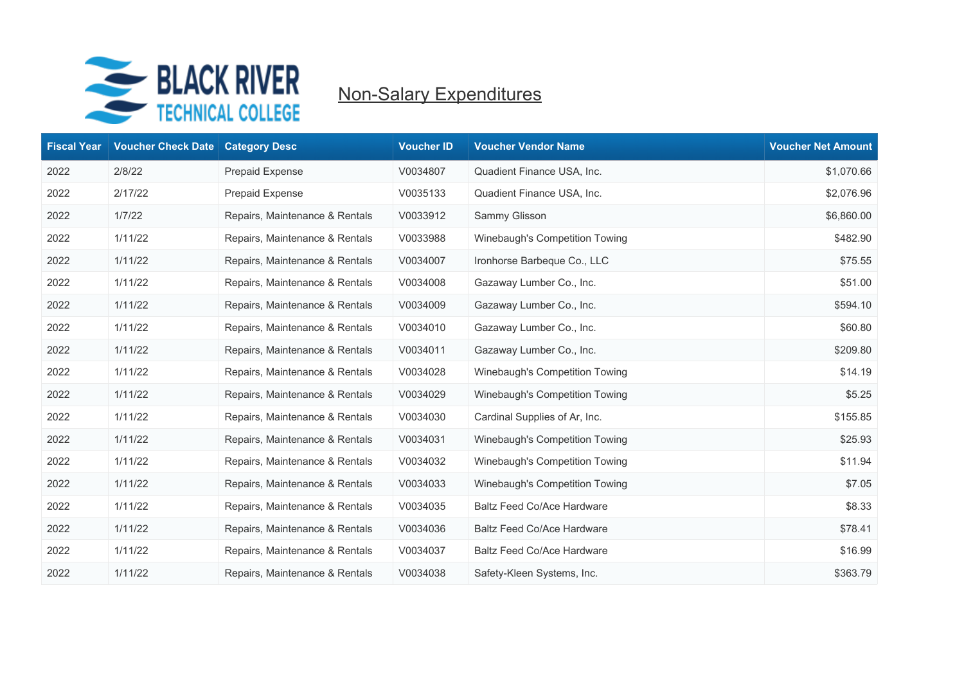

| <b>Fiscal Year</b> | <b>Voucher Check Date</b> | <b>Category Desc</b>           | <b>Voucher ID</b> | <b>Voucher Vendor Name</b>     | <b>Voucher Net Amount</b> |
|--------------------|---------------------------|--------------------------------|-------------------|--------------------------------|---------------------------|
| 2022               | 2/8/22                    | Prepaid Expense                | V0034807          | Quadient Finance USA, Inc.     | \$1,070.66                |
| 2022               | 2/17/22                   | Prepaid Expense                | V0035133          | Quadient Finance USA, Inc.     | \$2,076.96                |
| 2022               | 1/7/22                    | Repairs, Maintenance & Rentals | V0033912          | Sammy Glisson                  | \$6,860.00                |
| 2022               | 1/11/22                   | Repairs, Maintenance & Rentals | V0033988          | Winebaugh's Competition Towing | \$482.90                  |
| 2022               | 1/11/22                   | Repairs, Maintenance & Rentals | V0034007          | Ironhorse Barbeque Co., LLC    | \$75.55                   |
| 2022               | 1/11/22                   | Repairs, Maintenance & Rentals | V0034008          | Gazaway Lumber Co., Inc.       | \$51.00                   |
| 2022               | 1/11/22                   | Repairs, Maintenance & Rentals | V0034009          | Gazaway Lumber Co., Inc.       | \$594.10                  |
| 2022               | 1/11/22                   | Repairs, Maintenance & Rentals | V0034010          | Gazaway Lumber Co., Inc.       | \$60.80                   |
| 2022               | 1/11/22                   | Repairs, Maintenance & Rentals | V0034011          | Gazaway Lumber Co., Inc.       | \$209.80                  |
| 2022               | 1/11/22                   | Repairs, Maintenance & Rentals | V0034028          | Winebaugh's Competition Towing | \$14.19                   |
| 2022               | 1/11/22                   | Repairs, Maintenance & Rentals | V0034029          | Winebaugh's Competition Towing | \$5.25                    |
| 2022               | 1/11/22                   | Repairs, Maintenance & Rentals | V0034030          | Cardinal Supplies of Ar, Inc.  | \$155.85                  |
| 2022               | 1/11/22                   | Repairs, Maintenance & Rentals | V0034031          | Winebaugh's Competition Towing | \$25.93                   |
| 2022               | 1/11/22                   | Repairs, Maintenance & Rentals | V0034032          | Winebaugh's Competition Towing | \$11.94                   |
| 2022               | 1/11/22                   | Repairs, Maintenance & Rentals | V0034033          | Winebaugh's Competition Towing | \$7.05                    |
| 2022               | 1/11/22                   | Repairs, Maintenance & Rentals | V0034035          | Baltz Feed Co/Ace Hardware     | \$8.33                    |
| 2022               | 1/11/22                   | Repairs, Maintenance & Rentals | V0034036          | Baltz Feed Co/Ace Hardware     | \$78.41                   |
| 2022               | 1/11/22                   | Repairs, Maintenance & Rentals | V0034037          | Baltz Feed Co/Ace Hardware     | \$16.99                   |
| 2022               | 1/11/22                   | Repairs, Maintenance & Rentals | V0034038          | Safety-Kleen Systems, Inc.     | \$363.79                  |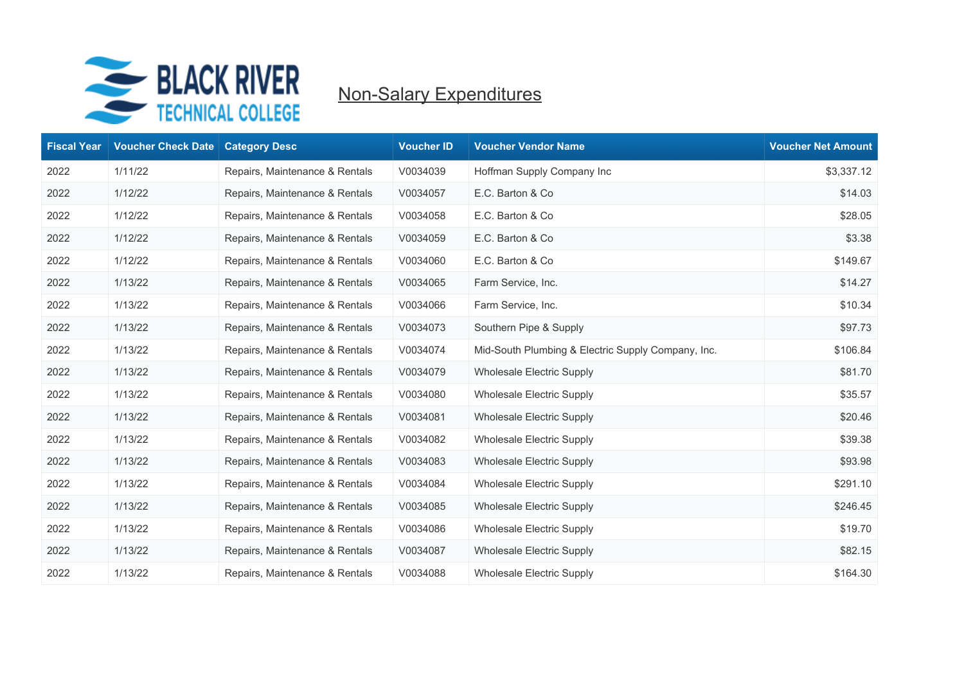

| <b>Fiscal Year</b> | <b>Voucher Check Date</b> | <b>Category Desc</b>           | <b>Voucher ID</b> | <b>Voucher Vendor Name</b>                         | <b>Voucher Net Amount</b> |
|--------------------|---------------------------|--------------------------------|-------------------|----------------------------------------------------|---------------------------|
| 2022               | 1/11/22                   | Repairs, Maintenance & Rentals | V0034039          | Hoffman Supply Company Inc                         | \$3,337.12                |
| 2022               | 1/12/22                   | Repairs, Maintenance & Rentals | V0034057          | E.C. Barton & Co.                                  | \$14.03                   |
| 2022               | 1/12/22                   | Repairs, Maintenance & Rentals | V0034058          | E.C. Barton & Co.                                  | \$28.05                   |
| 2022               | 1/12/22                   | Repairs, Maintenance & Rentals | V0034059          | E.C. Barton & Co.                                  | \$3.38                    |
| 2022               | 1/12/22                   | Repairs, Maintenance & Rentals | V0034060          | E.C. Barton & Co.                                  | \$149.67                  |
| 2022               | 1/13/22                   | Repairs, Maintenance & Rentals | V0034065          | Farm Service, Inc.                                 | \$14.27                   |
| 2022               | 1/13/22                   | Repairs, Maintenance & Rentals | V0034066          | Farm Service, Inc.                                 | \$10.34                   |
| 2022               | 1/13/22                   | Repairs, Maintenance & Rentals | V0034073          | Southern Pipe & Supply                             | \$97.73                   |
| 2022               | 1/13/22                   | Repairs, Maintenance & Rentals | V0034074          | Mid-South Plumbing & Electric Supply Company, Inc. | \$106.84                  |
| 2022               | 1/13/22                   | Repairs, Maintenance & Rentals | V0034079          | <b>Wholesale Electric Supply</b>                   | \$81.70                   |
| 2022               | 1/13/22                   | Repairs, Maintenance & Rentals | V0034080          | <b>Wholesale Electric Supply</b>                   | \$35.57                   |
| 2022               | 1/13/22                   | Repairs, Maintenance & Rentals | V0034081          | <b>Wholesale Electric Supply</b>                   | \$20.46                   |
| 2022               | 1/13/22                   | Repairs, Maintenance & Rentals | V0034082          | <b>Wholesale Electric Supply</b>                   | \$39.38                   |
| 2022               | 1/13/22                   | Repairs, Maintenance & Rentals | V0034083          | <b>Wholesale Electric Supply</b>                   | \$93.98                   |
| 2022               | 1/13/22                   | Repairs, Maintenance & Rentals | V0034084          | Wholesale Electric Supply                          | \$291.10                  |
| 2022               | 1/13/22                   | Repairs, Maintenance & Rentals | V0034085          | <b>Wholesale Electric Supply</b>                   | \$246.45                  |
| 2022               | 1/13/22                   | Repairs, Maintenance & Rentals | V0034086          | <b>Wholesale Electric Supply</b>                   | \$19.70                   |
| 2022               | 1/13/22                   | Repairs, Maintenance & Rentals | V0034087          | Wholesale Electric Supply                          | \$82.15                   |
| 2022               | 1/13/22                   | Repairs, Maintenance & Rentals | V0034088          | <b>Wholesale Electric Supply</b>                   | \$164.30                  |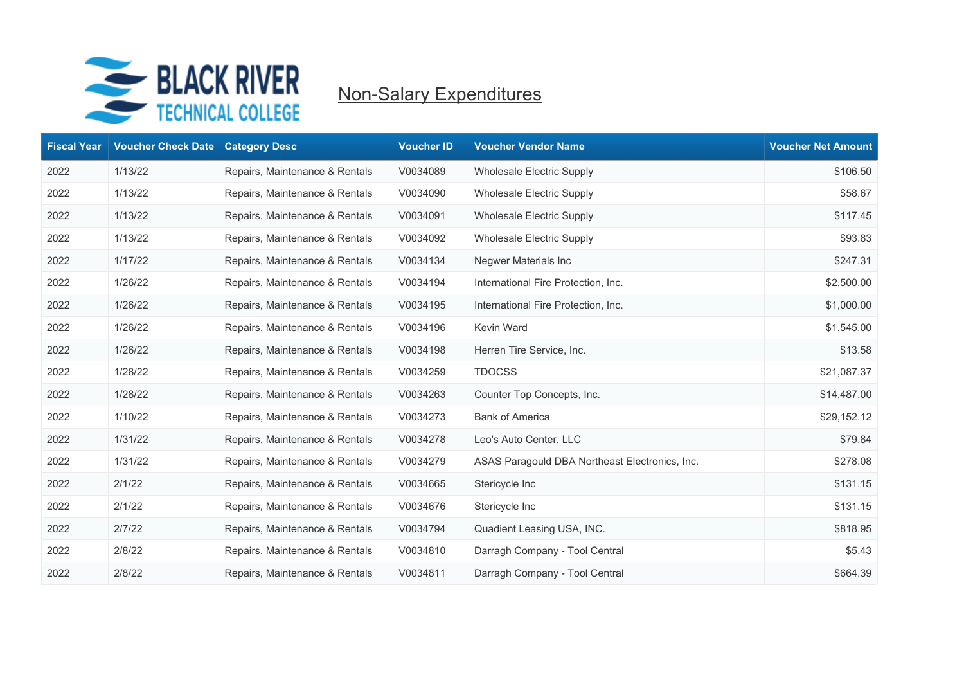

| <b>Fiscal Year</b> | <b>Voucher Check Date</b> | <b>Category Desc</b>           | <b>Voucher ID</b> | <b>Voucher Vendor Name</b>                     | <b>Voucher Net Amount</b> |
|--------------------|---------------------------|--------------------------------|-------------------|------------------------------------------------|---------------------------|
| 2022               | 1/13/22                   | Repairs, Maintenance & Rentals | V0034089          | Wholesale Electric Supply                      | \$106.50                  |
| 2022               | 1/13/22                   | Repairs, Maintenance & Rentals | V0034090          | <b>Wholesale Electric Supply</b>               | \$58.67                   |
| 2022               | 1/13/22                   | Repairs, Maintenance & Rentals | V0034091          | <b>Wholesale Electric Supply</b>               | \$117.45                  |
| 2022               | 1/13/22                   | Repairs, Maintenance & Rentals | V0034092          | Wholesale Electric Supply                      | \$93.83                   |
| 2022               | 1/17/22                   | Repairs, Maintenance & Rentals | V0034134          | Negwer Materials Inc                           | \$247.31                  |
| 2022               | 1/26/22                   | Repairs, Maintenance & Rentals | V0034194          | International Fire Protection, Inc.            | \$2,500.00                |
| 2022               | 1/26/22                   | Repairs, Maintenance & Rentals | V0034195          | International Fire Protection, Inc.            | \$1,000.00                |
| 2022               | 1/26/22                   | Repairs, Maintenance & Rentals | V0034196          | Kevin Ward                                     | \$1,545.00                |
| 2022               | 1/26/22                   | Repairs, Maintenance & Rentals | V0034198          | Herren Tire Service, Inc.                      | \$13.58                   |
| 2022               | 1/28/22                   | Repairs, Maintenance & Rentals | V0034259          | <b>TDOCSS</b>                                  | \$21,087.37               |
| 2022               | 1/28/22                   | Repairs, Maintenance & Rentals | V0034263          | Counter Top Concepts, Inc.                     | \$14,487.00               |
| 2022               | 1/10/22                   | Repairs, Maintenance & Rentals | V0034273          | <b>Bank of America</b>                         | \$29,152.12               |
| 2022               | 1/31/22                   | Repairs, Maintenance & Rentals | V0034278          | Leo's Auto Center, LLC                         | \$79.84                   |
| 2022               | 1/31/22                   | Repairs, Maintenance & Rentals | V0034279          | ASAS Paragould DBA Northeast Electronics, Inc. | \$278.08                  |
| 2022               | 2/1/22                    | Repairs, Maintenance & Rentals | V0034665          | Stericycle Inc                                 | \$131.15                  |
| 2022               | 2/1/22                    | Repairs, Maintenance & Rentals | V0034676          | Stericycle Inc                                 | \$131.15                  |
| 2022               | 2/7/22                    | Repairs, Maintenance & Rentals | V0034794          | Quadient Leasing USA, INC.                     | \$818.95                  |
| 2022               | 2/8/22                    | Repairs, Maintenance & Rentals | V0034810          | Darragh Company - Tool Central                 | \$5.43                    |
| 2022               | 2/8/22                    | Repairs, Maintenance & Rentals | V0034811          | Darragh Company - Tool Central                 | \$664.39                  |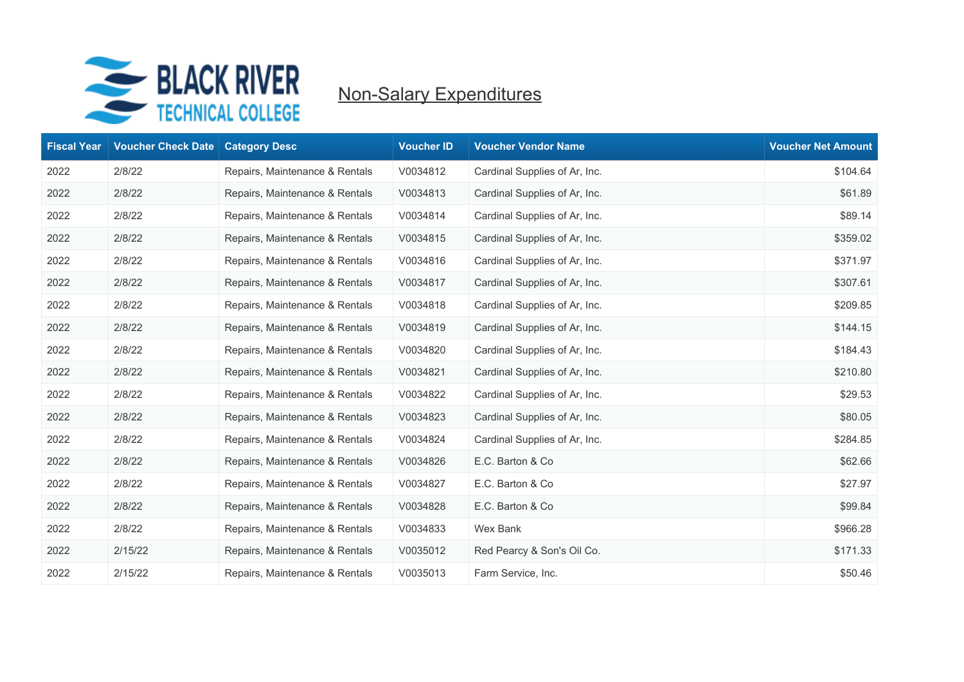

| <b>Fiscal Year</b> | <b>Voucher Check Date</b> | <b>Category Desc</b>           | <b>Voucher ID</b> | <b>Voucher Vendor Name</b>    | <b>Voucher Net Amount</b> |
|--------------------|---------------------------|--------------------------------|-------------------|-------------------------------|---------------------------|
| 2022               | 2/8/22                    | Repairs, Maintenance & Rentals | V0034812          | Cardinal Supplies of Ar, Inc. | \$104.64                  |
| 2022               | 2/8/22                    | Repairs, Maintenance & Rentals | V0034813          | Cardinal Supplies of Ar, Inc. | \$61.89                   |
| 2022               | 2/8/22                    | Repairs, Maintenance & Rentals | V0034814          | Cardinal Supplies of Ar, Inc. | \$89.14                   |
| 2022               | 2/8/22                    | Repairs, Maintenance & Rentals | V0034815          | Cardinal Supplies of Ar, Inc. | \$359.02                  |
| 2022               | 2/8/22                    | Repairs, Maintenance & Rentals | V0034816          | Cardinal Supplies of Ar, Inc. | \$371.97                  |
| 2022               | 2/8/22                    | Repairs, Maintenance & Rentals | V0034817          | Cardinal Supplies of Ar, Inc. | \$307.61                  |
| 2022               | 2/8/22                    | Repairs, Maintenance & Rentals | V0034818          | Cardinal Supplies of Ar, Inc. | \$209.85                  |
| 2022               | 2/8/22                    | Repairs, Maintenance & Rentals | V0034819          | Cardinal Supplies of Ar, Inc. | \$144.15                  |
| 2022               | 2/8/22                    | Repairs, Maintenance & Rentals | V0034820          | Cardinal Supplies of Ar, Inc. | \$184.43                  |
| 2022               | 2/8/22                    | Repairs, Maintenance & Rentals | V0034821          | Cardinal Supplies of Ar, Inc. | \$210.80                  |
| 2022               | 2/8/22                    | Repairs, Maintenance & Rentals | V0034822          | Cardinal Supplies of Ar, Inc. | \$29.53                   |
| 2022               | 2/8/22                    | Repairs, Maintenance & Rentals | V0034823          | Cardinal Supplies of Ar, Inc. | \$80.05                   |
| 2022               | 2/8/22                    | Repairs, Maintenance & Rentals | V0034824          | Cardinal Supplies of Ar, Inc. | \$284.85                  |
| 2022               | 2/8/22                    | Repairs, Maintenance & Rentals | V0034826          | E.C. Barton & Co              | \$62.66                   |
| 2022               | 2/8/22                    | Repairs, Maintenance & Rentals | V0034827          | E.C. Barton & Co              | \$27.97                   |
| 2022               | 2/8/22                    | Repairs, Maintenance & Rentals | V0034828          | E.C. Barton & Co.             | \$99.84                   |
| 2022               | 2/8/22                    | Repairs, Maintenance & Rentals | V0034833          | Wex Bank                      | \$966.28                  |
| 2022               | 2/15/22                   | Repairs, Maintenance & Rentals | V0035012          | Red Pearcy & Son's Oil Co.    | \$171.33                  |
| 2022               | 2/15/22                   | Repairs, Maintenance & Rentals | V0035013          | Farm Service, Inc.            | \$50.46                   |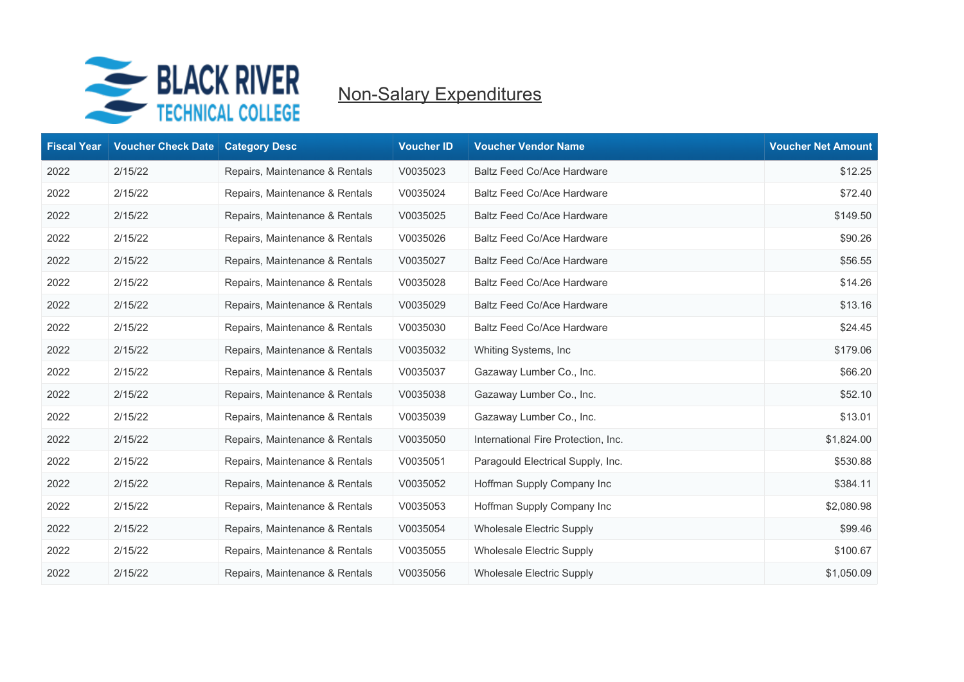

| <b>Fiscal Year</b> | <b>Voucher Check Date</b> | <b>Category Desc</b>           | <b>Voucher ID</b> | <b>Voucher Vendor Name</b>          | <b>Voucher Net Amount</b> |
|--------------------|---------------------------|--------------------------------|-------------------|-------------------------------------|---------------------------|
| 2022               | 2/15/22                   | Repairs, Maintenance & Rentals | V0035023          | <b>Baltz Feed Co/Ace Hardware</b>   | \$12.25                   |
| 2022               | 2/15/22                   | Repairs, Maintenance & Rentals | V0035024          | <b>Baltz Feed Co/Ace Hardware</b>   | \$72.40                   |
| 2022               | 2/15/22                   | Repairs, Maintenance & Rentals | V0035025          | Baltz Feed Co/Ace Hardware          | \$149.50                  |
| 2022               | 2/15/22                   | Repairs, Maintenance & Rentals | V0035026          | Baltz Feed Co/Ace Hardware          | \$90.26                   |
| 2022               | 2/15/22                   | Repairs, Maintenance & Rentals | V0035027          | Baltz Feed Co/Ace Hardware          | \$56.55                   |
| 2022               | 2/15/22                   | Repairs, Maintenance & Rentals | V0035028          | Baltz Feed Co/Ace Hardware          | \$14.26                   |
| 2022               | 2/15/22                   | Repairs, Maintenance & Rentals | V0035029          | Baltz Feed Co/Ace Hardware          | \$13.16                   |
| 2022               | 2/15/22                   | Repairs, Maintenance & Rentals | V0035030          | Baltz Feed Co/Ace Hardware          | \$24.45                   |
| 2022               | 2/15/22                   | Repairs, Maintenance & Rentals | V0035032          | Whiting Systems, Inc.               | \$179.06                  |
| 2022               | 2/15/22                   | Repairs, Maintenance & Rentals | V0035037          | Gazaway Lumber Co., Inc.            | \$66.20                   |
| 2022               | 2/15/22                   | Repairs, Maintenance & Rentals | V0035038          | Gazaway Lumber Co., Inc.            | \$52.10                   |
| 2022               | 2/15/22                   | Repairs, Maintenance & Rentals | V0035039          | Gazaway Lumber Co., Inc.            | \$13.01                   |
| 2022               | 2/15/22                   | Repairs, Maintenance & Rentals | V0035050          | International Fire Protection, Inc. | \$1,824.00                |
| 2022               | 2/15/22                   | Repairs, Maintenance & Rentals | V0035051          | Paragould Electrical Supply, Inc.   | \$530.88                  |
| 2022               | 2/15/22                   | Repairs, Maintenance & Rentals | V0035052          | Hoffman Supply Company Inc          | \$384.11                  |
| 2022               | 2/15/22                   | Repairs, Maintenance & Rentals | V0035053          | Hoffman Supply Company Inc          | \$2,080.98                |
| 2022               | 2/15/22                   | Repairs, Maintenance & Rentals | V0035054          | <b>Wholesale Electric Supply</b>    | \$99.46                   |
| 2022               | 2/15/22                   | Repairs, Maintenance & Rentals | V0035055          | Wholesale Electric Supply           | \$100.67                  |
| 2022               | 2/15/22                   | Repairs, Maintenance & Rentals | V0035056          | <b>Wholesale Electric Supply</b>    | \$1,050.09                |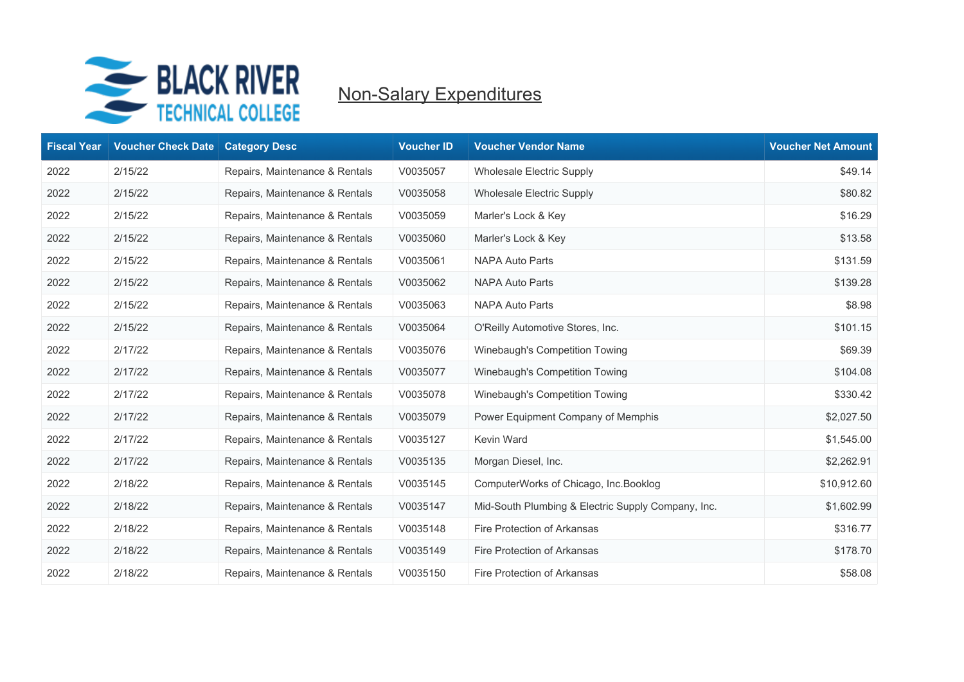

| <b>Fiscal Year</b> | <b>Voucher Check Date</b> | <b>Category Desc</b>           | <b>Voucher ID</b> | <b>Voucher Vendor Name</b>                         | <b>Voucher Net Amount</b> |
|--------------------|---------------------------|--------------------------------|-------------------|----------------------------------------------------|---------------------------|
| 2022               | 2/15/22                   | Repairs, Maintenance & Rentals | V0035057          | <b>Wholesale Electric Supply</b>                   | \$49.14                   |
| 2022               | 2/15/22                   | Repairs, Maintenance & Rentals | V0035058          | <b>Wholesale Electric Supply</b>                   | \$80.82                   |
| 2022               | 2/15/22                   | Repairs, Maintenance & Rentals | V0035059          | Marler's Lock & Key                                | \$16.29                   |
| 2022               | 2/15/22                   | Repairs, Maintenance & Rentals | V0035060          | Marler's Lock & Key                                | \$13.58                   |
| 2022               | 2/15/22                   | Repairs, Maintenance & Rentals | V0035061          | <b>NAPA Auto Parts</b>                             | \$131.59                  |
| 2022               | 2/15/22                   | Repairs, Maintenance & Rentals | V0035062          | <b>NAPA Auto Parts</b>                             | \$139.28                  |
| 2022               | 2/15/22                   | Repairs, Maintenance & Rentals | V0035063          | NAPA Auto Parts                                    | \$8.98                    |
| 2022               | 2/15/22                   | Repairs, Maintenance & Rentals | V0035064          | O'Reilly Automotive Stores, Inc.                   | \$101.15                  |
| 2022               | 2/17/22                   | Repairs, Maintenance & Rentals | V0035076          | Winebaugh's Competition Towing                     | \$69.39                   |
| 2022               | 2/17/22                   | Repairs, Maintenance & Rentals | V0035077          | Winebaugh's Competition Towing                     | \$104.08                  |
| 2022               | 2/17/22                   | Repairs, Maintenance & Rentals | V0035078          | Winebaugh's Competition Towing                     | \$330.42                  |
| 2022               | 2/17/22                   | Repairs, Maintenance & Rentals | V0035079          | Power Equipment Company of Memphis                 | \$2,027.50                |
| 2022               | 2/17/22                   | Repairs, Maintenance & Rentals | V0035127          | Kevin Ward                                         | \$1,545.00                |
| 2022               | 2/17/22                   | Repairs, Maintenance & Rentals | V0035135          | Morgan Diesel, Inc.                                | \$2,262.91                |
| 2022               | 2/18/22                   | Repairs, Maintenance & Rentals | V0035145          | ComputerWorks of Chicago, Inc.Booklog              | \$10,912.60               |
| 2022               | 2/18/22                   | Repairs, Maintenance & Rentals | V0035147          | Mid-South Plumbing & Electric Supply Company, Inc. | \$1,602.99                |
| 2022               | 2/18/22                   | Repairs, Maintenance & Rentals | V0035148          | Fire Protection of Arkansas                        | \$316.77                  |
| 2022               | 2/18/22                   | Repairs, Maintenance & Rentals | V0035149          | Fire Protection of Arkansas                        | \$178.70                  |
| 2022               | 2/18/22                   | Repairs, Maintenance & Rentals | V0035150          | Fire Protection of Arkansas                        | \$58.08                   |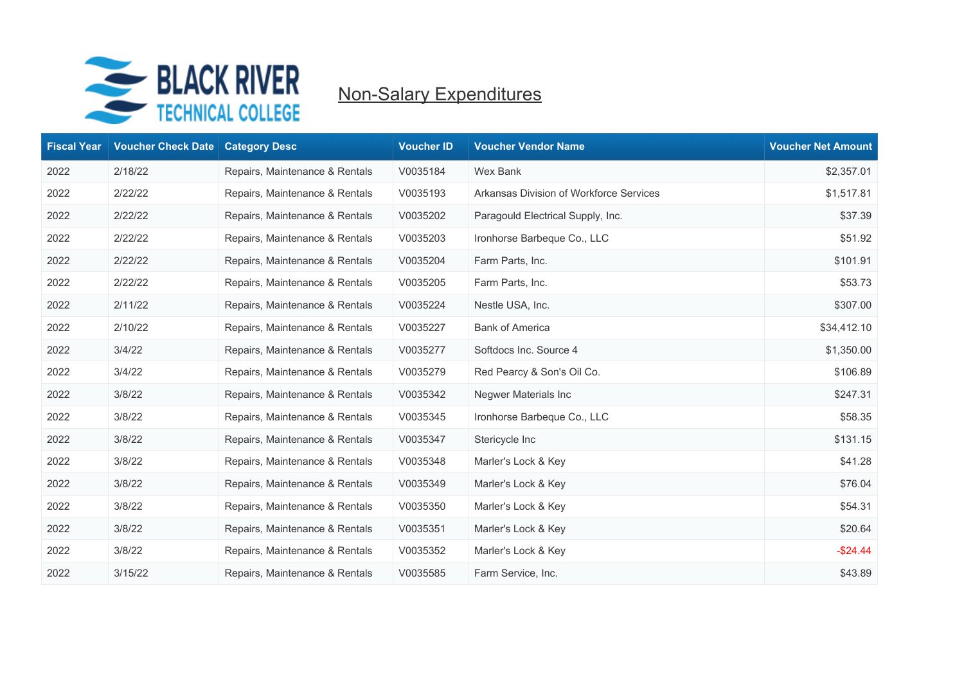

| <b>Fiscal Year</b> | <b>Voucher Check Date</b> | <b>Category Desc</b>           | <b>Voucher ID</b> | <b>Voucher Vendor Name</b>              | <b>Voucher Net Amount</b> |
|--------------------|---------------------------|--------------------------------|-------------------|-----------------------------------------|---------------------------|
| 2022               | 2/18/22                   | Repairs, Maintenance & Rentals | V0035184          | <b>Wex Bank</b>                         | \$2,357.01                |
| 2022               | 2/22/22                   | Repairs, Maintenance & Rentals | V0035193          | Arkansas Division of Workforce Services | \$1,517.81                |
| 2022               | 2/22/22                   | Repairs, Maintenance & Rentals | V0035202          | Paragould Electrical Supply, Inc.       | \$37.39                   |
| 2022               | 2/22/22                   | Repairs, Maintenance & Rentals | V0035203          | Ironhorse Barbeque Co., LLC             | \$51.92                   |
| 2022               | 2/22/22                   | Repairs, Maintenance & Rentals | V0035204          | Farm Parts, Inc.                        | \$101.91                  |
| 2022               | 2/22/22                   | Repairs, Maintenance & Rentals | V0035205          | Farm Parts, Inc.                        | \$53.73                   |
| 2022               | 2/11/22                   | Repairs, Maintenance & Rentals | V0035224          | Nestle USA, Inc.                        | \$307.00                  |
| 2022               | 2/10/22                   | Repairs, Maintenance & Rentals | V0035227          | <b>Bank of America</b>                  | \$34,412.10               |
| 2022               | 3/4/22                    | Repairs, Maintenance & Rentals | V0035277          | Softdocs Inc. Source 4                  | \$1,350.00                |
| 2022               | 3/4/22                    | Repairs, Maintenance & Rentals | V0035279          | Red Pearcy & Son's Oil Co.              | \$106.89                  |
| 2022               | 3/8/22                    | Repairs, Maintenance & Rentals | V0035342          | Negwer Materials Inc                    | \$247.31                  |
| 2022               | 3/8/22                    | Repairs, Maintenance & Rentals | V0035345          | Ironhorse Barbeque Co., LLC             | \$58.35                   |
| 2022               | 3/8/22                    | Repairs, Maintenance & Rentals | V0035347          | Stericycle Inc                          | \$131.15                  |
| 2022               | 3/8/22                    | Repairs, Maintenance & Rentals | V0035348          | Marler's Lock & Key                     | \$41.28                   |
| 2022               | 3/8/22                    | Repairs, Maintenance & Rentals | V0035349          | Marler's Lock & Key                     | \$76.04                   |
| 2022               | 3/8/22                    | Repairs, Maintenance & Rentals | V0035350          | Marler's Lock & Key                     | \$54.31                   |
| 2022               | 3/8/22                    | Repairs, Maintenance & Rentals | V0035351          | Marler's Lock & Key                     | \$20.64                   |
| 2022               | 3/8/22                    | Repairs, Maintenance & Rentals | V0035352          | Marler's Lock & Key                     | $-$24.44$                 |
| 2022               | 3/15/22                   | Repairs, Maintenance & Rentals | V0035585          | Farm Service, Inc.                      | \$43.89                   |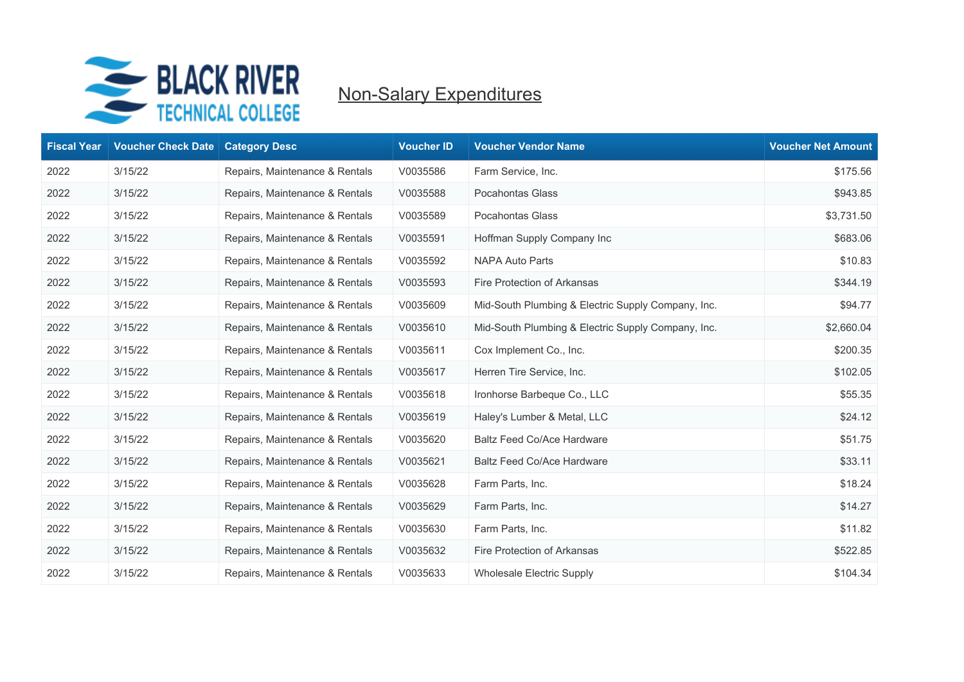

| <b>Fiscal Year</b> | <b>Voucher Check Date</b> | <b>Category Desc</b>           | <b>Voucher ID</b> | <b>Voucher Vendor Name</b>                         | <b>Voucher Net Amount</b> |
|--------------------|---------------------------|--------------------------------|-------------------|----------------------------------------------------|---------------------------|
| 2022               | 3/15/22                   | Repairs, Maintenance & Rentals | V0035586          | Farm Service, Inc.                                 | \$175.56                  |
| 2022               | 3/15/22                   | Repairs, Maintenance & Rentals | V0035588          | <b>Pocahontas Glass</b>                            | \$943.85                  |
| 2022               | 3/15/22                   | Repairs, Maintenance & Rentals | V0035589          | <b>Pocahontas Glass</b>                            | \$3,731.50                |
| 2022               | 3/15/22                   | Repairs, Maintenance & Rentals | V0035591          | Hoffman Supply Company Inc                         | \$683.06                  |
| 2022               | 3/15/22                   | Repairs, Maintenance & Rentals | V0035592          | <b>NAPA Auto Parts</b>                             | \$10.83                   |
| 2022               | 3/15/22                   | Repairs, Maintenance & Rentals | V0035593          | Fire Protection of Arkansas                        | \$344.19                  |
| 2022               | 3/15/22                   | Repairs, Maintenance & Rentals | V0035609          | Mid-South Plumbing & Electric Supply Company, Inc. | \$94.77                   |
| 2022               | 3/15/22                   | Repairs, Maintenance & Rentals | V0035610          | Mid-South Plumbing & Electric Supply Company, Inc. | \$2,660.04                |
| 2022               | 3/15/22                   | Repairs, Maintenance & Rentals | V0035611          | Cox Implement Co., Inc.                            | \$200.35                  |
| 2022               | 3/15/22                   | Repairs, Maintenance & Rentals | V0035617          | Herren Tire Service, Inc.                          | \$102.05                  |
| 2022               | 3/15/22                   | Repairs, Maintenance & Rentals | V0035618          | Ironhorse Barbeque Co., LLC                        | \$55.35                   |
| 2022               | 3/15/22                   | Repairs, Maintenance & Rentals | V0035619          | Haley's Lumber & Metal, LLC                        | \$24.12                   |
| 2022               | 3/15/22                   | Repairs, Maintenance & Rentals | V0035620          | Baltz Feed Co/Ace Hardware                         | \$51.75                   |
| 2022               | 3/15/22                   | Repairs, Maintenance & Rentals | V0035621          | Baltz Feed Co/Ace Hardware                         | \$33.11                   |
| 2022               | 3/15/22                   | Repairs, Maintenance & Rentals | V0035628          | Farm Parts, Inc.                                   | \$18.24                   |
| 2022               | 3/15/22                   | Repairs, Maintenance & Rentals | V0035629          | Farm Parts, Inc.                                   | \$14.27                   |
| 2022               | 3/15/22                   | Repairs, Maintenance & Rentals | V0035630          | Farm Parts, Inc.                                   | \$11.82                   |
| 2022               | 3/15/22                   | Repairs, Maintenance & Rentals | V0035632          | Fire Protection of Arkansas                        | \$522.85                  |
| 2022               | 3/15/22                   | Repairs, Maintenance & Rentals | V0035633          | <b>Wholesale Electric Supply</b>                   | \$104.34                  |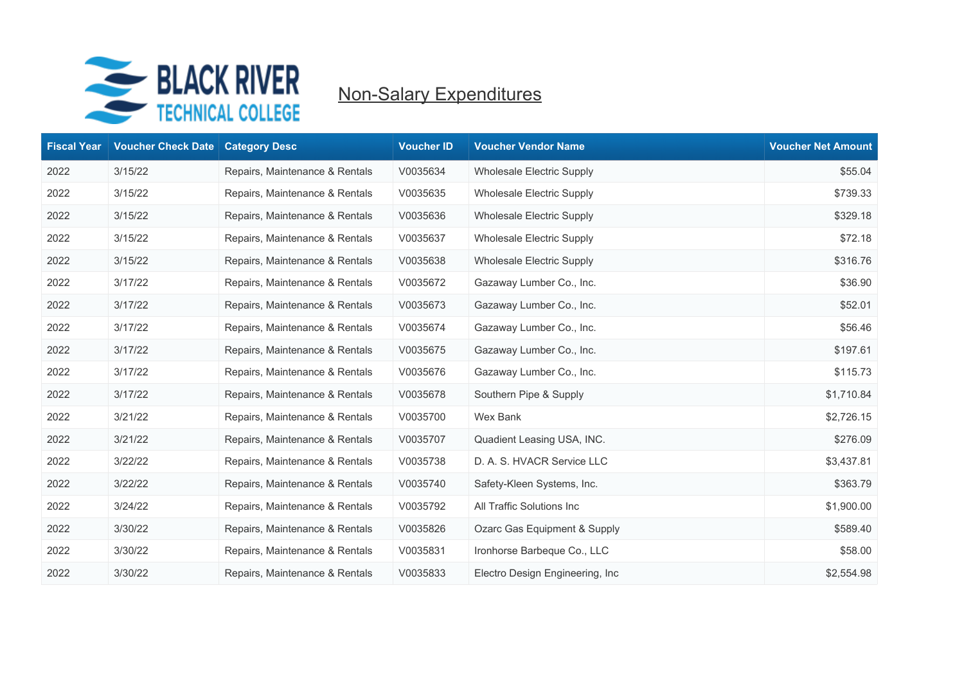

| <b>Fiscal Year</b> | <b>Voucher Check Date</b> | <b>Category Desc</b>           | <b>Voucher ID</b> | <b>Voucher Vendor Name</b>       | <b>Voucher Net Amount</b> |
|--------------------|---------------------------|--------------------------------|-------------------|----------------------------------|---------------------------|
| 2022               | 3/15/22                   | Repairs, Maintenance & Rentals | V0035634          | <b>Wholesale Electric Supply</b> | \$55.04                   |
| 2022               | 3/15/22                   | Repairs, Maintenance & Rentals | V0035635          | <b>Wholesale Electric Supply</b> | \$739.33                  |
| 2022               | 3/15/22                   | Repairs, Maintenance & Rentals | V0035636          | <b>Wholesale Electric Supply</b> | \$329.18                  |
| 2022               | 3/15/22                   | Repairs, Maintenance & Rentals | V0035637          | <b>Wholesale Electric Supply</b> | \$72.18                   |
| 2022               | 3/15/22                   | Repairs, Maintenance & Rentals | V0035638          | <b>Wholesale Electric Supply</b> | \$316.76                  |
| 2022               | 3/17/22                   | Repairs, Maintenance & Rentals | V0035672          | Gazaway Lumber Co., Inc.         | \$36.90                   |
| 2022               | 3/17/22                   | Repairs, Maintenance & Rentals | V0035673          | Gazaway Lumber Co., Inc.         | \$52.01                   |
| 2022               | 3/17/22                   | Repairs, Maintenance & Rentals | V0035674          | Gazaway Lumber Co., Inc.         | \$56.46                   |
| 2022               | 3/17/22                   | Repairs, Maintenance & Rentals | V0035675          | Gazaway Lumber Co., Inc.         | \$197.61                  |
| 2022               | 3/17/22                   | Repairs, Maintenance & Rentals | V0035676          | Gazaway Lumber Co., Inc.         | \$115.73                  |
| 2022               | 3/17/22                   | Repairs, Maintenance & Rentals | V0035678          | Southern Pipe & Supply           | \$1,710.84                |
| 2022               | 3/21/22                   | Repairs, Maintenance & Rentals | V0035700          | Wex Bank                         | \$2,726.15                |
| 2022               | 3/21/22                   | Repairs, Maintenance & Rentals | V0035707          | Quadient Leasing USA, INC.       | \$276.09                  |
| 2022               | 3/22/22                   | Repairs, Maintenance & Rentals | V0035738          | D. A. S. HVACR Service LLC       | \$3,437.81                |
| 2022               | 3/22/22                   | Repairs, Maintenance & Rentals | V0035740          | Safety-Kleen Systems, Inc.       | \$363.79                  |
| 2022               | 3/24/22                   | Repairs, Maintenance & Rentals | V0035792          | All Traffic Solutions Inc        | \$1,900.00                |
| 2022               | 3/30/22                   | Repairs, Maintenance & Rentals | V0035826          | Ozarc Gas Equipment & Supply     | \$589.40                  |
| 2022               | 3/30/22                   | Repairs, Maintenance & Rentals | V0035831          | Ironhorse Barbeque Co., LLC      | \$58.00                   |
| 2022               | 3/30/22                   | Repairs, Maintenance & Rentals | V0035833          | Electro Design Engineering, Inc. | \$2,554.98                |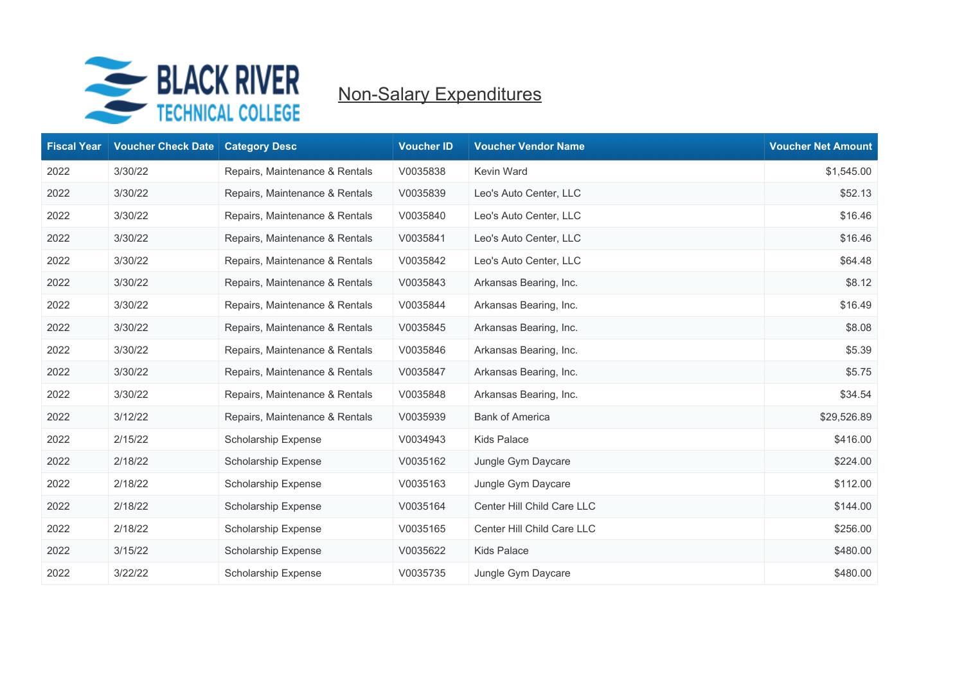

| <b>Fiscal Year</b> | <b>Voucher Check Date</b> | <b>Category Desc</b>           | <b>Voucher ID</b> | <b>Voucher Vendor Name</b> | <b>Voucher Net Amount</b> |
|--------------------|---------------------------|--------------------------------|-------------------|----------------------------|---------------------------|
| 2022               | 3/30/22                   | Repairs, Maintenance & Rentals | V0035838          | Kevin Ward                 | \$1,545.00                |
| 2022               | 3/30/22                   | Repairs, Maintenance & Rentals | V0035839          | Leo's Auto Center, LLC     | \$52.13                   |
| 2022               | 3/30/22                   | Repairs, Maintenance & Rentals | V0035840          | Leo's Auto Center, LLC     | \$16.46                   |
| 2022               | 3/30/22                   | Repairs, Maintenance & Rentals | V0035841          | Leo's Auto Center, LLC     | \$16.46                   |
| 2022               | 3/30/22                   | Repairs, Maintenance & Rentals | V0035842          | Leo's Auto Center, LLC     | \$64.48                   |
| 2022               | 3/30/22                   | Repairs, Maintenance & Rentals | V0035843          | Arkansas Bearing, Inc.     | \$8.12                    |
| 2022               | 3/30/22                   | Repairs, Maintenance & Rentals | V0035844          | Arkansas Bearing, Inc.     | \$16.49                   |
| 2022               | 3/30/22                   | Repairs, Maintenance & Rentals | V0035845          | Arkansas Bearing, Inc.     | \$8.08                    |
| 2022               | 3/30/22                   | Repairs, Maintenance & Rentals | V0035846          | Arkansas Bearing, Inc.     | \$5.39                    |
| 2022               | 3/30/22                   | Repairs, Maintenance & Rentals | V0035847          | Arkansas Bearing, Inc.     | \$5.75                    |
| 2022               | 3/30/22                   | Repairs, Maintenance & Rentals | V0035848          | Arkansas Bearing, Inc.     | \$34.54                   |
| 2022               | 3/12/22                   | Repairs, Maintenance & Rentals | V0035939          | <b>Bank of America</b>     | \$29,526.89               |
| 2022               | 2/15/22                   | Scholarship Expense            | V0034943          | Kids Palace                | \$416.00                  |
| 2022               | 2/18/22                   | <b>Scholarship Expense</b>     | V0035162          | Jungle Gym Daycare         | \$224.00                  |
| 2022               | 2/18/22                   | Scholarship Expense            | V0035163          | Jungle Gym Daycare         | \$112.00                  |
| 2022               | 2/18/22                   | <b>Scholarship Expense</b>     | V0035164          | Center Hill Child Care LLC | \$144.00                  |
| 2022               | 2/18/22                   | Scholarship Expense            | V0035165          | Center Hill Child Care LLC | \$256.00                  |
| 2022               | 3/15/22                   | <b>Scholarship Expense</b>     | V0035622          | <b>Kids Palace</b>         | \$480.00                  |
| 2022               | 3/22/22                   | Scholarship Expense            | V0035735          | Jungle Gym Daycare         | \$480.00                  |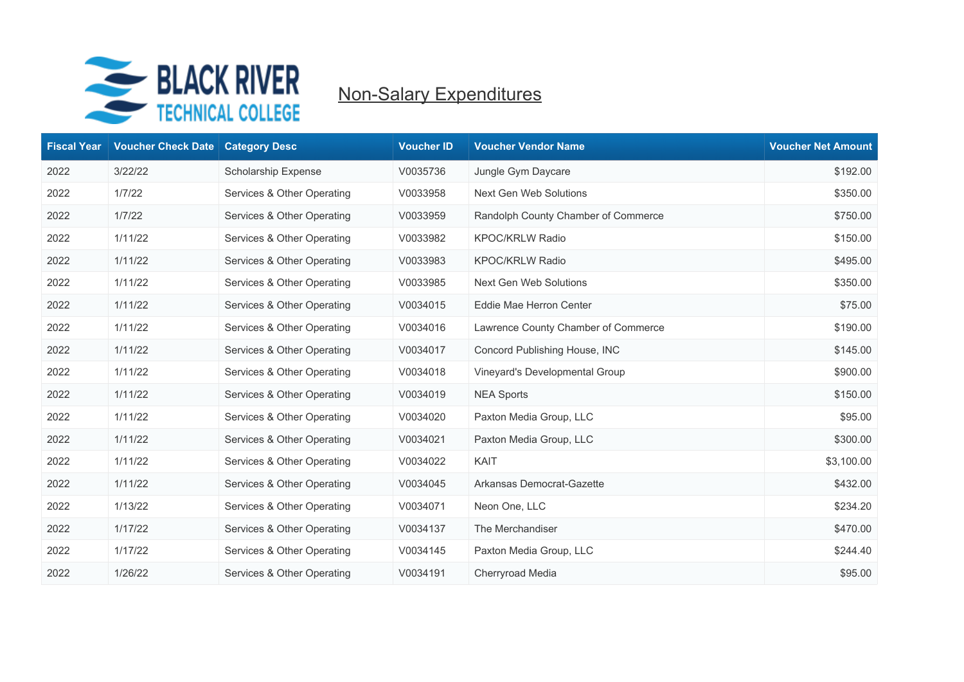

| <b>Fiscal Year</b> | <b>Voucher Check Date</b> | <b>Category Desc</b>       | <b>Voucher ID</b> | <b>Voucher Vendor Name</b>          | <b>Voucher Net Amount</b> |
|--------------------|---------------------------|----------------------------|-------------------|-------------------------------------|---------------------------|
| 2022               | 3/22/22                   | <b>Scholarship Expense</b> | V0035736          | Jungle Gym Daycare                  | \$192.00                  |
| 2022               | 1/7/22                    | Services & Other Operating | V0033958          | Next Gen Web Solutions              | \$350.00                  |
| 2022               | 1/7/22                    | Services & Other Operating | V0033959          | Randolph County Chamber of Commerce | \$750.00                  |
| 2022               | 1/11/22                   | Services & Other Operating | V0033982          | <b>KPOC/KRLW Radio</b>              | \$150.00                  |
| 2022               | 1/11/22                   | Services & Other Operating | V0033983          | <b>KPOC/KRLW Radio</b>              | \$495.00                  |
| 2022               | 1/11/22                   | Services & Other Operating | V0033985          | Next Gen Web Solutions              | \$350.00                  |
| 2022               | 1/11/22                   | Services & Other Operating | V0034015          | Eddie Mae Herron Center             | \$75.00                   |
| 2022               | 1/11/22                   | Services & Other Operating | V0034016          | Lawrence County Chamber of Commerce | \$190.00                  |
| 2022               | 1/11/22                   | Services & Other Operating | V0034017          | Concord Publishing House, INC       | \$145.00                  |
| 2022               | 1/11/22                   | Services & Other Operating | V0034018          | Vineyard's Developmental Group      | \$900.00                  |
| 2022               | 1/11/22                   | Services & Other Operating | V0034019          | <b>NEA Sports</b>                   | \$150.00                  |
| 2022               | 1/11/22                   | Services & Other Operating | V0034020          | Paxton Media Group, LLC             | \$95.00                   |
| 2022               | 1/11/22                   | Services & Other Operating | V0034021          | Paxton Media Group, LLC             | \$300.00                  |
| 2022               | 1/11/22                   | Services & Other Operating | V0034022          | KAIT                                | \$3,100.00                |
| 2022               | 1/11/22                   | Services & Other Operating | V0034045          | Arkansas Democrat-Gazette           | \$432.00                  |
| 2022               | 1/13/22                   | Services & Other Operating | V0034071          | Neon One, LLC                       | \$234.20                  |
| 2022               | 1/17/22                   | Services & Other Operating | V0034137          | The Merchandiser                    | \$470.00                  |
| 2022               | 1/17/22                   | Services & Other Operating | V0034145          | Paxton Media Group, LLC             | \$244.40                  |
| 2022               | 1/26/22                   | Services & Other Operating | V0034191          | Cherryroad Media                    | \$95.00                   |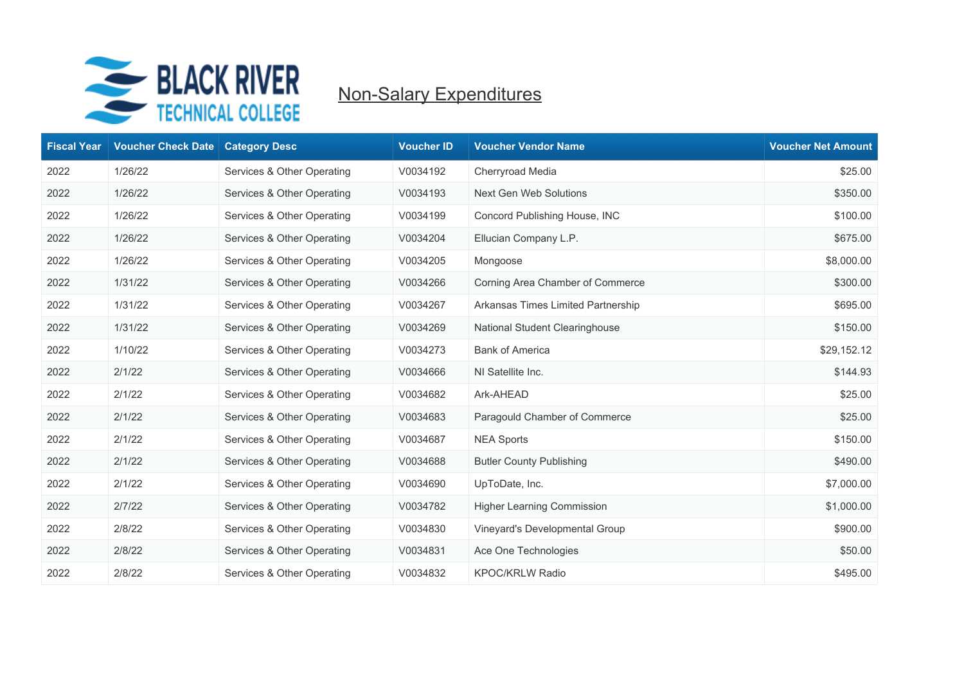

| <b>Fiscal Year</b> | <b>Voucher Check Date</b> | <b>Category Desc</b>       | <b>Voucher ID</b> | <b>Voucher Vendor Name</b>         | <b>Voucher Net Amount</b> |
|--------------------|---------------------------|----------------------------|-------------------|------------------------------------|---------------------------|
| 2022               | 1/26/22                   | Services & Other Operating | V0034192          | Cherryroad Media                   | \$25.00                   |
| 2022               | 1/26/22                   | Services & Other Operating | V0034193          | Next Gen Web Solutions             | \$350.00                  |
| 2022               | 1/26/22                   | Services & Other Operating | V0034199          | Concord Publishing House, INC      | \$100.00                  |
| 2022               | 1/26/22                   | Services & Other Operating | V0034204          | Ellucian Company L.P.              | \$675.00                  |
| 2022               | 1/26/22                   | Services & Other Operating | V0034205          | Mongoose                           | \$8,000.00                |
| 2022               | 1/31/22                   | Services & Other Operating | V0034266          | Corning Area Chamber of Commerce   | \$300.00                  |
| 2022               | 1/31/22                   | Services & Other Operating | V0034267          | Arkansas Times Limited Partnership | \$695.00                  |
| 2022               | 1/31/22                   | Services & Other Operating | V0034269          | National Student Clearinghouse     | \$150.00                  |
| 2022               | 1/10/22                   | Services & Other Operating | V0034273          | <b>Bank of America</b>             | \$29,152.12               |
| 2022               | 2/1/22                    | Services & Other Operating | V0034666          | NI Satellite Inc.                  | \$144.93                  |
| 2022               | 2/1/22                    | Services & Other Operating | V0034682          | Ark-AHEAD                          | \$25.00                   |
| 2022               | 2/1/22                    | Services & Other Operating | V0034683          | Paragould Chamber of Commerce      | \$25.00                   |
| 2022               | 2/1/22                    | Services & Other Operating | V0034687          | <b>NEA Sports</b>                  | \$150.00                  |
| 2022               | 2/1/22                    | Services & Other Operating | V0034688          | <b>Butler County Publishing</b>    | \$490.00                  |
| 2022               | 2/1/22                    | Services & Other Operating | V0034690          | UpToDate, Inc.                     | \$7,000.00                |
| 2022               | 2/7/22                    | Services & Other Operating | V0034782          | <b>Higher Learning Commission</b>  | \$1,000.00                |
| 2022               | 2/8/22                    | Services & Other Operating | V0034830          | Vineyard's Developmental Group     | \$900.00                  |
| 2022               | 2/8/22                    | Services & Other Operating | V0034831          | Ace One Technologies               | \$50.00                   |
| 2022               | 2/8/22                    | Services & Other Operating | V0034832          | <b>KPOC/KRLW Radio</b>             | \$495.00                  |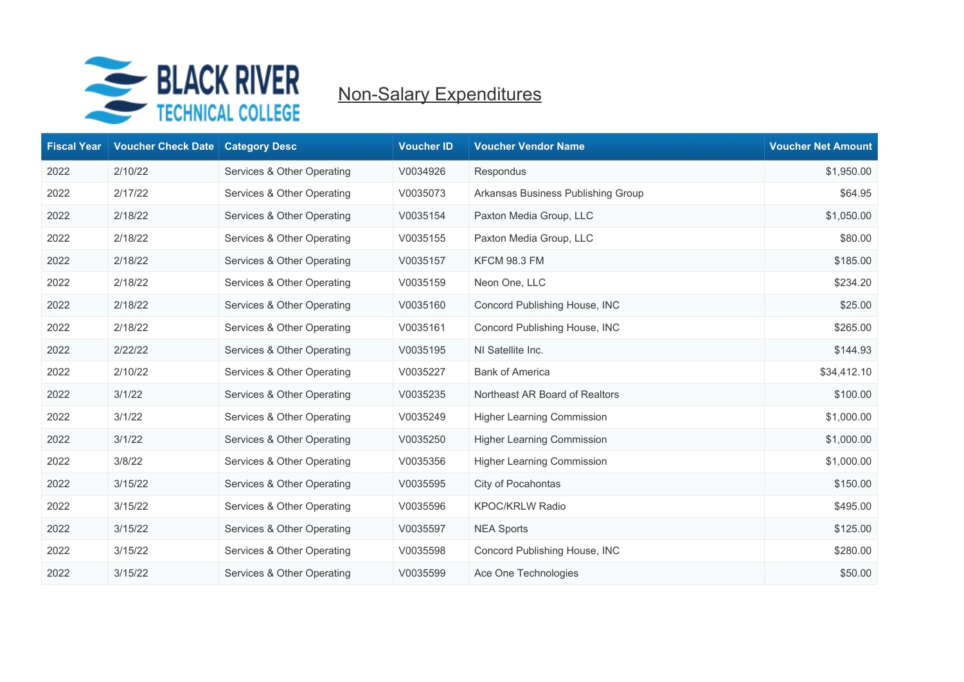

| <b>Fiscal Year</b> | <b>Voucher Check Date</b> | <b>Category Desc</b>       | <b>Voucher ID</b> | <b>Voucher Vendor Name</b>         | <b>Voucher Net Amount</b> |
|--------------------|---------------------------|----------------------------|-------------------|------------------------------------|---------------------------|
| 2022               | 2/10/22                   | Services & Other Operating | V0034926          | Respondus                          | \$1,950.00                |
| 2022               | 2/17/22                   | Services & Other Operating | V0035073          | Arkansas Business Publishing Group | \$64.95                   |
| 2022               | 2/18/22                   | Services & Other Operating | V0035154          | Paxton Media Group, LLC            | \$1,050.00                |
| 2022               | 2/18/22                   | Services & Other Operating | V0035155          | Paxton Media Group, LLC            | \$80.00                   |
| 2022               | 2/18/22                   | Services & Other Operating | V0035157          | <b>KFCM 98.3 FM</b>                | \$185.00                  |
| 2022               | 2/18/22                   | Services & Other Operating | V0035159          | Neon One, LLC                      | \$234.20                  |
| 2022               | 2/18/22                   | Services & Other Operating | V0035160          | Concord Publishing House, INC      | \$25.00                   |
| 2022               | 2/18/22                   | Services & Other Operating | V0035161          | Concord Publishing House, INC      | \$265.00                  |
| 2022               | 2/22/22                   | Services & Other Operating | V0035195          | NI Satellite Inc.                  | \$144.93                  |
| 2022               | 2/10/22                   | Services & Other Operating | V0035227          | <b>Bank of America</b>             | \$34,412.10               |
| 2022               | 3/1/22                    | Services & Other Operating | V0035235          | Northeast AR Board of Realtors     | \$100.00                  |
| 2022               | 3/1/22                    | Services & Other Operating | V0035249          | <b>Higher Learning Commission</b>  | \$1,000.00                |
| 2022               | 3/1/22                    | Services & Other Operating | V0035250          | <b>Higher Learning Commission</b>  | \$1,000.00                |
| 2022               | 3/8/22                    | Services & Other Operating | V0035356          | <b>Higher Learning Commission</b>  | \$1,000.00                |
| 2022               | 3/15/22                   | Services & Other Operating | V0035595          | City of Pocahontas                 | \$150.00                  |
| 2022               | 3/15/22                   | Services & Other Operating | V0035596          | <b>KPOC/KRLW Radio</b>             | \$495.00                  |
| 2022               | 3/15/22                   | Services & Other Operating | V0035597          | <b>NEA Sports</b>                  | \$125.00                  |
| 2022               | 3/15/22                   | Services & Other Operating | V0035598          | Concord Publishing House, INC      | \$280.00                  |
| 2022               | 3/15/22                   | Services & Other Operating | V0035599          | Ace One Technologies               | \$50.00                   |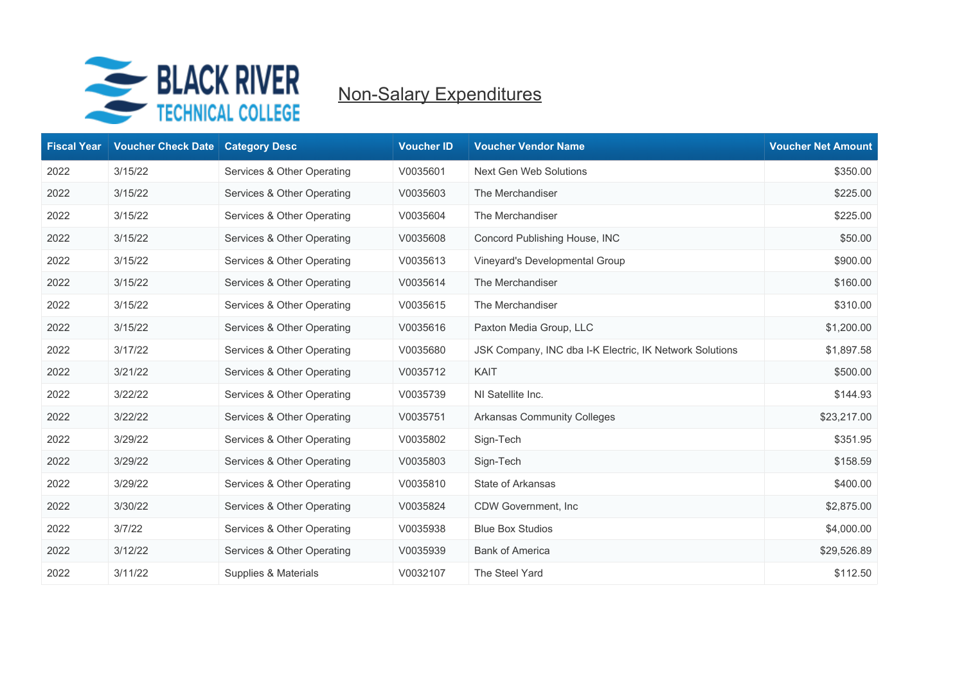

| <b>Fiscal Year</b> | <b>Voucher Check Date</b> | <b>Category Desc</b>       | <b>Voucher ID</b> | <b>Voucher Vendor Name</b>                              | <b>Voucher Net Amount</b> |
|--------------------|---------------------------|----------------------------|-------------------|---------------------------------------------------------|---------------------------|
| 2022               | 3/15/22                   | Services & Other Operating | V0035601          | <b>Next Gen Web Solutions</b>                           | \$350.00                  |
| 2022               | 3/15/22                   | Services & Other Operating | V0035603          | The Merchandiser                                        | \$225.00                  |
| 2022               | 3/15/22                   | Services & Other Operating | V0035604          | The Merchandiser                                        | \$225.00                  |
| 2022               | 3/15/22                   | Services & Other Operating | V0035608          | Concord Publishing House, INC                           | \$50.00                   |
| 2022               | 3/15/22                   | Services & Other Operating | V0035613          | Vineyard's Developmental Group                          | \$900.00                  |
| 2022               | 3/15/22                   | Services & Other Operating | V0035614          | The Merchandiser                                        | \$160.00                  |
| 2022               | 3/15/22                   | Services & Other Operating | V0035615          | The Merchandiser                                        | \$310.00                  |
| 2022               | 3/15/22                   | Services & Other Operating | V0035616          | Paxton Media Group, LLC                                 | \$1,200.00                |
| 2022               | 3/17/22                   | Services & Other Operating | V0035680          | JSK Company, INC dba I-K Electric, IK Network Solutions | \$1,897.58                |
| 2022               | 3/21/22                   | Services & Other Operating | V0035712          | KAIT                                                    | \$500.00                  |
| 2022               | 3/22/22                   | Services & Other Operating | V0035739          | NI Satellite Inc.                                       | \$144.93                  |
| 2022               | 3/22/22                   | Services & Other Operating | V0035751          | <b>Arkansas Community Colleges</b>                      | \$23,217.00               |
| 2022               | 3/29/22                   | Services & Other Operating | V0035802          | Sign-Tech                                               | \$351.95                  |
| 2022               | 3/29/22                   | Services & Other Operating | V0035803          | Sign-Tech                                               | \$158.59                  |
| 2022               | 3/29/22                   | Services & Other Operating | V0035810          | State of Arkansas                                       | \$400.00                  |
| 2022               | 3/30/22                   | Services & Other Operating | V0035824          | CDW Government, Inc.                                    | \$2,875.00                |
| 2022               | 3/7/22                    | Services & Other Operating | V0035938          | <b>Blue Box Studios</b>                                 | \$4,000.00                |
| 2022               | 3/12/22                   | Services & Other Operating | V0035939          | <b>Bank of America</b>                                  | \$29,526.89               |
| 2022               | 3/11/22                   | Supplies & Materials       | V0032107          | The Steel Yard                                          | \$112.50                  |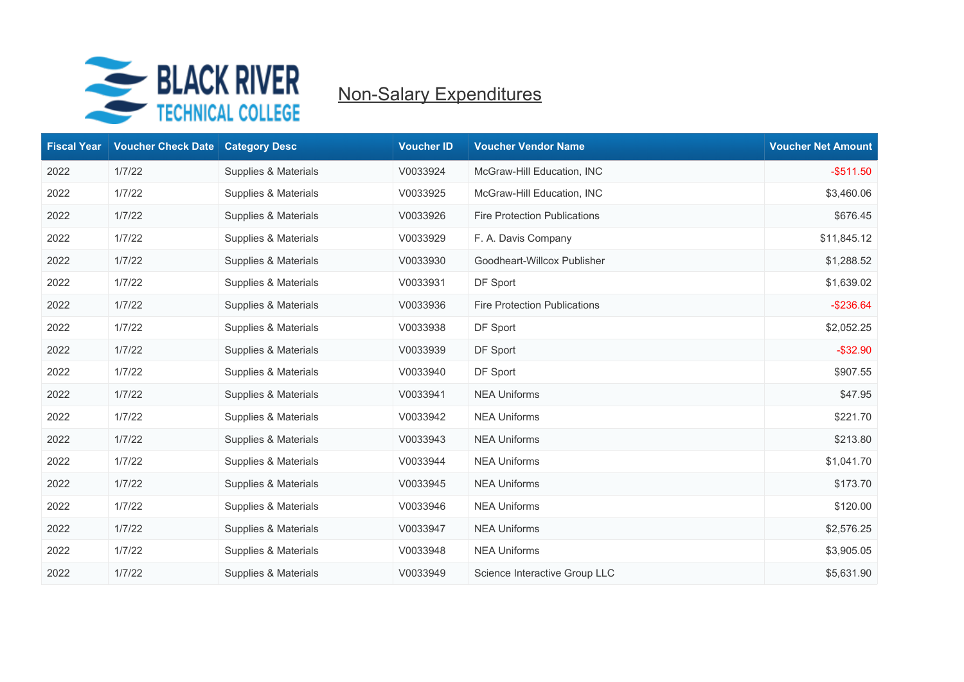

| <b>Fiscal Year</b> | <b>Voucher Check Date</b> | <b>Category Desc</b> | <b>Voucher ID</b> | <b>Voucher Vendor Name</b>          | <b>Voucher Net Amount</b> |
|--------------------|---------------------------|----------------------|-------------------|-------------------------------------|---------------------------|
| 2022               | 1/7/22                    | Supplies & Materials | V0033924          | McGraw-Hill Education, INC          | $-$ \$511.50              |
| 2022               | 1/7/22                    | Supplies & Materials | V0033925          | McGraw-Hill Education, INC          | \$3,460.06                |
| 2022               | 1/7/22                    | Supplies & Materials | V0033926          | <b>Fire Protection Publications</b> | \$676.45                  |
| 2022               | 1/7/22                    | Supplies & Materials | V0033929          | F. A. Davis Company                 | \$11,845.12               |
| 2022               | 1/7/22                    | Supplies & Materials | V0033930          | Goodheart-Willcox Publisher         | \$1,288.52                |
| 2022               | 1/7/22                    | Supplies & Materials | V0033931          | DF Sport                            | \$1,639.02                |
| 2022               | 1/7/22                    | Supplies & Materials | V0033936          | <b>Fire Protection Publications</b> | $-$ \$236.64              |
| 2022               | 1/7/22                    | Supplies & Materials | V0033938          | DF Sport                            | \$2,052.25                |
| 2022               | 1/7/22                    | Supplies & Materials | V0033939          | DF Sport                            | $-$ \$32.90               |
| 2022               | 1/7/22                    | Supplies & Materials | V0033940          | DF Sport                            | \$907.55                  |
| 2022               | 1/7/22                    | Supplies & Materials | V0033941          | <b>NEA Uniforms</b>                 | \$47.95                   |
| 2022               | 1/7/22                    | Supplies & Materials | V0033942          | <b>NEA Uniforms</b>                 | \$221.70                  |
| 2022               | 1/7/22                    | Supplies & Materials | V0033943          | <b>NEA Uniforms</b>                 | \$213.80                  |
| 2022               | 1/7/22                    | Supplies & Materials | V0033944          | <b>NEA Uniforms</b>                 | \$1,041.70                |
| 2022               | 1/7/22                    | Supplies & Materials | V0033945          | <b>NEA Uniforms</b>                 | \$173.70                  |
| 2022               | 1/7/22                    | Supplies & Materials | V0033946          | <b>NEA Uniforms</b>                 | \$120.00                  |
| 2022               | 1/7/22                    | Supplies & Materials | V0033947          | <b>NEA Uniforms</b>                 | \$2,576.25                |
| 2022               | 1/7/22                    | Supplies & Materials | V0033948          | <b>NEA Uniforms</b>                 | \$3,905.05                |
| 2022               | 1/7/22                    | Supplies & Materials | V0033949          | Science Interactive Group LLC       | \$5,631.90                |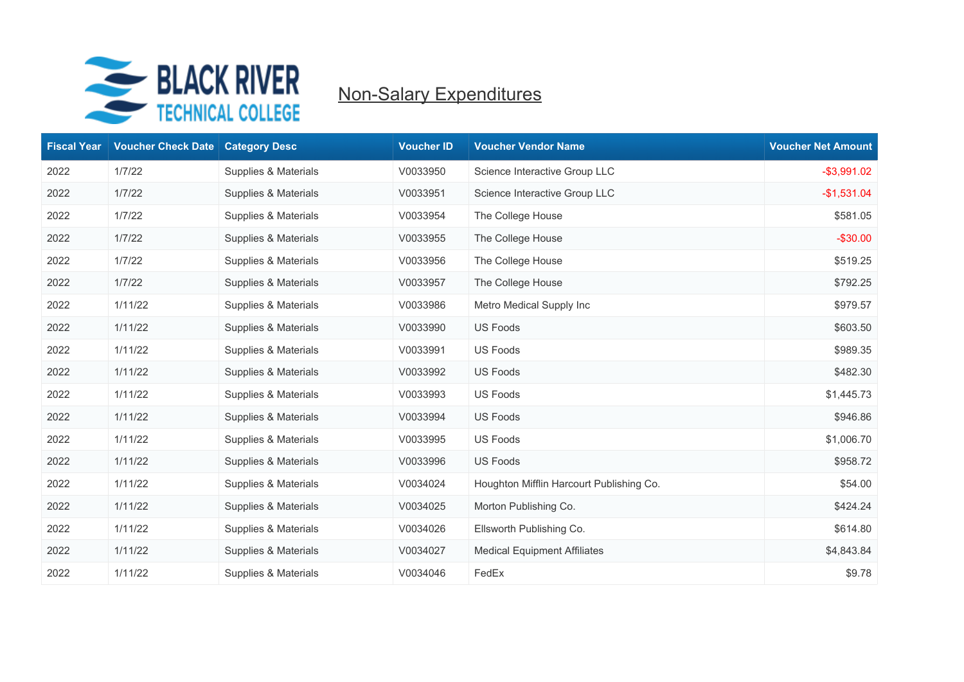

| <b>Fiscal Year</b> | <b>Voucher Check Date</b> | <b>Category Desc</b> | <b>Voucher ID</b> | <b>Voucher Vendor Name</b>               | <b>Voucher Net Amount</b> |
|--------------------|---------------------------|----------------------|-------------------|------------------------------------------|---------------------------|
| 2022               | 1/7/22                    | Supplies & Materials | V0033950          | Science Interactive Group LLC            | $-$3,991.02$              |
| 2022               | 1/7/22                    | Supplies & Materials | V0033951          | Science Interactive Group LLC            | $-$1,531.04$              |
| 2022               | 1/7/22                    | Supplies & Materials | V0033954          | The College House                        | \$581.05                  |
| 2022               | 1/7/22                    | Supplies & Materials | V0033955          | The College House                        | $-$30.00$                 |
| 2022               | 1/7/22                    | Supplies & Materials | V0033956          | The College House                        | \$519.25                  |
| 2022               | 1/7/22                    | Supplies & Materials | V0033957          | The College House                        | \$792.25                  |
| 2022               | 1/11/22                   | Supplies & Materials | V0033986          | Metro Medical Supply Inc                 | \$979.57                  |
| 2022               | 1/11/22                   | Supplies & Materials | V0033990          | <b>US Foods</b>                          | \$603.50                  |
| 2022               | 1/11/22                   | Supplies & Materials | V0033991          | <b>US Foods</b>                          | \$989.35                  |
| 2022               | 1/11/22                   | Supplies & Materials | V0033992          | US Foods                                 | \$482.30                  |
| 2022               | 1/11/22                   | Supplies & Materials | V0033993          | <b>US Foods</b>                          | \$1,445.73                |
| 2022               | 1/11/22                   | Supplies & Materials | V0033994          | <b>US Foods</b>                          | \$946.86                  |
| 2022               | 1/11/22                   | Supplies & Materials | V0033995          | <b>US Foods</b>                          | \$1,006.70                |
| 2022               | 1/11/22                   | Supplies & Materials | V0033996          | <b>US Foods</b>                          | \$958.72                  |
| 2022               | 1/11/22                   | Supplies & Materials | V0034024          | Houghton Mifflin Harcourt Publishing Co. | \$54.00                   |
| 2022               | 1/11/22                   | Supplies & Materials | V0034025          | Morton Publishing Co.                    | \$424.24                  |
| 2022               | 1/11/22                   | Supplies & Materials | V0034026          | Ellsworth Publishing Co.                 | \$614.80                  |
| 2022               | 1/11/22                   | Supplies & Materials | V0034027          | <b>Medical Equipment Affiliates</b>      | \$4,843.84                |
| 2022               | 1/11/22                   | Supplies & Materials | V0034046          | FedEx                                    | \$9.78                    |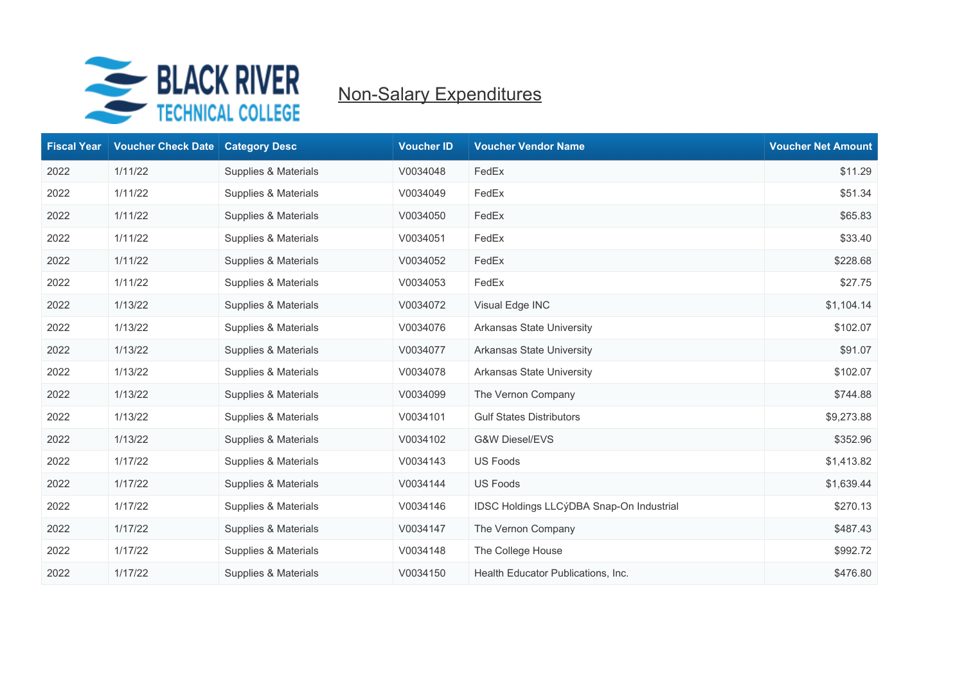

| <b>Fiscal Year</b> | <b>Voucher Check Date</b> | <b>Category Desc</b> | <b>Voucher ID</b> | <b>Voucher Vendor Name</b>               | <b>Voucher Net Amount</b> |
|--------------------|---------------------------|----------------------|-------------------|------------------------------------------|---------------------------|
| 2022               | 1/11/22                   | Supplies & Materials | V0034048          | FedEx                                    | \$11.29                   |
| 2022               | 1/11/22                   | Supplies & Materials | V0034049          | FedEx                                    | \$51.34                   |
| 2022               | 1/11/22                   | Supplies & Materials | V0034050          | FedEx                                    | \$65.83                   |
| 2022               | 1/11/22                   | Supplies & Materials | V0034051          | FedEx                                    | \$33.40                   |
| 2022               | 1/11/22                   | Supplies & Materials | V0034052          | FedEx                                    | \$228.68                  |
| 2022               | 1/11/22                   | Supplies & Materials | V0034053          | FedEx                                    | \$27.75                   |
| 2022               | 1/13/22                   | Supplies & Materials | V0034072          | Visual Edge INC                          | \$1,104.14                |
| 2022               | 1/13/22                   | Supplies & Materials | V0034076          | Arkansas State University                | \$102.07                  |
| 2022               | 1/13/22                   | Supplies & Materials | V0034077          | Arkansas State University                | \$91.07                   |
| 2022               | 1/13/22                   | Supplies & Materials | V0034078          | Arkansas State University                | \$102.07                  |
| 2022               | 1/13/22                   | Supplies & Materials | V0034099          | The Vernon Company                       | \$744.88                  |
| 2022               | 1/13/22                   | Supplies & Materials | V0034101          | <b>Gulf States Distributors</b>          | \$9,273.88                |
| 2022               | 1/13/22                   | Supplies & Materials | V0034102          | <b>G&amp;W Diesel/EVS</b>                | \$352.96                  |
| 2022               | 1/17/22                   | Supplies & Materials | V0034143          | <b>US Foods</b>                          | \$1,413.82                |
| 2022               | 1/17/22                   | Supplies & Materials | V0034144          | <b>US Foods</b>                          | \$1,639.44                |
| 2022               | 1/17/22                   | Supplies & Materials | V0034146          | IDSC Holdings LLCýDBA Snap-On Industrial | \$270.13                  |
| 2022               | 1/17/22                   | Supplies & Materials | V0034147          | The Vernon Company                       | \$487.43                  |
| 2022               | 1/17/22                   | Supplies & Materials | V0034148          | The College House                        | \$992.72                  |
| 2022               | 1/17/22                   | Supplies & Materials | V0034150          | Health Educator Publications, Inc.       | \$476.80                  |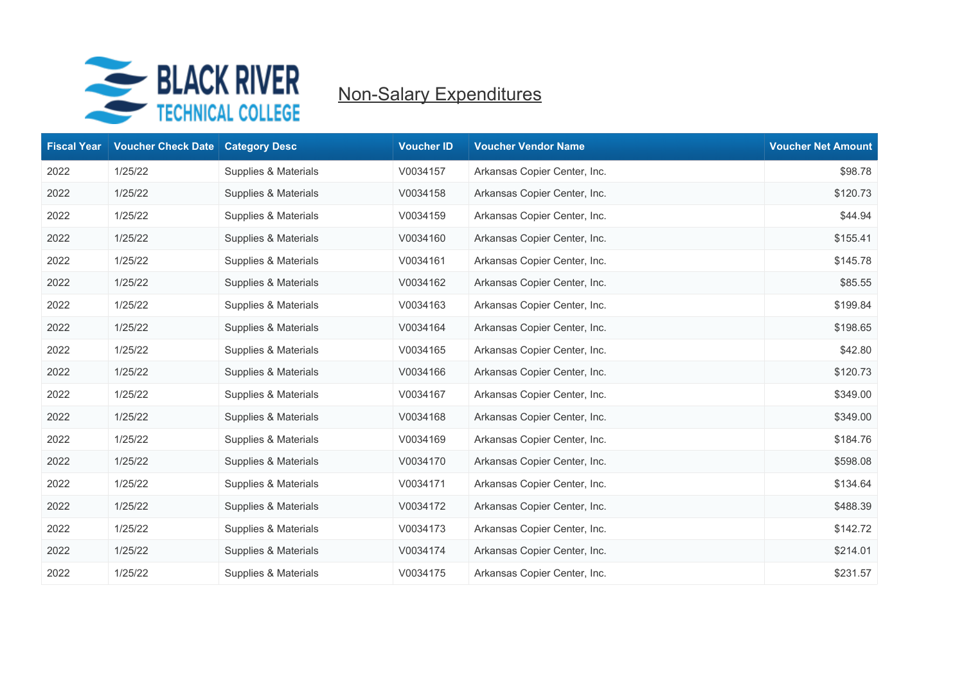

| <b>Fiscal Year</b> | <b>Voucher Check Date</b> | <b>Category Desc</b> | <b>Voucher ID</b> | <b>Voucher Vendor Name</b>   | <b>Voucher Net Amount</b> |
|--------------------|---------------------------|----------------------|-------------------|------------------------------|---------------------------|
| 2022               | 1/25/22                   | Supplies & Materials | V0034157          | Arkansas Copier Center, Inc. | \$98.78                   |
| 2022               | 1/25/22                   | Supplies & Materials | V0034158          | Arkansas Copier Center, Inc. | \$120.73                  |
| 2022               | 1/25/22                   | Supplies & Materials | V0034159          | Arkansas Copier Center, Inc. | \$44.94                   |
| 2022               | 1/25/22                   | Supplies & Materials | V0034160          | Arkansas Copier Center, Inc. | \$155.41                  |
| 2022               | 1/25/22                   | Supplies & Materials | V0034161          | Arkansas Copier Center, Inc. | \$145.78                  |
| 2022               | 1/25/22                   | Supplies & Materials | V0034162          | Arkansas Copier Center, Inc. | \$85.55                   |
| 2022               | 1/25/22                   | Supplies & Materials | V0034163          | Arkansas Copier Center, Inc. | \$199.84                  |
| 2022               | 1/25/22                   | Supplies & Materials | V0034164          | Arkansas Copier Center, Inc. | \$198.65                  |
| 2022               | 1/25/22                   | Supplies & Materials | V0034165          | Arkansas Copier Center, Inc. | \$42.80                   |
| 2022               | 1/25/22                   | Supplies & Materials | V0034166          | Arkansas Copier Center, Inc. | \$120.73                  |
| 2022               | 1/25/22                   | Supplies & Materials | V0034167          | Arkansas Copier Center, Inc. | \$349.00                  |
| 2022               | 1/25/22                   | Supplies & Materials | V0034168          | Arkansas Copier Center, Inc. | \$349.00                  |
| 2022               | 1/25/22                   | Supplies & Materials | V0034169          | Arkansas Copier Center, Inc. | \$184.76                  |
| 2022               | 1/25/22                   | Supplies & Materials | V0034170          | Arkansas Copier Center, Inc. | \$598.08                  |
| 2022               | 1/25/22                   | Supplies & Materials | V0034171          | Arkansas Copier Center, Inc. | \$134.64                  |
| 2022               | 1/25/22                   | Supplies & Materials | V0034172          | Arkansas Copier Center, Inc. | \$488.39                  |
| 2022               | 1/25/22                   | Supplies & Materials | V0034173          | Arkansas Copier Center, Inc. | \$142.72                  |
| 2022               | 1/25/22                   | Supplies & Materials | V0034174          | Arkansas Copier Center, Inc. | \$214.01                  |
| 2022               | 1/25/22                   | Supplies & Materials | V0034175          | Arkansas Copier Center, Inc. | \$231.57                  |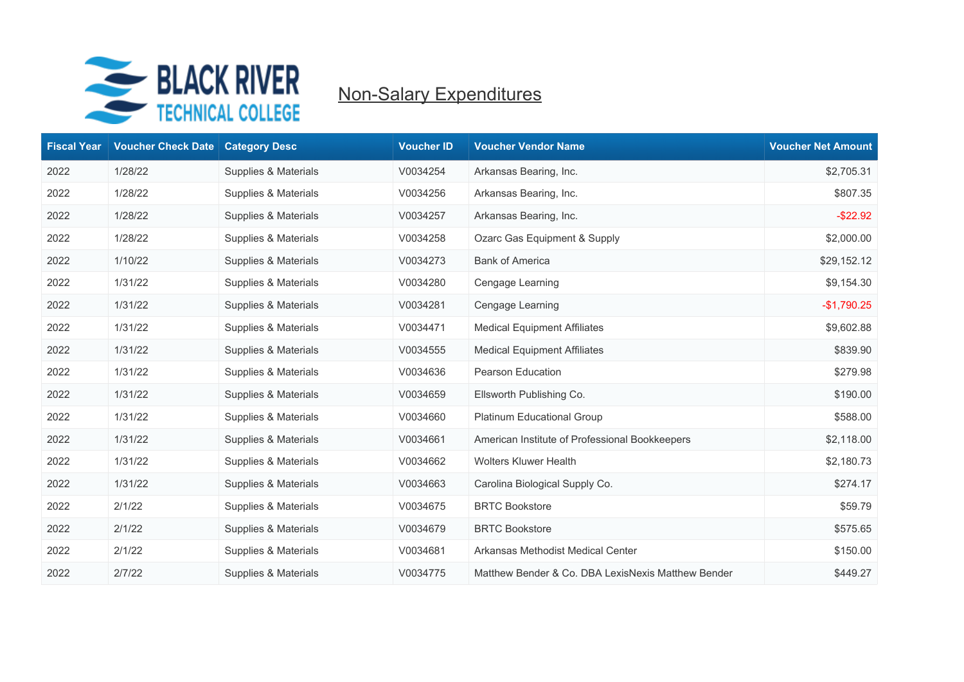

| <b>Fiscal Year</b> | <b>Voucher Check Date</b> | <b>Category Desc</b> | <b>Voucher ID</b> | <b>Voucher Vendor Name</b>                         | <b>Voucher Net Amount</b> |
|--------------------|---------------------------|----------------------|-------------------|----------------------------------------------------|---------------------------|
| 2022               | 1/28/22                   | Supplies & Materials | V0034254          | Arkansas Bearing, Inc.                             | \$2,705.31                |
| 2022               | 1/28/22                   | Supplies & Materials | V0034256          | Arkansas Bearing, Inc.                             | \$807.35                  |
| 2022               | 1/28/22                   | Supplies & Materials | V0034257          | Arkansas Bearing, Inc.                             | $-$ \$22.92               |
| 2022               | 1/28/22                   | Supplies & Materials | V0034258          | Ozarc Gas Equipment & Supply                       | \$2,000.00                |
| 2022               | 1/10/22                   | Supplies & Materials | V0034273          | <b>Bank of America</b>                             | \$29,152.12               |
| 2022               | 1/31/22                   | Supplies & Materials | V0034280          | Cengage Learning                                   | \$9,154.30                |
| 2022               | 1/31/22                   | Supplies & Materials | V0034281          | Cengage Learning                                   | $-$1,790.25$              |
| 2022               | 1/31/22                   | Supplies & Materials | V0034471          | <b>Medical Equipment Affiliates</b>                | \$9,602.88                |
| 2022               | 1/31/22                   | Supplies & Materials | V0034555          | <b>Medical Equipment Affiliates</b>                | \$839.90                  |
| 2022               | 1/31/22                   | Supplies & Materials | V0034636          | Pearson Education                                  | \$279.98                  |
| 2022               | 1/31/22                   | Supplies & Materials | V0034659          | Ellsworth Publishing Co.                           | \$190.00                  |
| 2022               | 1/31/22                   | Supplies & Materials | V0034660          | Platinum Educational Group                         | \$588.00                  |
| 2022               | 1/31/22                   | Supplies & Materials | V0034661          | American Institute of Professional Bookkeepers     | \$2,118.00                |
| 2022               | 1/31/22                   | Supplies & Materials | V0034662          | <b>Wolters Kluwer Health</b>                       | \$2,180.73                |
| 2022               | 1/31/22                   | Supplies & Materials | V0034663          | Carolina Biological Supply Co.                     | \$274.17                  |
| 2022               | 2/1/22                    | Supplies & Materials | V0034675          | <b>BRTC Bookstore</b>                              | \$59.79                   |
| 2022               | 2/1/22                    | Supplies & Materials | V0034679          | <b>BRTC Bookstore</b>                              | \$575.65                  |
| 2022               | 2/1/22                    | Supplies & Materials | V0034681          | Arkansas Methodist Medical Center                  | \$150.00                  |
| 2022               | 2/7/22                    | Supplies & Materials | V0034775          | Matthew Bender & Co. DBA LexisNexis Matthew Bender | \$449.27                  |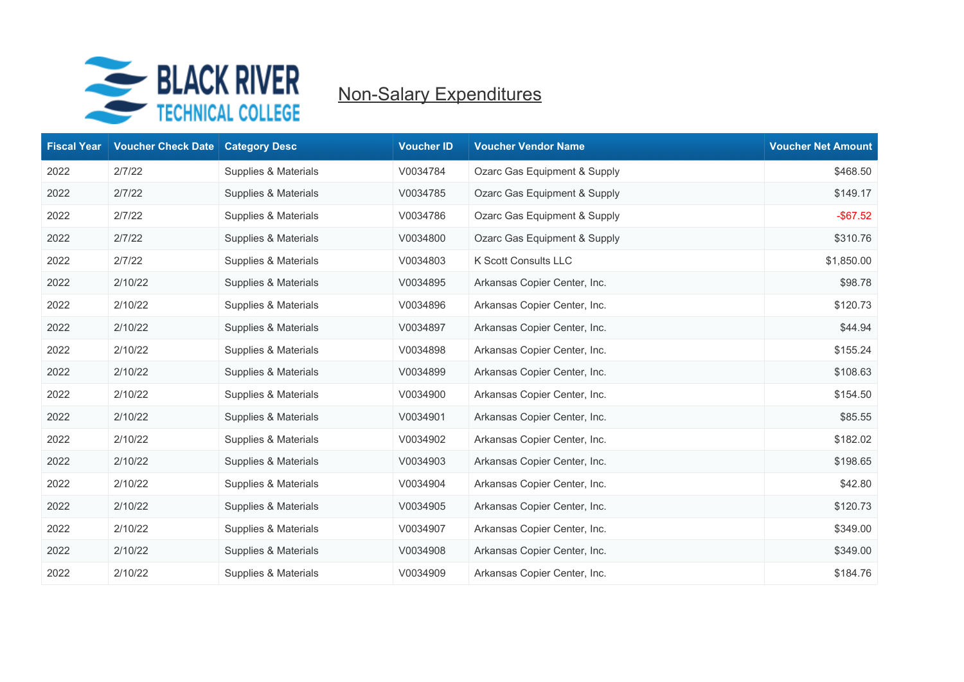

| <b>Fiscal Year</b> | <b>Voucher Check Date</b> | <b>Category Desc</b> | <b>Voucher ID</b> | <b>Voucher Vendor Name</b>   | <b>Voucher Net Amount</b> |
|--------------------|---------------------------|----------------------|-------------------|------------------------------|---------------------------|
| 2022               | 2/7/22                    | Supplies & Materials | V0034784          | Ozarc Gas Equipment & Supply | \$468.50                  |
| 2022               | 2/7/22                    | Supplies & Materials | V0034785          | Ozarc Gas Equipment & Supply | \$149.17                  |
| 2022               | 2/7/22                    | Supplies & Materials | V0034786          | Ozarc Gas Equipment & Supply | $-$ \$67.52               |
| 2022               | 2/7/22                    | Supplies & Materials | V0034800          | Ozarc Gas Equipment & Supply | \$310.76                  |
| 2022               | 2/7/22                    | Supplies & Materials | V0034803          | K Scott Consults LLC         | \$1,850.00                |
| 2022               | 2/10/22                   | Supplies & Materials | V0034895          | Arkansas Copier Center, Inc. | \$98.78                   |
| 2022               | 2/10/22                   | Supplies & Materials | V0034896          | Arkansas Copier Center, Inc. | \$120.73                  |
| 2022               | 2/10/22                   | Supplies & Materials | V0034897          | Arkansas Copier Center, Inc. | \$44.94                   |
| 2022               | 2/10/22                   | Supplies & Materials | V0034898          | Arkansas Copier Center, Inc. | \$155.24                  |
| 2022               | 2/10/22                   | Supplies & Materials | V0034899          | Arkansas Copier Center, Inc. | \$108.63                  |
| 2022               | 2/10/22                   | Supplies & Materials | V0034900          | Arkansas Copier Center, Inc. | \$154.50                  |
| 2022               | 2/10/22                   | Supplies & Materials | V0034901          | Arkansas Copier Center, Inc. | \$85.55                   |
| 2022               | 2/10/22                   | Supplies & Materials | V0034902          | Arkansas Copier Center, Inc. | \$182.02                  |
| 2022               | 2/10/22                   | Supplies & Materials | V0034903          | Arkansas Copier Center, Inc. | \$198.65                  |
| 2022               | 2/10/22                   | Supplies & Materials | V0034904          | Arkansas Copier Center, Inc. | \$42.80                   |
| 2022               | 2/10/22                   | Supplies & Materials | V0034905          | Arkansas Copier Center, Inc. | \$120.73                  |
| 2022               | 2/10/22                   | Supplies & Materials | V0034907          | Arkansas Copier Center, Inc. | \$349.00                  |
| 2022               | 2/10/22                   | Supplies & Materials | V0034908          | Arkansas Copier Center, Inc. | \$349.00                  |
| 2022               | 2/10/22                   | Supplies & Materials | V0034909          | Arkansas Copier Center, Inc. | \$184.76                  |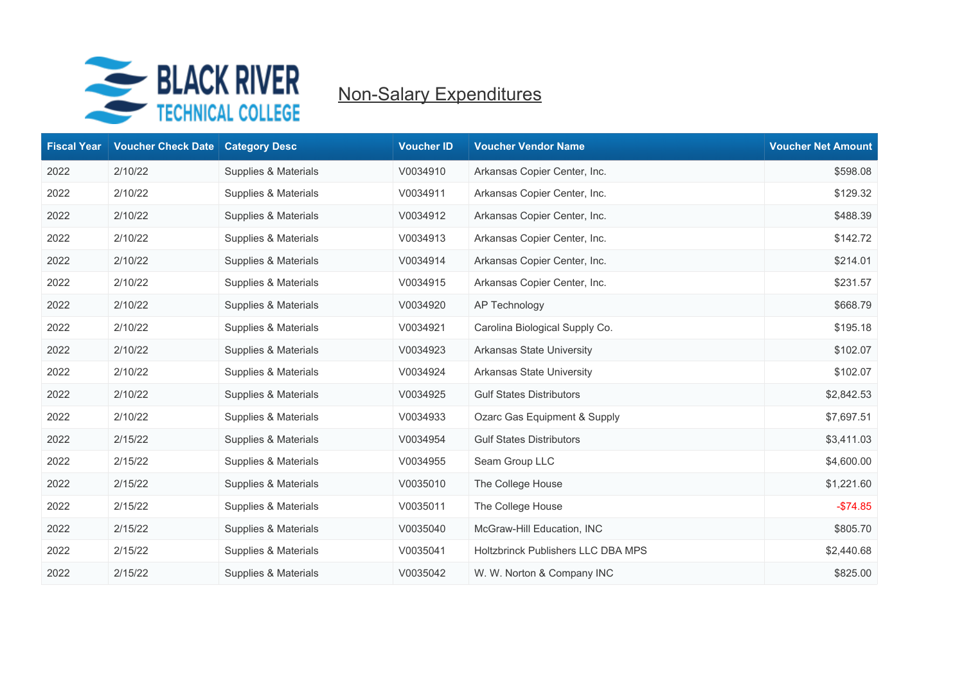

| <b>Fiscal Year</b> | <b>Voucher Check Date</b> | <b>Category Desc</b> | <b>Voucher ID</b> | <b>Voucher Vendor Name</b>         | <b>Voucher Net Amount</b> |
|--------------------|---------------------------|----------------------|-------------------|------------------------------------|---------------------------|
| 2022               | 2/10/22                   | Supplies & Materials | V0034910          | Arkansas Copier Center, Inc.       | \$598.08                  |
| 2022               | 2/10/22                   | Supplies & Materials | V0034911          | Arkansas Copier Center, Inc.       | \$129.32                  |
| 2022               | 2/10/22                   | Supplies & Materials | V0034912          | Arkansas Copier Center, Inc.       | \$488.39                  |
| 2022               | 2/10/22                   | Supplies & Materials | V0034913          | Arkansas Copier Center, Inc.       | \$142.72                  |
| 2022               | 2/10/22                   | Supplies & Materials | V0034914          | Arkansas Copier Center, Inc.       | \$214.01                  |
| 2022               | 2/10/22                   | Supplies & Materials | V0034915          | Arkansas Copier Center, Inc.       | \$231.57                  |
| 2022               | 2/10/22                   | Supplies & Materials | V0034920          | AP Technology                      | \$668.79                  |
| 2022               | 2/10/22                   | Supplies & Materials | V0034921          | Carolina Biological Supply Co.     | \$195.18                  |
| 2022               | 2/10/22                   | Supplies & Materials | V0034923          | <b>Arkansas State University</b>   | \$102.07                  |
| 2022               | 2/10/22                   | Supplies & Materials | V0034924          | Arkansas State University          | \$102.07                  |
| 2022               | 2/10/22                   | Supplies & Materials | V0034925          | <b>Gulf States Distributors</b>    | \$2,842.53                |
| 2022               | 2/10/22                   | Supplies & Materials | V0034933          | Ozarc Gas Equipment & Supply       | \$7,697.51                |
| 2022               | 2/15/22                   | Supplies & Materials | V0034954          | <b>Gulf States Distributors</b>    | \$3,411.03                |
| 2022               | 2/15/22                   | Supplies & Materials | V0034955          | Seam Group LLC                     | \$4,600.00                |
| 2022               | 2/15/22                   | Supplies & Materials | V0035010          | The College House                  | \$1,221.60                |
| 2022               | 2/15/22                   | Supplies & Materials | V0035011          | The College House                  | $-$74.85$                 |
| 2022               | 2/15/22                   | Supplies & Materials | V0035040          | McGraw-Hill Education, INC         | \$805.70                  |
| 2022               | 2/15/22                   | Supplies & Materials | V0035041          | Holtzbrinck Publishers LLC DBA MPS | \$2,440.68                |
| 2022               | 2/15/22                   | Supplies & Materials | V0035042          | W. W. Norton & Company INC         | \$825.00                  |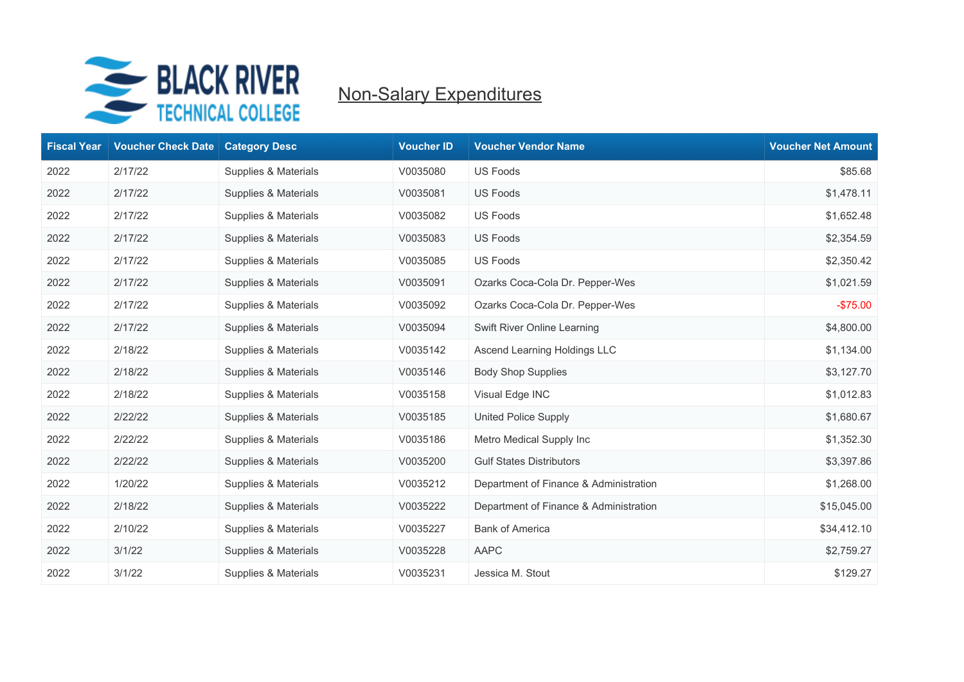

| <b>Fiscal Year</b> | <b>Voucher Check Date</b> | <b>Category Desc</b> | <b>Voucher ID</b> | <b>Voucher Vendor Name</b>             | <b>Voucher Net Amount</b> |
|--------------------|---------------------------|----------------------|-------------------|----------------------------------------|---------------------------|
| 2022               | 2/17/22                   | Supplies & Materials | V0035080          | <b>US Foods</b>                        | \$85.68                   |
| 2022               | 2/17/22                   | Supplies & Materials | V0035081          | <b>US Foods</b>                        | \$1,478.11                |
| 2022               | 2/17/22                   | Supplies & Materials | V0035082          | <b>US Foods</b>                        | \$1,652.48                |
| 2022               | 2/17/22                   | Supplies & Materials | V0035083          | <b>US Foods</b>                        | \$2,354.59                |
| 2022               | 2/17/22                   | Supplies & Materials | V0035085          | <b>US Foods</b>                        | \$2,350.42                |
| 2022               | 2/17/22                   | Supplies & Materials | V0035091          | Ozarks Coca-Cola Dr. Pepper-Wes        | \$1,021.59                |
| 2022               | 2/17/22                   | Supplies & Materials | V0035092          | Ozarks Coca-Cola Dr. Pepper-Wes        | $-$75.00$                 |
| 2022               | 2/17/22                   | Supplies & Materials | V0035094          | Swift River Online Learning            | \$4,800.00                |
| 2022               | 2/18/22                   | Supplies & Materials | V0035142          | Ascend Learning Holdings LLC           | \$1,134.00                |
| 2022               | 2/18/22                   | Supplies & Materials | V0035146          | <b>Body Shop Supplies</b>              | \$3,127.70                |
| 2022               | 2/18/22                   | Supplies & Materials | V0035158          | Visual Edge INC                        | \$1,012.83                |
| 2022               | 2/22/22                   | Supplies & Materials | V0035185          | <b>United Police Supply</b>            | \$1,680.67                |
| 2022               | 2/22/22                   | Supplies & Materials | V0035186          | Metro Medical Supply Inc               | \$1,352.30                |
| 2022               | 2/22/22                   | Supplies & Materials | V0035200          | <b>Gulf States Distributors</b>        | \$3,397.86                |
| 2022               | 1/20/22                   | Supplies & Materials | V0035212          | Department of Finance & Administration | \$1,268.00                |
| 2022               | 2/18/22                   | Supplies & Materials | V0035222          | Department of Finance & Administration | \$15,045.00               |
| 2022               | 2/10/22                   | Supplies & Materials | V0035227          | <b>Bank of America</b>                 | \$34,412.10               |
| 2022               | 3/1/22                    | Supplies & Materials | V0035228          | AAPC                                   | \$2,759.27                |
| 2022               | 3/1/22                    | Supplies & Materials | V0035231          | Jessica M. Stout                       | \$129.27                  |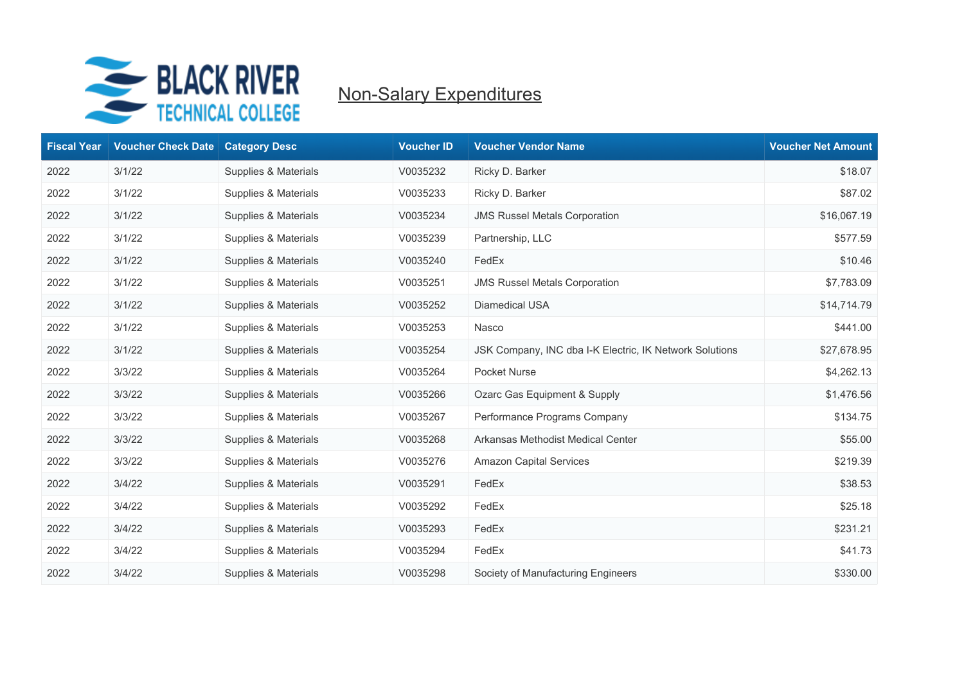

| <b>Fiscal Year</b> | <b>Voucher Check Date</b> | <b>Category Desc</b> | <b>Voucher ID</b> | <b>Voucher Vendor Name</b>                              | <b>Voucher Net Amount</b> |
|--------------------|---------------------------|----------------------|-------------------|---------------------------------------------------------|---------------------------|
| 2022               | 3/1/22                    | Supplies & Materials | V0035232          | Ricky D. Barker                                         | \$18.07                   |
| 2022               | 3/1/22                    | Supplies & Materials | V0035233          | Ricky D. Barker                                         | \$87.02                   |
| 2022               | 3/1/22                    | Supplies & Materials | V0035234          | <b>JMS Russel Metals Corporation</b>                    | \$16,067.19               |
| 2022               | 3/1/22                    | Supplies & Materials | V0035239          | Partnership, LLC                                        | \$577.59                  |
| 2022               | 3/1/22                    | Supplies & Materials | V0035240          | FedEx                                                   | \$10.46                   |
| 2022               | 3/1/22                    | Supplies & Materials | V0035251          | <b>JMS Russel Metals Corporation</b>                    | \$7,783.09                |
| 2022               | 3/1/22                    | Supplies & Materials | V0035252          | Diamedical USA                                          | \$14,714.79               |
| 2022               | 3/1/22                    | Supplies & Materials | V0035253          | Nasco                                                   | \$441.00                  |
| 2022               | 3/1/22                    | Supplies & Materials | V0035254          | JSK Company, INC dba I-K Electric, IK Network Solutions | \$27,678.95               |
| 2022               | 3/3/22                    | Supplies & Materials | V0035264          | Pocket Nurse                                            | \$4,262.13                |
| 2022               | 3/3/22                    | Supplies & Materials | V0035266          | Ozarc Gas Equipment & Supply                            | \$1,476.56                |
| 2022               | 3/3/22                    | Supplies & Materials | V0035267          | Performance Programs Company                            | \$134.75                  |
| 2022               | 3/3/22                    | Supplies & Materials | V0035268          | Arkansas Methodist Medical Center                       | \$55.00                   |
| 2022               | 3/3/22                    | Supplies & Materials | V0035276          | Amazon Capital Services                                 | \$219.39                  |
| 2022               | 3/4/22                    | Supplies & Materials | V0035291          | FedEx                                                   | \$38.53                   |
| 2022               | 3/4/22                    | Supplies & Materials | V0035292          | FedEx                                                   | \$25.18                   |
| 2022               | 3/4/22                    | Supplies & Materials | V0035293          | FedEx                                                   | \$231.21                  |
| 2022               | 3/4/22                    | Supplies & Materials | V0035294          | FedEx                                                   | \$41.73                   |
| 2022               | 3/4/22                    | Supplies & Materials | V0035298          | Society of Manufacturing Engineers                      | \$330.00                  |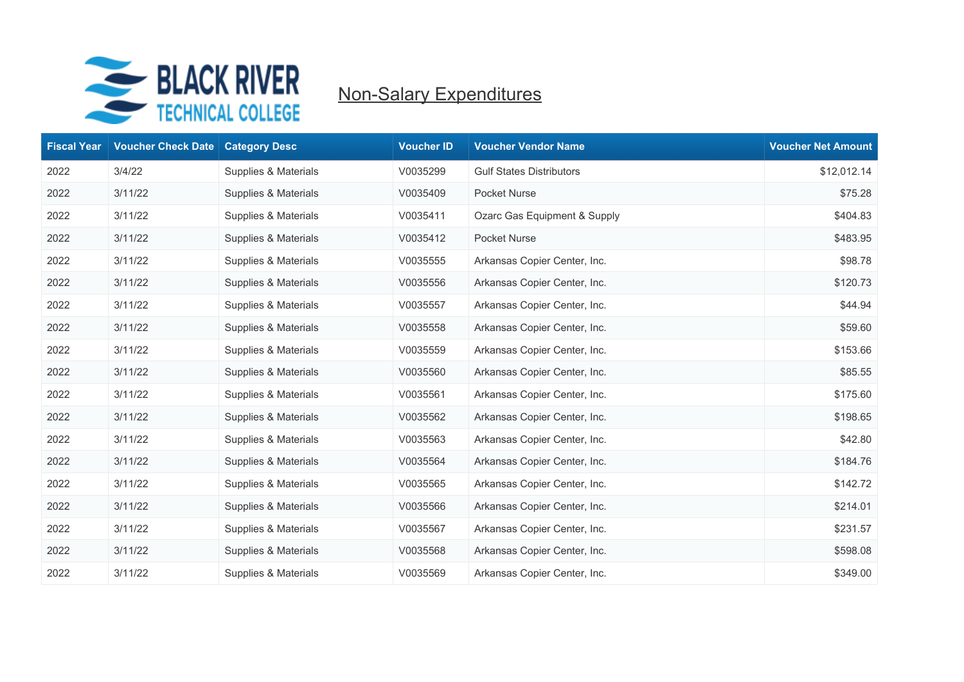

| <b>Fiscal Year</b> | <b>Voucher Check Date</b> | <b>Category Desc</b> | <b>Voucher ID</b> | <b>Voucher Vendor Name</b>      | <b>Voucher Net Amount</b> |
|--------------------|---------------------------|----------------------|-------------------|---------------------------------|---------------------------|
| 2022               | 3/4/22                    | Supplies & Materials | V0035299          | <b>Gulf States Distributors</b> | \$12,012.14               |
| 2022               | 3/11/22                   | Supplies & Materials | V0035409          | Pocket Nurse                    | \$75.28                   |
| 2022               | 3/11/22                   | Supplies & Materials | V0035411          | Ozarc Gas Equipment & Supply    | \$404.83                  |
| 2022               | 3/11/22                   | Supplies & Materials | V0035412          | Pocket Nurse                    | \$483.95                  |
| 2022               | 3/11/22                   | Supplies & Materials | V0035555          | Arkansas Copier Center, Inc.    | \$98.78                   |
| 2022               | 3/11/22                   | Supplies & Materials | V0035556          | Arkansas Copier Center, Inc.    | \$120.73                  |
| 2022               | 3/11/22                   | Supplies & Materials | V0035557          | Arkansas Copier Center, Inc.    | \$44.94                   |
| 2022               | 3/11/22                   | Supplies & Materials | V0035558          | Arkansas Copier Center, Inc.    | \$59.60                   |
| 2022               | 3/11/22                   | Supplies & Materials | V0035559          | Arkansas Copier Center, Inc.    | \$153.66                  |
| 2022               | 3/11/22                   | Supplies & Materials | V0035560          | Arkansas Copier Center, Inc.    | \$85.55                   |
| 2022               | 3/11/22                   | Supplies & Materials | V0035561          | Arkansas Copier Center, Inc.    | \$175.60                  |
| 2022               | 3/11/22                   | Supplies & Materials | V0035562          | Arkansas Copier Center, Inc.    | \$198.65                  |
| 2022               | 3/11/22                   | Supplies & Materials | V0035563          | Arkansas Copier Center, Inc.    | \$42.80                   |
| 2022               | 3/11/22                   | Supplies & Materials | V0035564          | Arkansas Copier Center, Inc.    | \$184.76                  |
| 2022               | 3/11/22                   | Supplies & Materials | V0035565          | Arkansas Copier Center, Inc.    | \$142.72                  |
| 2022               | 3/11/22                   | Supplies & Materials | V0035566          | Arkansas Copier Center, Inc.    | \$214.01                  |
| 2022               | 3/11/22                   | Supplies & Materials | V0035567          | Arkansas Copier Center, Inc.    | \$231.57                  |
| 2022               | 3/11/22                   | Supplies & Materials | V0035568          | Arkansas Copier Center, Inc.    | \$598.08                  |
| 2022               | 3/11/22                   | Supplies & Materials | V0035569          | Arkansas Copier Center, Inc.    | \$349.00                  |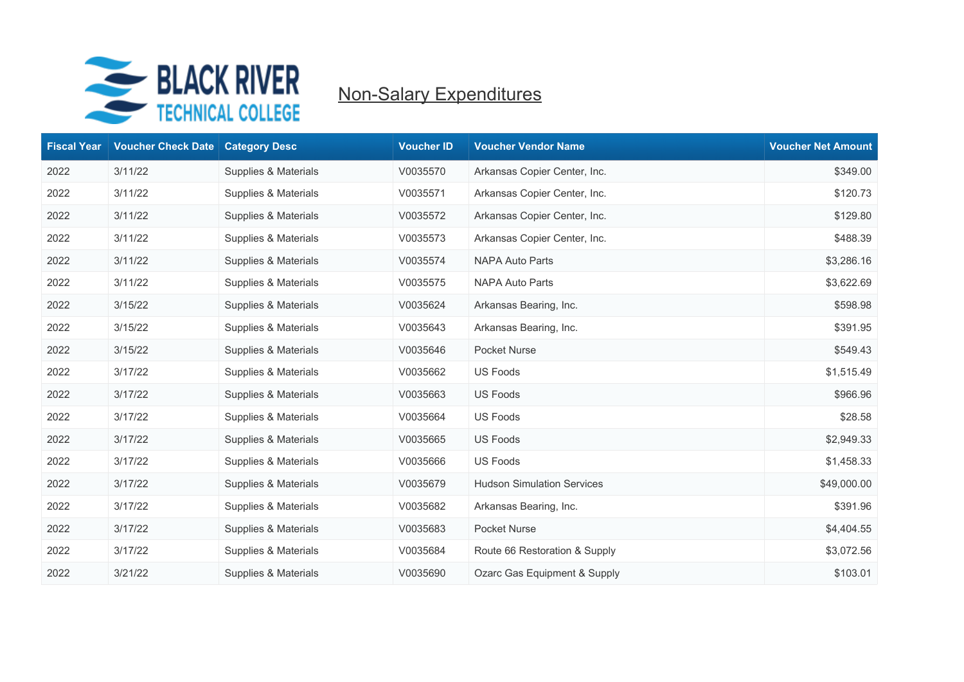

| <b>Fiscal Year</b> | <b>Voucher Check Date</b> | <b>Category Desc</b> | <b>Voucher ID</b> | <b>Voucher Vendor Name</b>        | <b>Voucher Net Amount</b> |
|--------------------|---------------------------|----------------------|-------------------|-----------------------------------|---------------------------|
| 2022               | 3/11/22                   | Supplies & Materials | V0035570          | Arkansas Copier Center, Inc.      | \$349.00                  |
| 2022               | 3/11/22                   | Supplies & Materials | V0035571          | Arkansas Copier Center, Inc.      | \$120.73                  |
| 2022               | 3/11/22                   | Supplies & Materials | V0035572          | Arkansas Copier Center, Inc.      | \$129.80                  |
| 2022               | 3/11/22                   | Supplies & Materials | V0035573          | Arkansas Copier Center, Inc.      | \$488.39                  |
| 2022               | 3/11/22                   | Supplies & Materials | V0035574          | <b>NAPA Auto Parts</b>            | \$3,286.16                |
| 2022               | 3/11/22                   | Supplies & Materials | V0035575          | <b>NAPA Auto Parts</b>            | \$3,622.69                |
| 2022               | 3/15/22                   | Supplies & Materials | V0035624          | Arkansas Bearing, Inc.            | \$598.98                  |
| 2022               | 3/15/22                   | Supplies & Materials | V0035643          | Arkansas Bearing, Inc.            | \$391.95                  |
| 2022               | 3/15/22                   | Supplies & Materials | V0035646          | Pocket Nurse                      | \$549.43                  |
| 2022               | 3/17/22                   | Supplies & Materials | V0035662          | <b>US Foods</b>                   | \$1,515.49                |
| 2022               | 3/17/22                   | Supplies & Materials | V0035663          | US Foods                          | \$966.96                  |
| 2022               | 3/17/22                   | Supplies & Materials | V0035664          | <b>US Foods</b>                   | \$28.58                   |
| 2022               | 3/17/22                   | Supplies & Materials | V0035665          | <b>US Foods</b>                   | \$2,949.33                |
| 2022               | 3/17/22                   | Supplies & Materials | V0035666          | US Foods                          | \$1,458.33                |
| 2022               | 3/17/22                   | Supplies & Materials | V0035679          | <b>Hudson Simulation Services</b> | \$49,000.00               |
| 2022               | 3/17/22                   | Supplies & Materials | V0035682          | Arkansas Bearing, Inc.            | \$391.96                  |
| 2022               | 3/17/22                   | Supplies & Materials | V0035683          | Pocket Nurse                      | \$4,404.55                |
| 2022               | 3/17/22                   | Supplies & Materials | V0035684          | Route 66 Restoration & Supply     | \$3,072.56                |
| 2022               | 3/21/22                   | Supplies & Materials | V0035690          | Ozarc Gas Equipment & Supply      | \$103.01                  |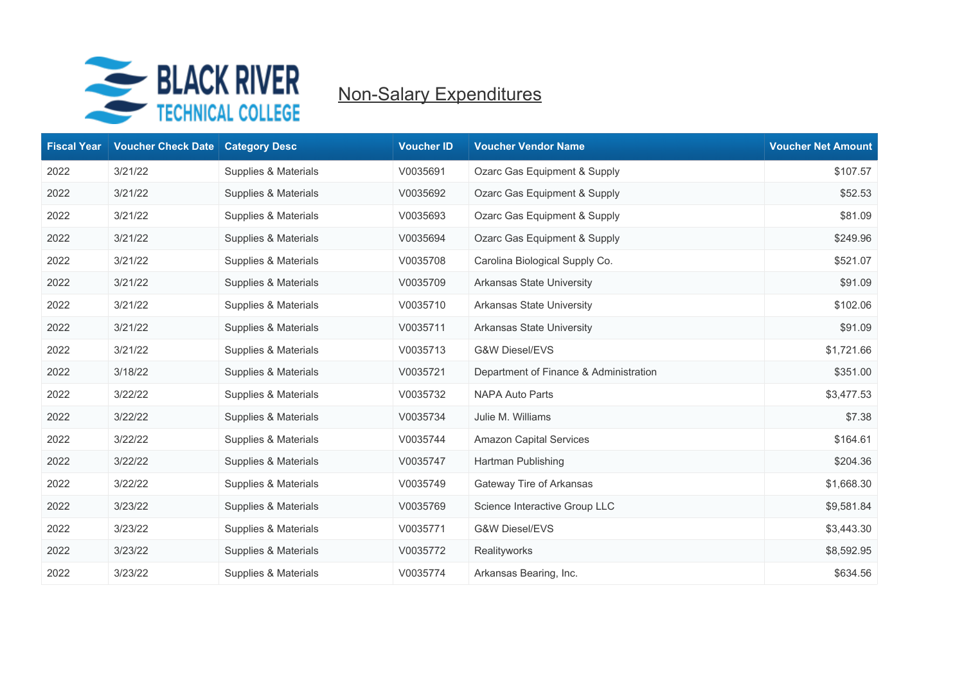

| <b>Fiscal Year</b> | <b>Voucher Check Date</b> | <b>Category Desc</b> | <b>Voucher ID</b> | <b>Voucher Vendor Name</b>             | <b>Voucher Net Amount</b> |
|--------------------|---------------------------|----------------------|-------------------|----------------------------------------|---------------------------|
| 2022               | 3/21/22                   | Supplies & Materials | V0035691          | Ozarc Gas Equipment & Supply           | \$107.57                  |
| 2022               | 3/21/22                   | Supplies & Materials | V0035692          | Ozarc Gas Equipment & Supply           | \$52.53                   |
| 2022               | 3/21/22                   | Supplies & Materials | V0035693          | Ozarc Gas Equipment & Supply           | \$81.09                   |
| 2022               | 3/21/22                   | Supplies & Materials | V0035694          | Ozarc Gas Equipment & Supply           | \$249.96                  |
| 2022               | 3/21/22                   | Supplies & Materials | V0035708          | Carolina Biological Supply Co.         | \$521.07                  |
| 2022               | 3/21/22                   | Supplies & Materials | V0035709          | Arkansas State University              | \$91.09                   |
| 2022               | 3/21/22                   | Supplies & Materials | V0035710          | Arkansas State University              | \$102.06                  |
| 2022               | 3/21/22                   | Supplies & Materials | V0035711          | Arkansas State University              | \$91.09                   |
| 2022               | 3/21/22                   | Supplies & Materials | V0035713          | <b>G&amp;W Diesel/EVS</b>              | \$1,721.66                |
| 2022               | 3/18/22                   | Supplies & Materials | V0035721          | Department of Finance & Administration | \$351.00                  |
| 2022               | 3/22/22                   | Supplies & Materials | V0035732          | <b>NAPA Auto Parts</b>                 | \$3,477.53                |
| 2022               | 3/22/22                   | Supplies & Materials | V0035734          | Julie M. Williams                      | \$7.38                    |
| 2022               | 3/22/22                   | Supplies & Materials | V0035744          | <b>Amazon Capital Services</b>         | \$164.61                  |
| 2022               | 3/22/22                   | Supplies & Materials | V0035747          | Hartman Publishing                     | \$204.36                  |
| 2022               | 3/22/22                   | Supplies & Materials | V0035749          | Gateway Tire of Arkansas               | \$1,668.30                |
| 2022               | 3/23/22                   | Supplies & Materials | V0035769          | Science Interactive Group LLC          | \$9,581.84                |
| 2022               | 3/23/22                   | Supplies & Materials | V0035771          | <b>G&amp;W Diesel/EVS</b>              | \$3,443.30                |
| 2022               | 3/23/22                   | Supplies & Materials | V0035772          | Realityworks                           | \$8,592.95                |
| 2022               | 3/23/22                   | Supplies & Materials | V0035774          | Arkansas Bearing, Inc.                 | \$634.56                  |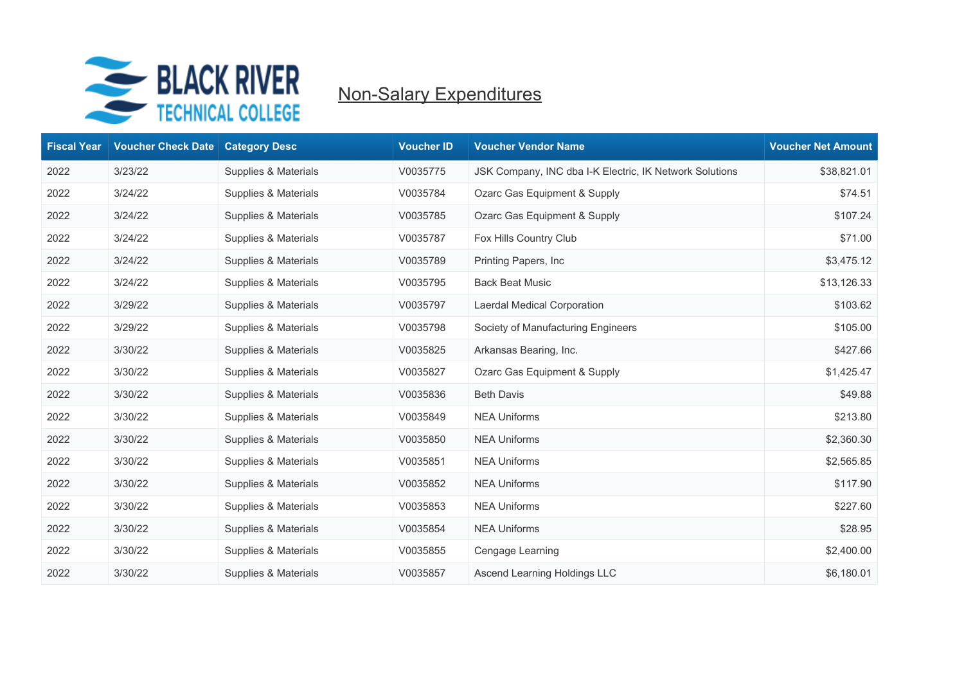

| <b>Fiscal Year</b> | <b>Voucher Check Date</b> | <b>Category Desc</b> | <b>Voucher ID</b> | <b>Voucher Vendor Name</b>                              | <b>Voucher Net Amount</b> |
|--------------------|---------------------------|----------------------|-------------------|---------------------------------------------------------|---------------------------|
| 2022               | 3/23/22                   | Supplies & Materials | V0035775          | JSK Company, INC dba I-K Electric, IK Network Solutions | \$38,821.01               |
| 2022               | 3/24/22                   | Supplies & Materials | V0035784          | Ozarc Gas Equipment & Supply                            | \$74.51                   |
| 2022               | 3/24/22                   | Supplies & Materials | V0035785          | Ozarc Gas Equipment & Supply                            | \$107.24                  |
| 2022               | 3/24/22                   | Supplies & Materials | V0035787          | Fox Hills Country Club                                  | \$71.00                   |
| 2022               | 3/24/22                   | Supplies & Materials | V0035789          | Printing Papers, Inc.                                   | \$3,475.12                |
| 2022               | 3/24/22                   | Supplies & Materials | V0035795          | <b>Back Beat Music</b>                                  | \$13,126.33               |
| 2022               | 3/29/22                   | Supplies & Materials | V0035797          | Laerdal Medical Corporation                             | \$103.62                  |
| 2022               | 3/29/22                   | Supplies & Materials | V0035798          | Society of Manufacturing Engineers                      | \$105.00                  |
| 2022               | 3/30/22                   | Supplies & Materials | V0035825          | Arkansas Bearing, Inc.                                  | \$427.66                  |
| 2022               | 3/30/22                   | Supplies & Materials | V0035827          | Ozarc Gas Equipment & Supply                            | \$1,425.47                |
| 2022               | 3/30/22                   | Supplies & Materials | V0035836          | <b>Beth Davis</b>                                       | \$49.88                   |
| 2022               | 3/30/22                   | Supplies & Materials | V0035849          | <b>NEA Uniforms</b>                                     | \$213.80                  |
| 2022               | 3/30/22                   | Supplies & Materials | V0035850          | <b>NEA Uniforms</b>                                     | \$2,360.30                |
| 2022               | 3/30/22                   | Supplies & Materials | V0035851          | <b>NEA Uniforms</b>                                     | \$2,565.85                |
| 2022               | 3/30/22                   | Supplies & Materials | V0035852          | <b>NEA Uniforms</b>                                     | \$117.90                  |
| 2022               | 3/30/22                   | Supplies & Materials | V0035853          | <b>NEA Uniforms</b>                                     | \$227.60                  |
| 2022               | 3/30/22                   | Supplies & Materials | V0035854          | <b>NEA Uniforms</b>                                     | \$28.95                   |
| 2022               | 3/30/22                   | Supplies & Materials | V0035855          | Cengage Learning                                        | \$2,400.00                |
| 2022               | 3/30/22                   | Supplies & Materials | V0035857          | Ascend Learning Holdings LLC                            | \$6,180.01                |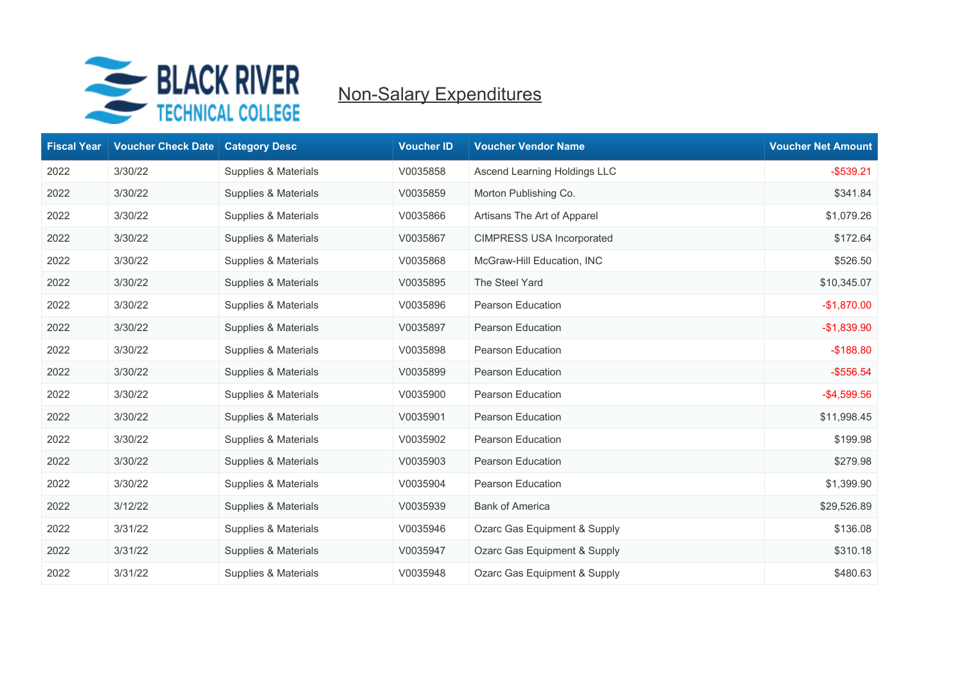

| <b>Fiscal Year</b> | <b>Voucher Check Date</b> | <b>Category Desc</b> | <b>Voucher ID</b> | <b>Voucher Vendor Name</b>   | <b>Voucher Net Amount</b> |
|--------------------|---------------------------|----------------------|-------------------|------------------------------|---------------------------|
| 2022               | 3/30/22                   | Supplies & Materials | V0035858          | Ascend Learning Holdings LLC | $-$ \$539.21              |
| 2022               | 3/30/22                   | Supplies & Materials | V0035859          | Morton Publishing Co.        | \$341.84                  |
| 2022               | 3/30/22                   | Supplies & Materials | V0035866          | Artisans The Art of Apparel  | \$1,079.26                |
| 2022               | 3/30/22                   | Supplies & Materials | V0035867          | CIMPRESS USA Incorporated    | \$172.64                  |
| 2022               | 3/30/22                   | Supplies & Materials | V0035868          | McGraw-Hill Education, INC   | \$526.50                  |
| 2022               | 3/30/22                   | Supplies & Materials | V0035895          | The Steel Yard               | \$10,345.07               |
| 2022               | 3/30/22                   | Supplies & Materials | V0035896          | Pearson Education            | $-$1,870.00$              |
| 2022               | 3/30/22                   | Supplies & Materials | V0035897          | Pearson Education            | $-$1,839.90$              |
| 2022               | 3/30/22                   | Supplies & Materials | V0035898          | Pearson Education            | $-$188.80$                |
| 2022               | 3/30/22                   | Supplies & Materials | V0035899          | Pearson Education            | $-$ \$556.54              |
| 2022               | 3/30/22                   | Supplies & Materials | V0035900          | Pearson Education            | $-$4,599.56$              |
| 2022               | 3/30/22                   | Supplies & Materials | V0035901          | Pearson Education            | \$11,998.45               |
| 2022               | 3/30/22                   | Supplies & Materials | V0035902          | Pearson Education            | \$199.98                  |
| 2022               | 3/30/22                   | Supplies & Materials | V0035903          | Pearson Education            | \$279.98                  |
| 2022               | 3/30/22                   | Supplies & Materials | V0035904          | Pearson Education            | \$1,399.90                |
| 2022               | 3/12/22                   | Supplies & Materials | V0035939          | <b>Bank of America</b>       | \$29,526.89               |
| 2022               | 3/31/22                   | Supplies & Materials | V0035946          | Ozarc Gas Equipment & Supply | \$136.08                  |
| 2022               | 3/31/22                   | Supplies & Materials | V0035947          | Ozarc Gas Equipment & Supply | \$310.18                  |
| 2022               | 3/31/22                   | Supplies & Materials | V0035948          | Ozarc Gas Equipment & Supply | \$480.63                  |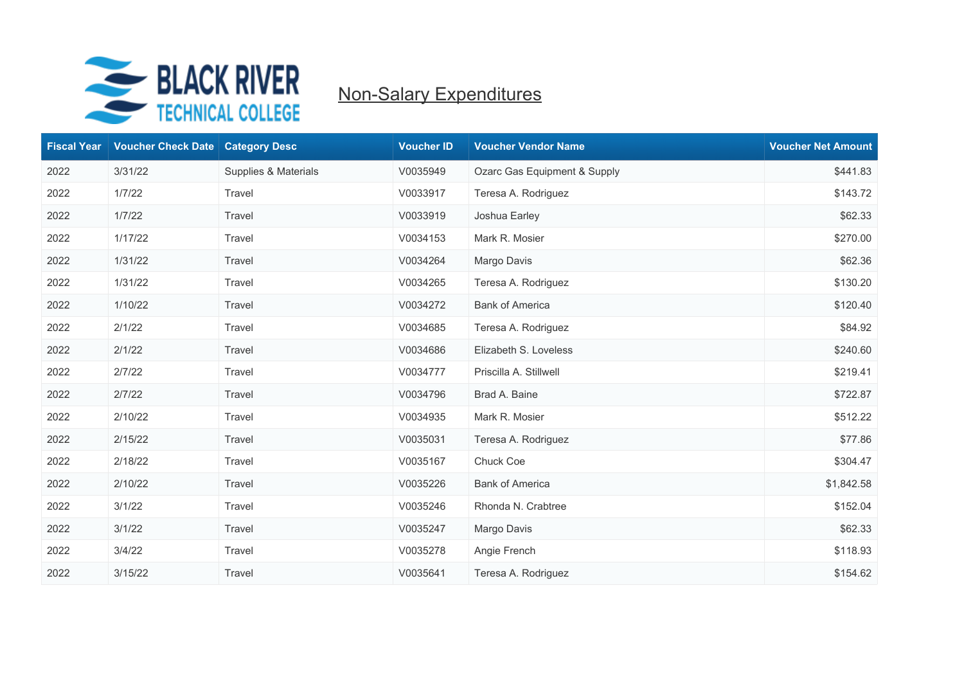

| <b>Fiscal Year</b> | <b>Voucher Check Date Category Desc</b> |                      | <b>Voucher ID</b> | <b>Voucher Vendor Name</b>   | <b>Voucher Net Amount</b> |
|--------------------|-----------------------------------------|----------------------|-------------------|------------------------------|---------------------------|
| 2022               | 3/31/22                                 | Supplies & Materials | V0035949          | Ozarc Gas Equipment & Supply | \$441.83                  |
| 2022               | 1/7/22                                  | Travel               | V0033917          | Teresa A. Rodriguez          | \$143.72                  |
| 2022               | 1/7/22                                  | Travel               | V0033919          | Joshua Earley                | \$62.33                   |
| 2022               | 1/17/22                                 | Travel               | V0034153          | Mark R. Mosier               | \$270.00                  |
| 2022               | 1/31/22                                 | Travel               | V0034264          | Margo Davis                  | \$62.36                   |
| 2022               | 1/31/22                                 | Travel               | V0034265          | Teresa A. Rodriguez          | \$130.20                  |
| 2022               | 1/10/22                                 | Travel               | V0034272          | <b>Bank of America</b>       | \$120.40                  |
| 2022               | 2/1/22                                  | Travel               | V0034685          | Teresa A. Rodriguez          | \$84.92                   |
| 2022               | 2/1/22                                  | Travel               | V0034686          | Elizabeth S. Loveless        | \$240.60                  |
| 2022               | 2/7/22                                  | Travel               | V0034777          | Priscilla A. Stillwell       | \$219.41                  |
| 2022               | 2/7/22                                  | Travel               | V0034796          | Brad A. Baine                | \$722.87                  |
| 2022               | 2/10/22                                 | Travel               | V0034935          | Mark R. Mosier               | \$512.22                  |
| 2022               | 2/15/22                                 | Travel               | V0035031          | Teresa A. Rodriguez          | \$77.86                   |
| 2022               | 2/18/22                                 | Travel               | V0035167          | Chuck Coe                    | \$304.47                  |
| 2022               | 2/10/22                                 | Travel               | V0035226          | <b>Bank of America</b>       | \$1,842.58                |
| 2022               | 3/1/22                                  | Travel               | V0035246          | Rhonda N. Crabtree           | \$152.04                  |
| 2022               | 3/1/22                                  | Travel               | V0035247          | Margo Davis                  | \$62.33                   |
| 2022               | 3/4/22                                  | Travel               | V0035278          | Angie French                 | \$118.93                  |
| 2022               | 3/15/22                                 | Travel               | V0035641          | Teresa A. Rodriguez          | \$154.62                  |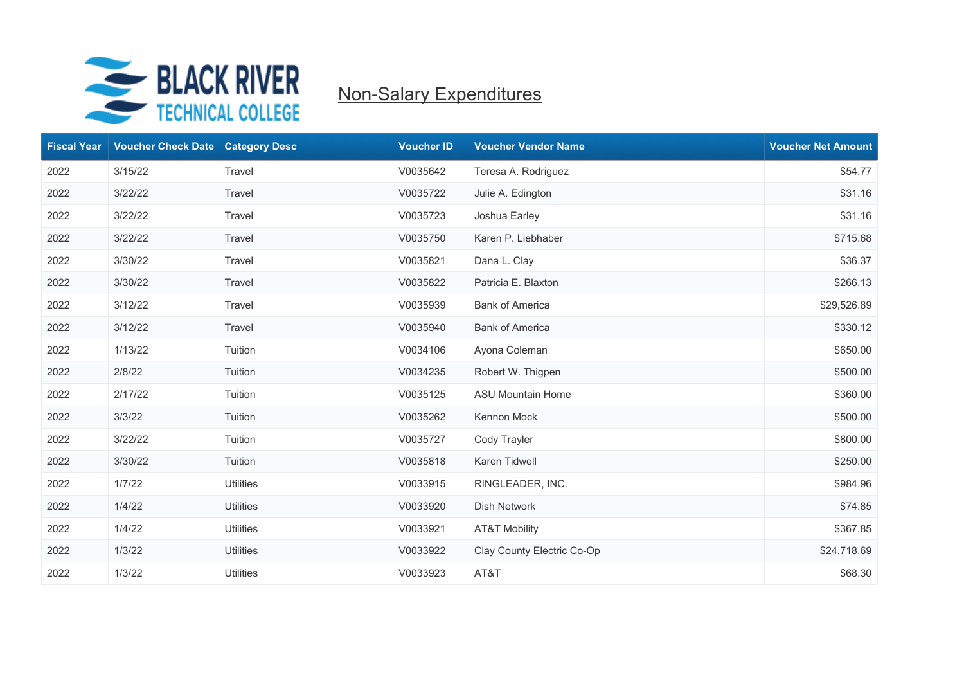

| <b>Fiscal Year</b> | Voucher Check Date   Category Desc |                  | <b>Voucher ID</b> | <b>Voucher Vendor Name</b> | <b>Voucher Net Amount</b> |
|--------------------|------------------------------------|------------------|-------------------|----------------------------|---------------------------|
| 2022               | 3/15/22                            | Travel           | V0035642          | Teresa A. Rodriguez        | \$54.77                   |
| 2022               | 3/22/22                            | Travel           | V0035722          | Julie A. Edington          | \$31.16                   |
| 2022               | 3/22/22                            | Travel           | V0035723          | Joshua Earley              | \$31.16                   |
| 2022               | 3/22/22                            | Travel           | V0035750          | Karen P. Liebhaber         | \$715.68                  |
| 2022               | 3/30/22                            | Travel           | V0035821          | Dana L. Clay               | \$36.37                   |
| 2022               | 3/30/22                            | Travel           | V0035822          | Patricia E. Blaxton        | \$266.13                  |
| 2022               | 3/12/22                            | Travel           | V0035939          | <b>Bank of America</b>     | \$29,526.89               |
| 2022               | 3/12/22                            | Travel           | V0035940          | <b>Bank of America</b>     | \$330.12                  |
| 2022               | 1/13/22                            | Tuition          | V0034106          | Ayona Coleman              | \$650.00                  |
| 2022               | 2/8/22                             | Tuition          | V0034235          | Robert W. Thigpen          | \$500.00                  |
| 2022               | 2/17/22                            | Tuition          | V0035125          | <b>ASU Mountain Home</b>   | \$360.00                  |
| 2022               | 3/3/22                             | Tuition          | V0035262          | Kennon Mock                | \$500.00                  |
| 2022               | 3/22/22                            | Tuition          | V0035727          | Cody Trayler               | \$800.00                  |
| 2022               | 3/30/22                            | Tuition          | V0035818          | Karen Tidwell              | \$250.00                  |
| 2022               | 1/7/22                             | <b>Utilities</b> | V0033915          | RINGLEADER, INC.           | \$984.96                  |
| 2022               | 1/4/22                             | <b>Utilities</b> | V0033920          | Dish Network               | \$74.85                   |
| 2022               | 1/4/22                             | <b>Utilities</b> | V0033921          | <b>AT&amp;T Mobility</b>   | \$367.85                  |
| 2022               | 1/3/22                             | <b>Utilities</b> | V0033922          | Clay County Electric Co-Op | \$24,718.69               |
| 2022               | 1/3/22                             | <b>Utilities</b> | V0033923          | AT&T                       | \$68.30                   |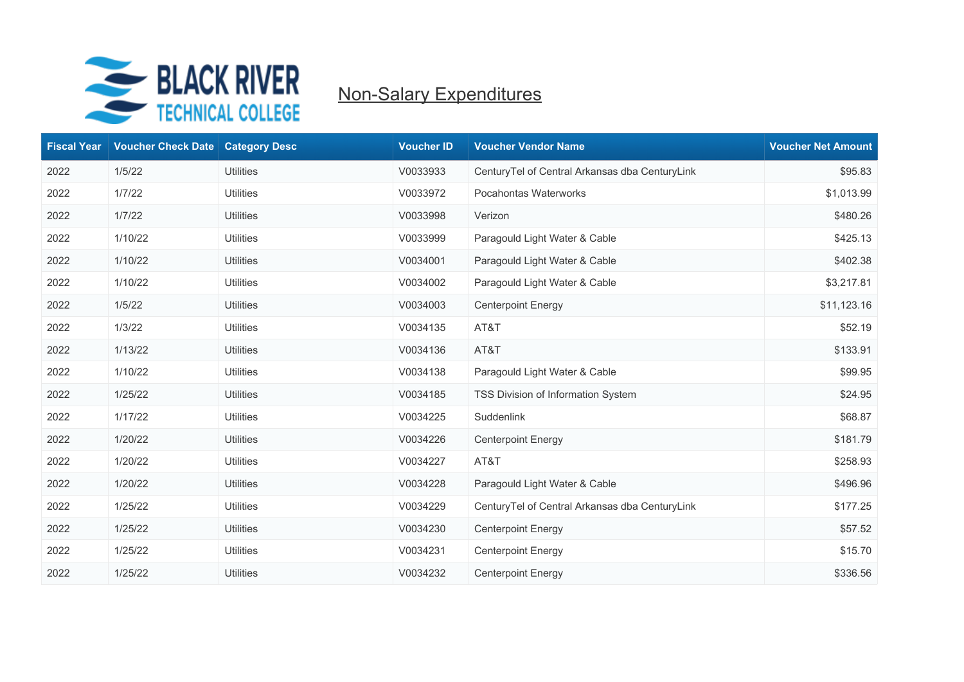

| <b>Fiscal Year</b> | <b>Voucher Check Date</b> | <b>Category Desc</b> | <b>Voucher ID</b> | <b>Voucher Vendor Name</b>                     | <b>Voucher Net Amount</b> |
|--------------------|---------------------------|----------------------|-------------------|------------------------------------------------|---------------------------|
| 2022               | 1/5/22                    | <b>Utilities</b>     | V0033933          | CenturyTel of Central Arkansas dba CenturyLink | \$95.83                   |
| 2022               | 1/7/22                    | <b>Utilities</b>     | V0033972          | Pocahontas Waterworks                          | \$1,013.99                |
| 2022               | 1/7/22                    | <b>Utilities</b>     | V0033998          | Verizon                                        | \$480.26                  |
| 2022               | 1/10/22                   | <b>Utilities</b>     | V0033999          | Paragould Light Water & Cable                  | \$425.13                  |
| 2022               | 1/10/22                   | <b>Utilities</b>     | V0034001          | Paragould Light Water & Cable                  | \$402.38                  |
| 2022               | 1/10/22                   | <b>Utilities</b>     | V0034002          | Paragould Light Water & Cable                  | \$3,217.81                |
| 2022               | 1/5/22                    | <b>Utilities</b>     | V0034003          | <b>Centerpoint Energy</b>                      | \$11,123.16               |
| 2022               | 1/3/22                    | <b>Utilities</b>     | V0034135          | AT&T                                           | \$52.19                   |
| 2022               | 1/13/22                   | <b>Utilities</b>     | V0034136          | AT&T                                           | \$133.91                  |
| 2022               | 1/10/22                   | <b>Utilities</b>     | V0034138          | Paragould Light Water & Cable                  | \$99.95                   |
| 2022               | 1/25/22                   | <b>Utilities</b>     | V0034185          | TSS Division of Information System             | \$24.95                   |
| 2022               | 1/17/22                   | <b>Utilities</b>     | V0034225          | Suddenlink                                     | \$68.87                   |
| 2022               | 1/20/22                   | <b>Utilities</b>     | V0034226          | <b>Centerpoint Energy</b>                      | \$181.79                  |
| 2022               | 1/20/22                   | <b>Utilities</b>     | V0034227          | AT&T                                           | \$258.93                  |
| 2022               | 1/20/22                   | <b>Utilities</b>     | V0034228          | Paragould Light Water & Cable                  | \$496.96                  |
| 2022               | 1/25/22                   | <b>Utilities</b>     | V0034229          | CenturyTel of Central Arkansas dba CenturyLink | \$177.25                  |
| 2022               | 1/25/22                   | <b>Utilities</b>     | V0034230          | <b>Centerpoint Energy</b>                      | \$57.52                   |
| 2022               | 1/25/22                   | Utilities            | V0034231          | <b>Centerpoint Energy</b>                      | \$15.70                   |
| 2022               | 1/25/22                   | <b>Utilities</b>     | V0034232          | <b>Centerpoint Energy</b>                      | \$336.56                  |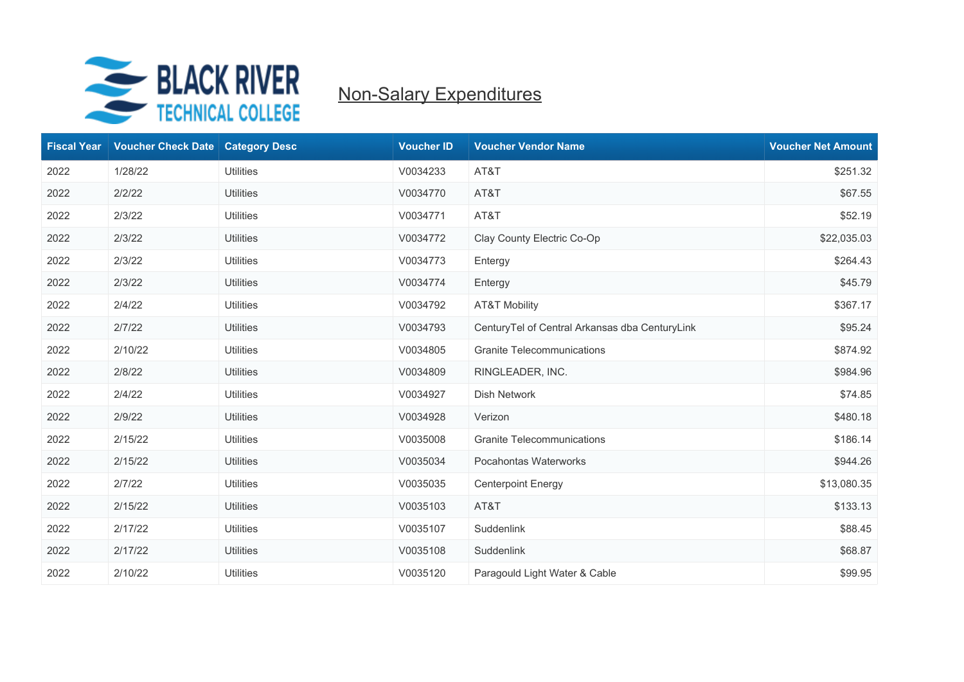

| <b>Fiscal Year</b> | <b>Voucher Check Date   Category Desc</b> |                  | <b>Voucher ID</b> | <b>Voucher Vendor Name</b>                     | <b>Voucher Net Amount</b> |
|--------------------|-------------------------------------------|------------------|-------------------|------------------------------------------------|---------------------------|
| 2022               | 1/28/22                                   | <b>Utilities</b> | V0034233          | AT&T                                           | \$251.32                  |
| 2022               | 2/2/22                                    | <b>Utilities</b> | V0034770          | AT&T                                           | \$67.55                   |
| 2022               | 2/3/22                                    | <b>Utilities</b> | V0034771          | AT&T                                           | \$52.19                   |
| 2022               | 2/3/22                                    | <b>Utilities</b> | V0034772          | Clay County Electric Co-Op                     | \$22,035.03               |
| 2022               | 2/3/22                                    | <b>Utilities</b> | V0034773          | Entergy                                        | \$264.43                  |
| 2022               | 2/3/22                                    | <b>Utilities</b> | V0034774          | Entergy                                        | \$45.79                   |
| 2022               | 2/4/22                                    | <b>Utilities</b> | V0034792          | <b>AT&amp;T Mobility</b>                       | \$367.17                  |
| 2022               | 2/7/22                                    | <b>Utilities</b> | V0034793          | CenturyTel of Central Arkansas dba CenturyLink | \$95.24                   |
| 2022               | 2/10/22                                   | <b>Utilities</b> | V0034805          | <b>Granite Telecommunications</b>              | \$874.92                  |
| 2022               | 2/8/22                                    | <b>Utilities</b> | V0034809          | RINGLEADER, INC.                               | \$984.96                  |
| 2022               | 2/4/22                                    | <b>Utilities</b> | V0034927          | <b>Dish Network</b>                            | \$74.85                   |
| 2022               | 2/9/22                                    | <b>Utilities</b> | V0034928          | Verizon                                        | \$480.18                  |
| 2022               | 2/15/22                                   | <b>Utilities</b> | V0035008          | <b>Granite Telecommunications</b>              | \$186.14                  |
| 2022               | 2/15/22                                   | Utilities        | V0035034          | Pocahontas Waterworks                          | \$944.26                  |
| 2022               | 2/7/22                                    | <b>Utilities</b> | V0035035          | <b>Centerpoint Energy</b>                      | \$13,080.35               |
| 2022               | 2/15/22                                   | <b>Utilities</b> | V0035103          | AT&T                                           | \$133.13                  |
| 2022               | 2/17/22                                   | <b>Utilities</b> | V0035107          | Suddenlink                                     | \$88.45                   |
| 2022               | 2/17/22                                   | <b>Utilities</b> | V0035108          | Suddenlink                                     | \$68.87                   |
| 2022               | 2/10/22                                   | <b>Utilities</b> | V0035120          | Paragould Light Water & Cable                  | \$99.95                   |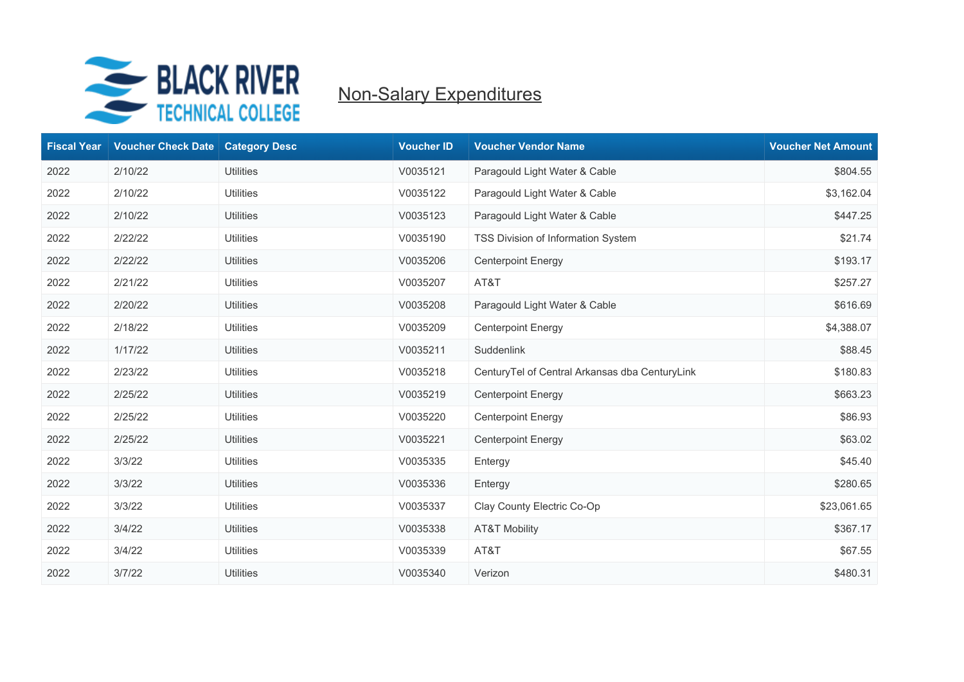

| <b>Fiscal Year</b> | <b>Voucher Check Date</b> | <b>Category Desc</b> | <b>Voucher ID</b> | <b>Voucher Vendor Name</b>                     | <b>Voucher Net Amount</b> |
|--------------------|---------------------------|----------------------|-------------------|------------------------------------------------|---------------------------|
| 2022               | 2/10/22                   | <b>Utilities</b>     | V0035121          | Paragould Light Water & Cable                  | \$804.55                  |
| 2022               | 2/10/22                   | <b>Utilities</b>     | V0035122          | Paragould Light Water & Cable                  | \$3,162.04                |
| 2022               | 2/10/22                   | <b>Utilities</b>     | V0035123          | Paragould Light Water & Cable                  | \$447.25                  |
| 2022               | 2/22/22                   | <b>Utilities</b>     | V0035190          | TSS Division of Information System             | \$21.74                   |
| 2022               | 2/22/22                   | <b>Utilities</b>     | V0035206          | <b>Centerpoint Energy</b>                      | \$193.17                  |
| 2022               | 2/21/22                   | <b>Utilities</b>     | V0035207          | AT&T                                           | \$257.27                  |
| 2022               | 2/20/22                   | <b>Utilities</b>     | V0035208          | Paragould Light Water & Cable                  | \$616.69                  |
| 2022               | 2/18/22                   | <b>Utilities</b>     | V0035209          | <b>Centerpoint Energy</b>                      | \$4,388.07                |
| 2022               | 1/17/22                   | <b>Utilities</b>     | V0035211          | Suddenlink                                     | \$88.45                   |
| 2022               | 2/23/22                   | <b>Utilities</b>     | V0035218          | CenturyTel of Central Arkansas dba CenturyLink | \$180.83                  |
| 2022               | 2/25/22                   | <b>Utilities</b>     | V0035219          | <b>Centerpoint Energy</b>                      | \$663.23                  |
| 2022               | 2/25/22                   | <b>Utilities</b>     | V0035220          | <b>Centerpoint Energy</b>                      | \$86.93                   |
| 2022               | 2/25/22                   | <b>Utilities</b>     | V0035221          | <b>Centerpoint Energy</b>                      | \$63.02                   |
| 2022               | 3/3/22                    | <b>Utilities</b>     | V0035335          | Entergy                                        | \$45.40                   |
| 2022               | 3/3/22                    | <b>Utilities</b>     | V0035336          | Entergy                                        | \$280.65                  |
| 2022               | 3/3/22                    | <b>Utilities</b>     | V0035337          | Clay County Electric Co-Op                     | \$23,061.65               |
| 2022               | 3/4/22                    | <b>Utilities</b>     | V0035338          | <b>AT&amp;T Mobility</b>                       | \$367.17                  |
| 2022               | 3/4/22                    | <b>Utilities</b>     | V0035339          | AT&T                                           | \$67.55                   |
| 2022               | 3/7/22                    | <b>Utilities</b>     | V0035340          | Verizon                                        | \$480.31                  |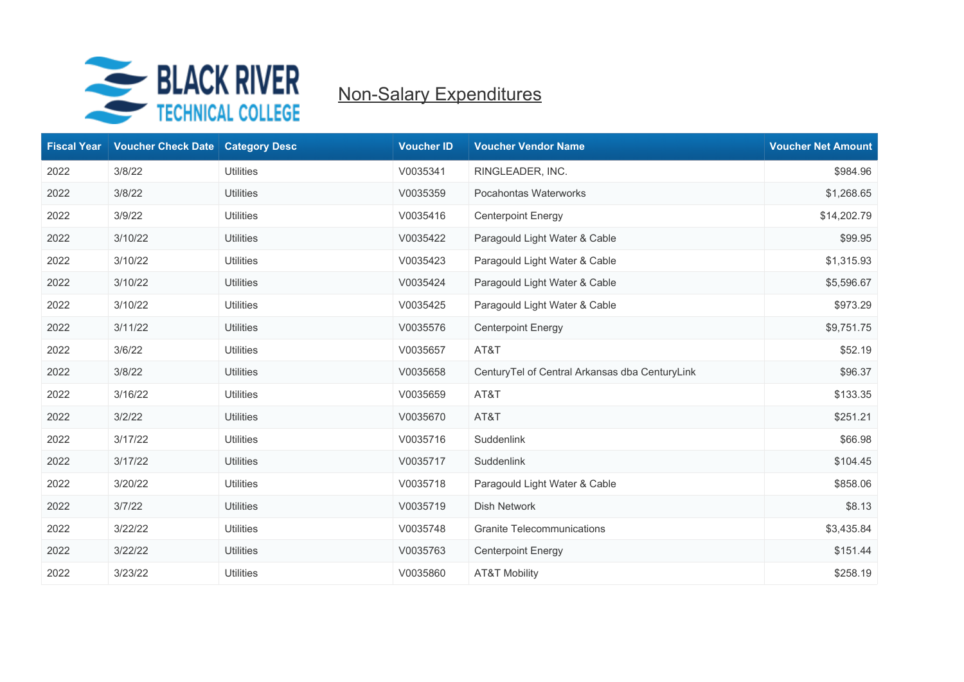

| <b>Fiscal Year</b> | <b>Voucher Check Date</b> | <b>Category Desc</b> | <b>Voucher ID</b> | <b>Voucher Vendor Name</b>                     | <b>Voucher Net Amount</b> |
|--------------------|---------------------------|----------------------|-------------------|------------------------------------------------|---------------------------|
| 2022               | 3/8/22                    | <b>Utilities</b>     | V0035341          | RINGLEADER, INC.                               | \$984.96                  |
| 2022               | 3/8/22                    | <b>Utilities</b>     | V0035359          | Pocahontas Waterworks                          | \$1,268.65                |
| 2022               | 3/9/22                    | <b>Utilities</b>     | V0035416          | <b>Centerpoint Energy</b>                      | \$14,202.79               |
| 2022               | 3/10/22                   | <b>Utilities</b>     | V0035422          | Paragould Light Water & Cable                  | \$99.95                   |
| 2022               | 3/10/22                   | <b>Utilities</b>     | V0035423          | Paragould Light Water & Cable                  | \$1,315.93                |
| 2022               | 3/10/22                   | <b>Utilities</b>     | V0035424          | Paragould Light Water & Cable                  | \$5,596.67                |
| 2022               | 3/10/22                   | <b>Utilities</b>     | V0035425          | Paragould Light Water & Cable                  | \$973.29                  |
| 2022               | 3/11/22                   | <b>Utilities</b>     | V0035576          | <b>Centerpoint Energy</b>                      | \$9,751.75                |
| 2022               | 3/6/22                    | <b>Utilities</b>     | V0035657          | AT&T                                           | \$52.19                   |
| 2022               | 3/8/22                    | <b>Utilities</b>     | V0035658          | CenturyTel of Central Arkansas dba CenturyLink | \$96.37                   |
| 2022               | 3/16/22                   | <b>Utilities</b>     | V0035659          | AT&T                                           | \$133.35                  |
| 2022               | 3/2/22                    | <b>Utilities</b>     | V0035670          | AT&T                                           | \$251.21                  |
| 2022               | 3/17/22                   | <b>Utilities</b>     | V0035716          | Suddenlink                                     | \$66.98                   |
| 2022               | 3/17/22                   | <b>Utilities</b>     | V0035717          | Suddenlink                                     | \$104.45                  |
| 2022               | 3/20/22                   | <b>Utilities</b>     | V0035718          | Paragould Light Water & Cable                  | \$858.06                  |
| 2022               | 3/7/22                    | <b>Utilities</b>     | V0035719          | Dish Network                                   | \$8.13                    |
| 2022               | 3/22/22                   | <b>Utilities</b>     | V0035748          | <b>Granite Telecommunications</b>              | \$3,435.84                |
| 2022               | 3/22/22                   | <b>Utilities</b>     | V0035763          | <b>Centerpoint Energy</b>                      | \$151.44                  |
| 2022               | 3/23/22                   | <b>Utilities</b>     | V0035860          | <b>AT&amp;T Mobility</b>                       | \$258.19                  |